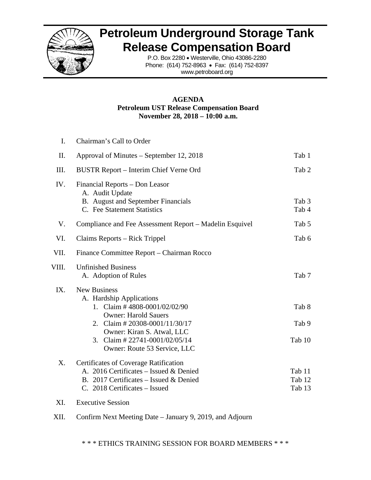

## **Petroleum Underground Storage Tank Release Compensation Board**

P.O. Box 2280 • Westerville, Ohio 43086-2280 Phone: (614) 752-8963 • Fax: (614) 752-8397 www.petroboard.org

#### **AGENDA Petroleum UST Release Compensation Board November 28, 2018 – 10:00 a.m.**

| I.    | Chairman's Call to Order                                                                                                                                                                                                                                |                            |
|-------|---------------------------------------------------------------------------------------------------------------------------------------------------------------------------------------------------------------------------------------------------------|----------------------------|
| II.   | Approval of Minutes – September 12, 2018                                                                                                                                                                                                                | Tab 1                      |
| III.  | BUSTR Report – Interim Chief Verne Ord                                                                                                                                                                                                                  | Tab 2                      |
| IV.   | Financial Reports – Don Leasor<br>A. Audit Update<br>B. August and September Financials<br>C. Fee Statement Statistics                                                                                                                                  | Tab 3<br>Tab 4             |
| V.    | Compliance and Fee Assessment Report – Madelin Esquivel                                                                                                                                                                                                 | Tab 5                      |
| VI.   | Claims Reports – Rick Trippel                                                                                                                                                                                                                           | Tab 6                      |
| VII.  | Finance Committee Report – Chairman Rocco                                                                                                                                                                                                               |                            |
| VIII. | <b>Unfinished Business</b><br>A. Adoption of Rules                                                                                                                                                                                                      | Tab 7                      |
| IX.   | <b>New Business</b><br>A. Hardship Applications<br>1. Claim #4808-0001/02/02/90<br><b>Owner: Harold Sauers</b><br>Claim # 20308-0001/11/30/17<br>2.<br>Owner: Kiran S. Atwal, LLC<br>3. Claim # $22741 - 0001/02/05/14$<br>Owner: Route 53 Service, LLC | Tab 8<br>Tab 9<br>Tab 10   |
| X.    | Certificates of Coverage Ratification<br>A. 2016 Certificates - Issued & Denied<br>B. 2017 Certificates - Issued & Denied<br>C. 2018 Certificates - Issued                                                                                              | Tab 11<br>Tab 12<br>Tab 13 |

- XI. Executive Session
- XII. Confirm Next Meeting Date January 9, 2019, and Adjourn

\* \* \* ETHICS TRAINING SESSION FOR BOARD MEMBERS \* \* \*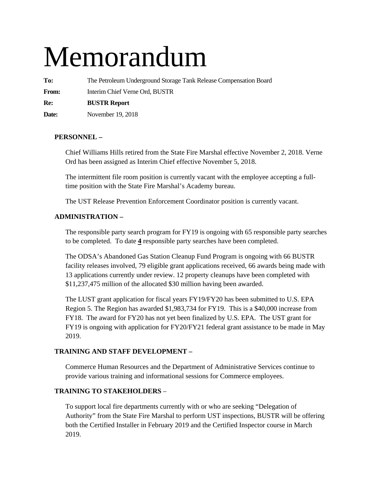# Memorandum

**To:** The Petroleum Underground Storage Tank Release Compensation Board

**From:** Interim Chief Verne Ord, BUSTR

**Re: BUSTR Report** 

**Date:** November 19, 2018

#### **PERSONNEL –**

Chief Williams Hills retired from the State Fire Marshal effective November 2, 2018. Verne Ord has been assigned as Interim Chief effective November 5, 2018.

The intermittent file room position is currently vacant with the employee accepting a fulltime position with the State Fire Marshal's Academy bureau.

The UST Release Prevention Enforcement Coordinator position is currently vacant.

#### **ADMINISTRATION –**

The responsible party search program for FY19 is ongoing with 65 responsible party searches to be completed. To date **4** responsible party searches have been completed.

The ODSA's Abandoned Gas Station Cleanup Fund Program is ongoing with 66 BUSTR facility releases involved, 79 eligible grant applications received, 66 awards being made with 13 applications currently under review. 12 property cleanups have been completed with \$11,237,475 million of the allocated \$30 million having been awarded.

The LUST grant application for fiscal years FY19/FY20 has been submitted to U.S. EPA Region 5. The Region has awarded \$1,983,734 for FY19. This is a \$40,000 increase from FY18. The award for FY20 has not yet been finalized by U.S. EPA. The UST grant for FY19 is ongoing with application for FY20/FY21 federal grant assistance to be made in May 2019.

#### **TRAINING AND STAFF DEVELOPMENT –**

Commerce Human Resources and the Department of Administrative Services continue to provide various training and informational sessions for Commerce employees.

#### **TRAINING TO STAKEHOLDERS** –

To support local fire departments currently with or who are seeking "Delegation of Authority" from the State Fire Marshal to perform UST inspections, BUSTR will be offering both the Certified Installer in February 2019 and the Certified Inspector course in March 2019.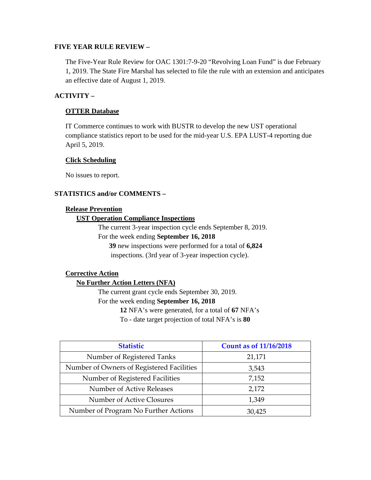#### **FIVE YEAR RULE REVIEW –**

The Five-Year Rule Review for OAC 1301:7-9-20 "Revolving Loan Fund" is due February 1, 2019. The State Fire Marshal has selected to file the rule with an extension and anticipates an effective date of August 1, 2019.

#### **ACTIVITY –**

#### **OTTER Database**

IT Commerce continues to work with BUSTR to develop the new UST operational compliance statistics report to be used for the mid-year U.S. EPA LUST-4 reporting due April 5, 2019.

#### **Click Scheduling**

No issues to report.

#### **STATISTICS and/or COMMENTS –**

#### **Release Prevention**

#### **UST Operation Compliance Inspections**

The current 3-year inspection cycle ends September 8, 2019. For the week ending **September 16, 2018** 

**39** new inspections were performed for a total of **6,824** inspections. (3rd year of 3-year inspection cycle).

#### **Corrective Action**

#### **No Further Action Letters (NFA)**

The current grant cycle ends September 30, 2019. For the week ending **September 16, 2018** 

**12** NFA's were generated, for a total of **67** NFA's To - date target projection of total NFA's is **80** 

| <b>Statistic</b>                          | <b>Count as of 11/16/2018</b> |
|-------------------------------------------|-------------------------------|
| Number of Registered Tanks                | 21,171                        |
| Number of Owners of Registered Facilities | 3,543                         |
| Number of Registered Facilities           | 7,152                         |
| Number of Active Releases                 | 2,172                         |
| Number of Active Closures                 | 1,349                         |
| Number of Program No Further Actions      | 30,425                        |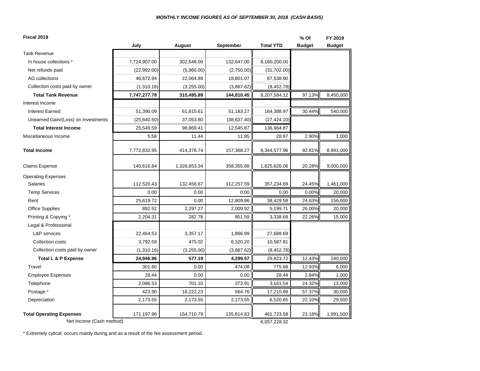| Fiscal 2019                         |              |              |              |                  | % Of          | FY 2019       |
|-------------------------------------|--------------|--------------|--------------|------------------|---------------|---------------|
|                                     | July         | August       | September    | <b>Total YTD</b> | <b>Budget</b> | <b>Budget</b> |
| <b>Tank Revenue</b>                 |              |              |              |                  |               |               |
| In house collections *              | 7,724,907.00 | 302,646.00   | 132,647.00   | 8,160,200.00     |               |               |
| Net refunds paid                    | (22,992.00)  | (5,960.00)   | (2,750.00)   | (31,702.00)      |               |               |
| <b>AG</b> collections               | 46,672.94    | 22,064.89    | 18,801.07    | 87,538.90        |               |               |
| Collection costs paid by owner      | (1,310.16)   | (3,255.00)   | (3,887.62)   | (8,452.78)       |               |               |
| <b>Total Tank Revenue</b>           | 7,747,277.78 | 315,495.89   | 144,810.45   | 8,207,584.12     | 97.13%        | 8,450,000     |
| Interest Income                     |              |              |              |                  |               |               |
| <b>Interest Earned</b>              | 51,390.09    | 61,815.61    | 51,183.27    | 164,388.97       | 30.44%        | 540,000       |
| Unearned Gain/(Loss) on Investments | (25, 840.50) | 37,053.80    | (38, 637.40) | (27, 424.10)     |               |               |
| <b>Total Interest Income</b>        | 25,549.59    | 98,869.41    | 12,545.87    | 136,964.87       |               |               |
| Miscellaneous Income                | 5.58         | 11.44        | 11.95        | 28.97            | 2.90%         | 1,000         |
| <b>Total Income</b>                 | 7,772,832.95 | 414,376.74   | 157,368.27   | 8,344,577.96     | 92.81%        | 8,991,000     |
| <b>Claims Expense</b>               | 140,616.84   | 1,326,653.34 | 358,355.88   | 1,825,626.06     | 20.28%        | 9,000,000     |
| <b>Operating Expenses</b>           |              |              |              |                  |               |               |
| <b>Salaries</b>                     | 112,520.43   | 132,456.67   | 112,257.59   | 357,234.69       | 24.45%        | 1,461,000     |
| <b>Temp Services</b>                | 0.00         | 0.00         | 0.00         | 0.00             | 0.00%         | 20,000        |
| Rent                                | 25,619.72    | 0.00         | 12,809.86    | 38,429.58        | 24.63%        | 156,000       |
| <b>Office Supplies</b>              | 892.52       | 2,297.27     | 2,009.92     | 5,199.71         | 26.00%        | 20,000        |
| Printing & Copying *                | 2,204.31     | 282.78       | 851.59       | 3,338.68         | 22.26%        | 15,000        |
| Legal & Professional                |              |              |              |                  |               |               |
| <b>L&amp;P</b> services             | 22,464.53    | 3,357.17     | 1,866.99     | 27,688.69        |               |               |
| Collection costs                    | 3,792.59     | 475.02       | 6,320.20     | 10,587.81        |               |               |
| Collection costs paid by owner      | (1,310.16)   | (3,255.00)   | (3,887.62)   | (8,452.78)       |               |               |
| <b>Total L &amp; P Expense</b>      | 24,946.96    | 577.19       | 4,299.57     | 29,823.72        | 12.43%        | 240,000       |
| Travel                              | 301.60       | 0.00         | 474.08       | 775.68           | 12.93%        | 6,000         |
| <b>Employee Expenses</b>            | 28.44        | 0.00         | 0.00         | 28.44            | 2.84%         | 1,000         |
| Telephone                           | 2,086.53     | 701.10       | 373.91       | 3,161.54         | 24.32%        | 13,000        |
| Postage *                           | 423.90       | 16,222.23    | 564.76       | 17,210.89        | 57.37%        | 30,000        |
| Depreciation                        | 2,173.55     | 2,173.55     | 2,173.55     | 6,520.65         | 22.10%        | 29,500        |
| <b>Total Operating Expenses</b>     | 171,197.96   | 154,710.79   | 135,814.83   | 461,723.58       | 23.18%        | 1,991,500     |
| Net Income (Cash method)            |              |              |              | 6,057,228.32     |               |               |

\* Extremely cylical; occurs mainly during and as a result of the fee assessment period.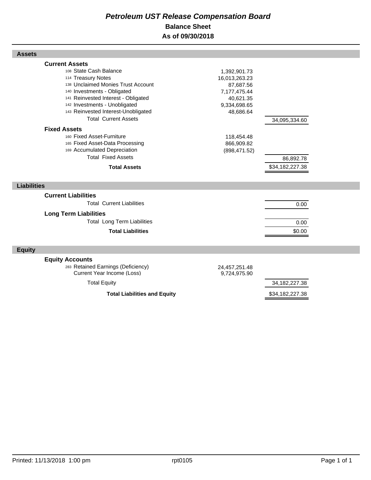## *Petroleum UST Release Compensation Board*  **Balance Sheet As of 09/30/2018**

| <b>Assets</b>                                                                                                                                                                                                                                                                            |                                                                                                      |                              |  |
|------------------------------------------------------------------------------------------------------------------------------------------------------------------------------------------------------------------------------------------------------------------------------------------|------------------------------------------------------------------------------------------------------|------------------------------|--|
| <b>Current Assets</b><br>108 State Cash Balance<br>114 Treasury Notes<br>138 Unclaimed Monies Trust Account<br>140 Investments - Obligated<br>141 Reinvested Interest - Obligated<br>142 Investments - Unobligated<br>143 Reinvested Interest-Unobligated<br><b>Total Current Assets</b> | 1,392,901.73<br>16,013,263.23<br>87,687.56<br>7,177,475.44<br>40,621.35<br>9,334,698.65<br>48,686.64 | 34,095,334.60                |  |
| <b>Fixed Assets</b><br>160 Fixed Asset-Furniture<br>165 Fixed Asset-Data Processing<br>169 Accumulated Depreciation<br><b>Total Fixed Assets</b><br><b>Total Assets</b>                                                                                                                  | 118,454.48<br>866,909.82<br>(898, 471.52)                                                            | 86,892.78<br>\$34,182,227.38 |  |
| <b>Liabilities</b>                                                                                                                                                                                                                                                                       |                                                                                                      |                              |  |
| <b>Current Liabilities</b><br><b>Total Current Liabilities</b><br><b>Long Term Liabilities</b><br><b>Total Long Term Liabilities</b><br><b>Total Liabilities</b>                                                                                                                         |                                                                                                      | 0.00<br>0.00<br>\$0.00       |  |
| <b>Equity</b>                                                                                                                                                                                                                                                                            |                                                                                                      |                              |  |
| <b>Equity Accounts</b><br>283 Retained Earnings (Deficiency)<br>Current Year Income (Loss)                                                                                                                                                                                               | 24,457,251.48<br>9,724,975.90                                                                        |                              |  |
| <b>Total Equity</b>                                                                                                                                                                                                                                                                      |                                                                                                      | 34, 182, 227. 38             |  |
| <b>Total Liabilities and Equity</b>                                                                                                                                                                                                                                                      |                                                                                                      | \$34,182,227.38              |  |

I

Г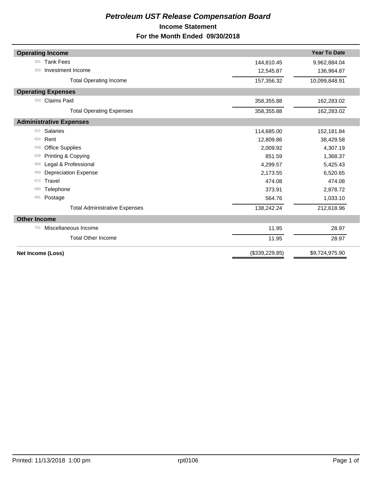## *Petroleum UST Release Compensation Board*  **Income Statement For the Month Ended 09/30/2018**

| <b>Operating Income</b>              |                | <b>Year To Date</b> |
|--------------------------------------|----------------|---------------------|
| <b>Tank Fees</b><br>301              | 144,810.45     | 9,962,884.04        |
| Investment Income<br>303             | 12,545.87      | 136,964.87          |
| <b>Total Operating Income</b>        | 157,356.32     | 10,099,848.91       |
| <b>Operating Expenses</b>            |                |                     |
| <b>Claims Paid</b><br>350            | 358,355.88     | 162,283.02          |
| <b>Total Operating Expenses</b>      | 358,355.88     | 162,283.02          |
| <b>Administrative Expenses</b>       |                |                     |
| Salaries<br>621                      | 114,685.00     | 152,181.84          |
| Rent<br>634                          | 12,809.86      | 38,429.58           |
| <b>Office Supplies</b><br>638        | 2,009.92       | 4,307.19            |
| Printing & Copying<br>639            | 851.59         | 1,368.37            |
| Legal & Professional<br>668          | 4,299.57       | 5,425.43            |
| <b>Depreciation Expense</b><br>669   | 2,173.55       | 6,520.65            |
| Travel<br>672                        | 474.08         | 474.08              |
| Telephone<br>680                     | 373.91         | 2,878.72            |
| Postage<br>681                       | 564.76         | 1,033.10            |
| <b>Total Administrative Expenses</b> | 138,242.24     | 212,618.96          |
| <b>Other Income</b>                  |                |                     |
| Miscellaneous Income<br>701          | 11.95          | 28.97               |
| <b>Total Other Income</b>            | 11.95          | 28.97               |
| Net Income (Loss)                    | (\$339,229.85) | \$9,724,975.90      |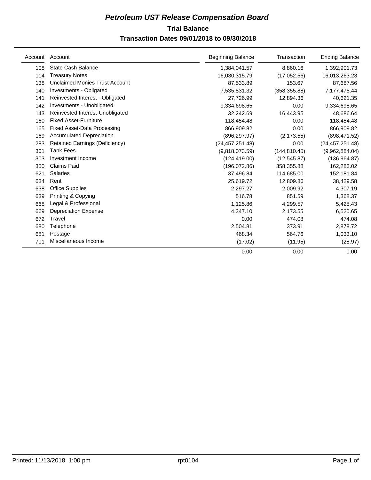## **Trial Balance** *Petroleum UST Release Compensation Board*  **Transaction Dates 09/01/2018 to 09/30/2018**

|     | Account Account                       | <b>Beginning Balance</b> | Transaction   | <b>Ending Balance</b> |
|-----|---------------------------------------|--------------------------|---------------|-----------------------|
| 108 | State Cash Balance                    | 1,384,041.57             | 8,860.16      | 1,392,901.73          |
| 114 | <b>Treasury Notes</b>                 | 16,030,315.79            | (17,052.56)   | 16,013,263.23         |
| 138 | <b>Unclaimed Monies Trust Account</b> | 87,533.89                | 153.67        | 87,687.56             |
| 140 | Investments - Obligated               | 7,535,831.32             | (358, 355.88) | 7,177,475.44          |
| 141 | Reinvested Interest - Obligated       | 27,726.99                | 12,894.36     | 40,621.35             |
| 142 | Investments - Unobligated             | 9,334,698.65             | 0.00          | 9,334,698.65          |
| 143 | Reinvested Interest-Unobligated       | 32,242.69                | 16,443.95     | 48,686.64             |
| 160 | <b>Fixed Asset-Furniture</b>          | 118,454.48               | 0.00          | 118,454.48            |
| 165 | <b>Fixed Asset-Data Processing</b>    | 866,909.82               | 0.00          | 866,909.82            |
| 169 | <b>Accumulated Depreciation</b>       | (896, 297.97)            | (2, 173.55)   | (898, 471.52)         |
| 283 | Retained Earnings (Deficiency)        | (24, 457, 251.48)        | 0.00          | (24, 457, 251.48)     |
| 301 | <b>Tank Fees</b>                      | (9,818,073.59)           | (144, 810.45) | (9,962,884.04)        |
| 303 | Investment Income                     | (124, 419.00)            | (12, 545.87)  | (136, 964.87)         |
| 350 | <b>Claims Paid</b>                    | (196,072.86)             | 358,355.88    | 162,283.02            |
| 621 | <b>Salaries</b>                       | 37,496.84                | 114,685.00    | 152,181.84            |
| 634 | Rent                                  | 25,619.72                | 12,809.86     | 38,429.58             |
| 638 | Office Supplies                       | 2,297.27                 | 2,009.92      | 4,307.19              |
| 639 | Printing & Copying                    | 516.78                   | 851.59        | 1,368.37              |
| 668 | Legal & Professional                  | 1,125.86                 | 4,299.57      | 5,425.43              |
| 669 | <b>Depreciation Expense</b>           | 4,347.10                 | 2,173.55      | 6,520.65              |
| 672 | Travel                                | 0.00                     | 474.08        | 474.08                |
| 680 | Telephone                             | 2,504.81                 | 373.91        | 2,878.72              |
| 681 | Postage                               | 468.34                   | 564.76        | 1,033.10              |
| 701 | Miscellaneous Income                  | (17.02)                  | (11.95)       | (28.97)               |
|     |                                       | 0.00                     | 0.00          | 0.00                  |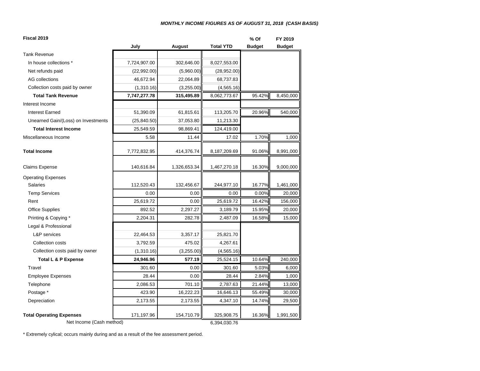#### *MONTHLY INCOME FIGURES AS OF AUGUST 31, 2018 (CASH BASIS)*

| Fiscal 2019                              |              |              |                  | % Of          | FY 2019       |
|------------------------------------------|--------------|--------------|------------------|---------------|---------------|
|                                          | July         | August       | <b>Total YTD</b> | <b>Budget</b> | <b>Budget</b> |
| <b>Tank Revenue</b>                      |              |              |                  |               |               |
| In house collections *                   | 7,724,907.00 | 302,646.00   | 8,027,553.00     |               |               |
| Net refunds paid                         | (22,992.00)  | (5,960.00)   | (28,952.00)      |               |               |
| <b>AG</b> collections                    | 46,672.94    | 22,064.89    | 68,737.83        |               |               |
| Collection costs paid by owner           | (1,310.16)   | (3,255.00)   | (4, 565.16)      |               |               |
| <b>Total Tank Revenue</b>                | 7,747,277.78 | 315,495.89   | 8,062,773.67     | 95.42%        | 8,450,000     |
| Interest Income                          |              |              |                  |               |               |
| <b>Interest Earned</b>                   | 51,390.09    | 61,815.61    | 113,205.70       | 20.96%        | 540,000       |
| Unearned Gain/(Loss) on Investments      | (25, 840.50) | 37,053.80    | 11,213.30        |               |               |
| <b>Total Interest Income</b>             | 25,549.59    | 98,869.41    | 124,419.00       |               |               |
| Miscellaneous Income                     | 5.58         | 11.44        | 17.02            | 1.70%         | 1,000         |
| <b>Total Income</b>                      | 7,772,832.95 | 414,376.74   | 8,187,209.69     | 91.06%        | 8,991,000     |
| <b>Claims Expense</b>                    | 140,616.84   | 1,326,653.34 | 1,467,270.18     | 16.30%        | 9,000,000     |
| <b>Operating Expenses</b>                |              |              |                  |               |               |
| <b>Salaries</b>                          | 112,520.43   | 132,456.67   | 244,977.10       | 16.77%        | 1,461,000     |
| <b>Temp Services</b>                     | 0.00         | 0.00         | 0.00             | 0.00%         | 20,000        |
| Rent                                     | 25,619.72    | 0.00         | 25,619.72        | 16.42%        | 156,000       |
| <b>Office Supplies</b>                   | 892.52       | 2,297.27     | 3,189.79         | 15.95%        | 20,000        |
| Printing & Copying *                     | 2,204.31     | 282.78       | 2,487.09         | 16.58%        | 15,000        |
| Legal & Professional                     |              |              |                  |               |               |
| L&P services                             | 22,464.53    | 3,357.17     | 25,821.70        |               |               |
| Collection costs                         | 3,792.59     | 475.02       | 4,267.61         |               |               |
| Collection costs paid by owner           | (1,310.16)   | (3,255.00)   | (4, 565.16)      |               |               |
| Total L & P Expense                      | 24,946.96    | 577.19       | 25,524.15        | 10.64%        | 240,000       |
| Travel                                   | 301.60       | 0.00         | 301.60           | 5.03%         | 6,000         |
| <b>Employee Expenses</b>                 | 28.44        | 0.00         | 28.44            | 2.84%         | 1,000         |
| Telephone                                | 2,086.53     | 701.10       | 2,787.63         | 21.44%        | 13,000        |
| Postage *                                | 423.90       | 16,222.23    | 16,646.13        | 55.49%        | 30,000        |
| Depreciation                             | 2,173.55     | 2,173.55     | 4,347.10         | 14.74%        | 29,500        |
| <b>Total Operating Expenses</b>          | 171,197.96   | 154,710.79   | 325,908.75       | 16.36%        | 1,991,500     |
| Net Income (Cash method)<br>6,394,030.76 |              |              |                  |               |               |

\* Extremely cylical; occurs mainly during and as a result of the fee assessment period.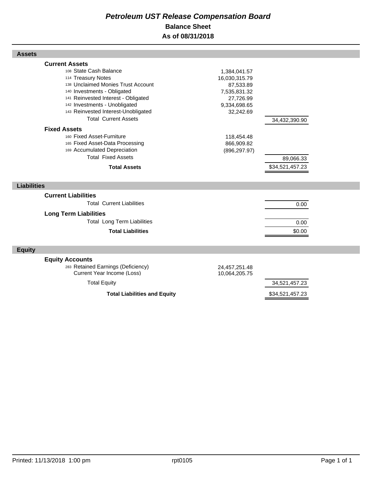## *Petroleum UST Release Compensation Board*  **Balance Sheet As of 08/31/2018**

| <b>Assets</b>                                                                                                                                                                                                                                                                            |                                                                                                      |                              |  |
|------------------------------------------------------------------------------------------------------------------------------------------------------------------------------------------------------------------------------------------------------------------------------------------|------------------------------------------------------------------------------------------------------|------------------------------|--|
| <b>Current Assets</b><br>108 State Cash Balance<br>114 Treasury Notes<br>138 Unclaimed Monies Trust Account<br>140 Investments - Obligated<br>141 Reinvested Interest - Obligated<br>142 Investments - Unobligated<br>143 Reinvested Interest-Unobligated<br><b>Total Current Assets</b> | 1,384,041.57<br>16,030,315.79<br>87,533.89<br>7,535,831.32<br>27,726.99<br>9,334,698.65<br>32,242.69 | 34,432,390.90                |  |
| <b>Fixed Assets</b><br>160 Fixed Asset-Furniture<br>165 Fixed Asset-Data Processing<br>169 Accumulated Depreciation<br><b>Total Fixed Assets</b><br><b>Total Assets</b>                                                                                                                  | 118,454.48<br>866,909.82<br>(896, 297.97)                                                            | 89,066.33<br>\$34,521,457.23 |  |
| <b>Liabilities</b>                                                                                                                                                                                                                                                                       |                                                                                                      |                              |  |
| <b>Current Liabilities</b><br><b>Total Current Liabilities</b><br><b>Long Term Liabilities</b><br><b>Total Long Term Liabilities</b><br><b>Total Liabilities</b>                                                                                                                         |                                                                                                      | 0.00<br>0.00<br>\$0.00       |  |
| <b>Equity</b>                                                                                                                                                                                                                                                                            |                                                                                                      |                              |  |
| <b>Equity Accounts</b><br>283 Retained Earnings (Deficiency)<br>Current Year Income (Loss)<br><b>Total Equity</b>                                                                                                                                                                        | 24,457,251.48<br>10,064,205.75                                                                       | 34,521,457.23                |  |
| <b>Total Liabilities and Equity</b>                                                                                                                                                                                                                                                      |                                                                                                      | \$34,521,457.23              |  |

Г

Г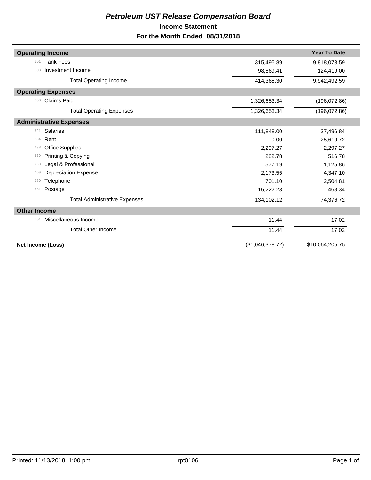## *Petroleum UST Release Compensation Board*  **Income Statement For the Month Ended 08/31/2018**

| <b>Operating Income</b>              |                  | <b>Year To Date</b> |
|--------------------------------------|------------------|---------------------|
| <b>Tank Fees</b><br>301              | 315,495.89       | 9,818,073.59        |
| Investment Income<br>303             | 98,869.41        | 124,419.00          |
| <b>Total Operating Income</b>        | 414,365.30       | 9,942,492.59        |
| <b>Operating Expenses</b>            |                  |                     |
| <b>Claims Paid</b><br>350            | 1,326,653.34     | (196, 072.86)       |
| <b>Total Operating Expenses</b>      | 1,326,653.34     | (196, 072.86)       |
| <b>Administrative Expenses</b>       |                  |                     |
| Salaries<br>621                      | 111,848.00       | 37,496.84           |
| Rent<br>634                          | 0.00             | 25,619.72           |
| <b>Office Supplies</b><br>638        | 2,297.27         | 2,297.27            |
| Printing & Copying<br>639            | 282.78           | 516.78              |
| Legal & Professional<br>668          | 577.19           | 1,125.86            |
| <b>Depreciation Expense</b><br>669   | 2,173.55         | 4,347.10            |
| Telephone<br>680                     | 701.10           | 2,504.81            |
| Postage<br>681                       | 16,222.23        | 468.34              |
| <b>Total Administrative Expenses</b> | 134,102.12       | 74,376.72           |
| <b>Other Income</b>                  |                  |                     |
| Miscellaneous Income<br>701          | 11.44            | 17.02               |
| <b>Total Other Income</b>            | 11.44            | 17.02               |
| Net Income (Loss)                    | (\$1,046,378.72) | \$10,064,205.75     |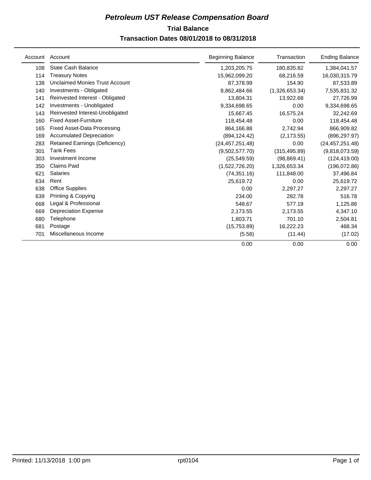## **Trial Balance** *Petroleum UST Release Compensation Board*

## **Transaction Dates 08/01/2018 to 08/31/2018**

| Account | Account                            | <b>Beginning Balance</b> | Transaction    | <b>Ending Balance</b> |
|---------|------------------------------------|--------------------------|----------------|-----------------------|
| 108     | <b>State Cash Balance</b>          | 1,203,205.75             | 180,835.82     | 1,384,041.57          |
| 114     | <b>Treasury Notes</b>              | 15,962,099.20            | 68,216.59      | 16,030,315.79         |
| 138     | Unclaimed Monies Trust Account     | 87,378.99                | 154.90         | 87,533.89             |
| 140     | Investments - Obligated            | 8,862,484.66             | (1,326,653.34) | 7,535,831.32          |
| 141     | Reinvested Interest - Obligated    | 13.804.31                | 13,922.68      | 27,726.99             |
| 142     | Investments - Unobligated          | 9,334,698.65             | 0.00           | 9,334,698.65          |
| 143     | Reinvested Interest-Unobligated    | 15.667.45                | 16,575.24      | 32,242.69             |
| 160     | <b>Fixed Asset-Furniture</b>       | 118,454.48               | 0.00           | 118,454.48            |
| 165     | <b>Fixed Asset-Data Processing</b> | 864,166.88               | 2,742.94       | 866,909.82            |
| 169     | <b>Accumulated Depreciation</b>    | (894, 124.42)            | (2, 173.55)    | (896, 297.97)         |
| 283     | Retained Earnings (Deficiency)     | (24, 457, 251.48)        | 0.00           | (24, 457, 251.48)     |
| 301     | <b>Tank Fees</b>                   | (9.502.577.70)           | (315, 495.89)  | (9,818,073.59)        |
| 303     | Investment Income                  | (25, 549.59)             | (98, 869.41)   | (124, 419.00)         |
| 350     | <b>Claims Paid</b>                 | (1,522,726.20)           | 1,326,653.34   | (196, 072.86)         |
| 621     | <b>Salaries</b>                    | (74, 351.16)             | 111,848.00     | 37,496.84             |
| 634     | Rent                               | 25,619.72                | 0.00           | 25,619.72             |
| 638     | Office Supplies                    | 0.00                     | 2,297.27       | 2,297.27              |
| 639     | Printing & Copying                 | 234.00                   | 282.78         | 516.78                |
| 668     | Legal & Professional               | 548.67                   | 577.19         | 1,125.86              |
| 669     | <b>Depreciation Expense</b>        | 2,173.55                 | 2,173.55       | 4,347.10              |
| 680     | Telephone                          | 1,803.71                 | 701.10         | 2,504.81              |
| 681     | Postage                            | (15,753.89)              | 16,222.23      | 468.34                |
| 701     | Miscellaneous Income               | (5.58)                   | (11.44)        | (17.02)               |
|         |                                    | 0.00                     | 0.00           | 0.00                  |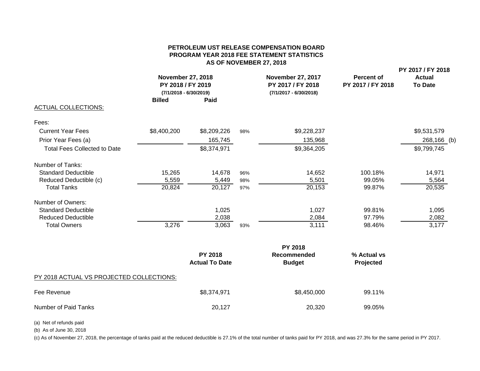#### **PETROLEUM UST RELEASE COMPENSATION BOARDPROGRAM YEAR 2018 FEE STATEMENT STATISTICS AS OF NOVEMBER 27, 2018**

|                                     | <b>Billed</b> | <b>November 27, 2018</b><br>PY 2018 / FY 2019<br>$(7/1/2018 - 6/30/2019)$<br>Paid |     | <b>November 27, 2017</b><br>PY 2017 / FY 2018<br>(7/1/2017 - 6/30/2018) | <b>Percent of</b><br>PY 2017 / FY 2018 | PY 2017 / FY 2018<br><b>Actual</b><br><b>To Date</b> |
|-------------------------------------|---------------|-----------------------------------------------------------------------------------|-----|-------------------------------------------------------------------------|----------------------------------------|------------------------------------------------------|
| <b>ACTUAL COLLECTIONS:</b>          |               |                                                                                   |     |                                                                         |                                        |                                                      |
| Fees:                               |               |                                                                                   |     |                                                                         |                                        |                                                      |
| <b>Current Year Fees</b>            | \$8,400,200   | \$8,209,226                                                                       | 98% | \$9,228,237                                                             |                                        | \$9,531,579                                          |
| Prior Year Fees (a)                 |               | 165,745                                                                           |     | 135,968                                                                 |                                        | 268,166 (b)                                          |
| <b>Total Fees Collected to Date</b> |               | \$8,374,971                                                                       |     | \$9,364,205                                                             |                                        | \$9,799,745                                          |
| Number of Tanks:                    |               |                                                                                   |     |                                                                         |                                        |                                                      |
| <b>Standard Deductible</b>          | 15,265        | 14,678                                                                            | 96% | 14,652                                                                  | 100.18%                                | 14,971                                               |
| Reduced Deductible (c)              | 5,559         | 5,449                                                                             | 98% | 5,501                                                                   | 99.05%                                 | 5,564                                                |
| <b>Total Tanks</b>                  | 20,824        | 20,127                                                                            | 97% | 20,153                                                                  | 99.87%                                 | 20,535                                               |
| Number of Owners:                   |               |                                                                                   |     |                                                                         |                                        |                                                      |
| <b>Standard Deductible</b>          |               | 1,025                                                                             |     | 1,027                                                                   | 99.81%                                 | 1,095                                                |
| <b>Reduced Deductible</b>           |               | 2,038                                                                             |     | 2,084                                                                   | 97.79%                                 | 2,082                                                |
| <b>Total Owners</b>                 | 3,276         | 3,063                                                                             | 93% | 3,111                                                                   | 98.46%                                 | 3,177                                                |
|                                     |               |                                                                                   |     | <b>PY 2018</b>                                                          |                                        |                                                      |
|                                     |               | <b>PY 2018</b><br><b>Actual To Date</b>                                           |     | Recommended<br><b>Budget</b>                                            | % Actual vs<br>Projected               |                                                      |

#### PY 2018 ACTUAL VS PROJECTED COLLECTIONS:

| Fee Revenue          | \$8,374,971 | \$8,450,000 | 99.11% |
|----------------------|-------------|-------------|--------|
| Number of Paid Tanks | 20,127      | 20,320      | 99.05% |

(a) Net of refunds paid

(b) As of June 30, 2018

(c) As of November 27, 2018, the percentage of tanks paid at the reduced deductible is 27.1% of the total number of tanks paid for PY 2018, and was 27.3% for the same period in PY 2017.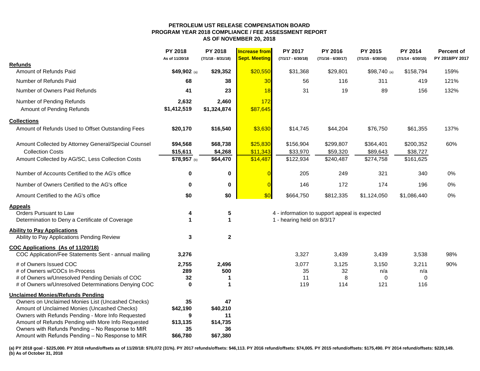#### **PETROLEUM UST RELEASE COMPENSATION BOARD PROGRAM YEAR 2018 COMPLIANCE / FEE ASSESSMENT REPORT AS OF NOVEMBER 20, 2018**

|                                                      | PY 2018<br>As of 11/20/18 | PY 2018<br>$(7/1/18 - 8/31/18)$ | <b>Increase from</b><br><b>Sept. Meeting</b> | PY 2017<br>$(7/1/17 - 6/30/18)$ | PY 2016<br>$(7/1/16 - 6/30/17)$               | PY 2015<br>$(7/1/15 - 6/30/16)$ | PY 2014<br>$(7/1/14 - 6/30/15)$ | <b>Percent of</b><br>PY 2018/PY 2017 |
|------------------------------------------------------|---------------------------|---------------------------------|----------------------------------------------|---------------------------------|-----------------------------------------------|---------------------------------|---------------------------------|--------------------------------------|
| <b>Refunds</b>                                       |                           |                                 |                                              |                                 |                                               |                                 |                                 |                                      |
| Amount of Refunds Paid                               | \$49,902 (a)              | \$29,352                        | \$20,550                                     | \$31,368                        | \$29,801                                      | \$98,740 (a)                    | \$158,794                       | 159%                                 |
| Number of Refunds Paid                               | 68                        | 38                              | 30                                           | 56                              | 116                                           | 311                             | 419                             | 121%                                 |
| Number of Owners Paid Refunds                        | 41                        | 23                              | 18                                           | 31                              | 19                                            | 89                              | 156                             | 132%                                 |
| Number of Pending Refunds                            | 2,632                     | 2,460                           | 172                                          |                                 |                                               |                                 |                                 |                                      |
| Amount of Pending Refunds                            | \$1,412,519               | \$1,324,874                     | \$87,645                                     |                                 |                                               |                                 |                                 |                                      |
| <b>Collections</b>                                   |                           |                                 |                                              |                                 |                                               |                                 |                                 |                                      |
| Amount of Refunds Used to Offset Outstanding Fees    | \$20,170                  | \$16,540                        | \$3,630                                      | \$14,745                        | \$44,204                                      | \$76,750                        | \$61,355                        | 137%                                 |
| Amount Collected by Attorney General/Special Counsel | \$94,568                  | \$68,738                        | \$25,830                                     | \$156,904                       | \$299,807                                     | \$364,401                       | \$200,352                       | 60%                                  |
| <b>Collection Costs</b>                              | \$15,611                  | \$4,268                         | \$11,343                                     | \$33,970                        | \$59,320                                      | \$89,643                        | \$38,727                        |                                      |
| Amount Collected by AG/SC, Less Collection Costs     | \$78,957 (b)              | \$64,470                        | \$14,487                                     | \$122,934                       | \$240,487                                     | \$274,758                       | \$161,625                       |                                      |
| Number of Accounts Certified to the AG's office      | $\bf{0}$                  | 0                               |                                              | 205                             | 249                                           | 321                             | 340                             | 0%                                   |
| Number of Owners Certified to the AG's office        | $\mathbf 0$               | 0                               |                                              | 146                             | 172                                           | 174                             | 196                             | $0\%$                                |
| Amount Certified to the AG's office                  | \$0                       | \$0                             | \$0                                          | \$664,750                       | \$812,335                                     | \$1,124,050                     | \$1,086,440                     | 0%                                   |
| <b>Appeals</b>                                       |                           |                                 |                                              |                                 |                                               |                                 |                                 |                                      |
| Orders Pursuant to Law                               | 4                         | 5                               |                                              |                                 | 4 - information to support appeal is expected |                                 |                                 |                                      |
| Determination to Deny a Certificate of Coverage      | $\blacktriangleleft$      | $\mathbf{1}$                    |                                              | 1 - hearing held on 8/3/17      |                                               |                                 |                                 |                                      |
| <b>Ability to Pay Applications</b>                   |                           |                                 |                                              |                                 |                                               |                                 |                                 |                                      |
| Ability to Pay Applications Pending Review           | 3                         | $\mathbf{2}$                    |                                              |                                 |                                               |                                 |                                 |                                      |
| COC Applications (As of 11/20/18)                    |                           |                                 |                                              |                                 |                                               |                                 |                                 |                                      |
| COC Application/Fee Statements Sent - annual mailing | 3,276                     |                                 |                                              | 3,327                           | 3,439                                         | 3,439                           | 3,538                           | 98%                                  |
| # of Owners Issued COC                               | 2,755                     | 2,496                           |                                              | 3,077                           | 3,125                                         | 3,150                           | 3,211                           | 90%                                  |
| # of Owners w/COCs In-Process                        | 289                       | 500                             |                                              | 35                              | 32                                            | n/a                             | n/a                             |                                      |
| # of Owners w/Unresolved Pending Denials of COC      | 32                        | 1                               |                                              | 11                              | 8                                             | $\pmb{0}$                       | $\mathbf 0$                     |                                      |
| # of Owners w/Unresolved Determinations Denying COC  | $\mathbf 0$               | 1                               |                                              | 119                             | 114                                           | 121                             | 116                             |                                      |
| <b>Unclaimed Monies/Refunds Pending</b>              |                           |                                 |                                              |                                 |                                               |                                 |                                 |                                      |
| Owners on Unclaimed Monies List (Uncashed Checks)    | 35                        | 47                              |                                              |                                 |                                               |                                 |                                 |                                      |
| Amount of Unclaimed Monies (Uncashed Checks)         | \$42,190                  | \$40,210                        |                                              |                                 |                                               |                                 |                                 |                                      |
| Owners with Refunds Pending - More Info Requested    | 9                         | 11                              |                                              |                                 |                                               |                                 |                                 |                                      |
| Amount of Refunds Pending with More Info Requested   | \$13,135                  | \$14,735                        |                                              |                                 |                                               |                                 |                                 |                                      |
| Owners with Refunds Pending - No Response to MIR     | 35                        | 36                              |                                              |                                 |                                               |                                 |                                 |                                      |
| Amount with Refunds Pending - No Response to MIR     | \$66,780                  | \$67,380                        |                                              |                                 |                                               |                                 |                                 |                                      |

(a) PY 2018 goal - \$225,000. PY 2018 refund/offsets as of 11/20/18: \$70,072 (31%). PY 2017 refunds/offsets: \$46,113. PY 2016 refund/offsets: \$74,005. PY 2015 refund/offsets: \$175,490. PY 2014 refund/offsets: \$220,149. **(b) As of October 31, 2018**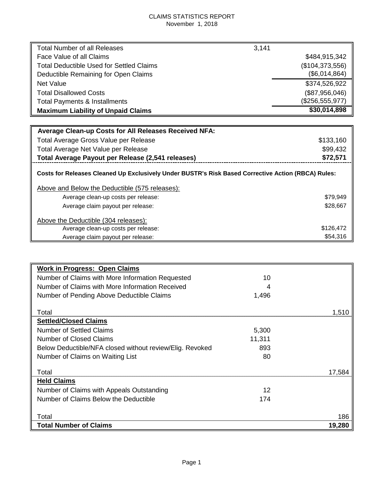#### CLAIMS STATISTICS REPORT November 1, 2018

| <b>Total Number of all Releases</b>                                                                | 3,141           |
|----------------------------------------------------------------------------------------------------|-----------------|
| Face Value of all Claims                                                                           | \$484,915,342   |
| Total Deductible Used for Settled Claims                                                           | (\$104,373,556) |
| Deductible Remaining for Open Claims                                                               | (\$6,014,864)   |
| Net Value                                                                                          | \$374,526,922   |
| <b>Total Disallowed Costs</b>                                                                      | (\$87,956,046)  |
| <b>Total Payments &amp; Installments</b>                                                           | (\$256,555,977) |
| <b>Maximum Liability of Unpaid Claims</b>                                                          | \$30,014,898    |
|                                                                                                    |                 |
| <b>Average Clean-up Costs for All Releases Received NFA:</b>                                       |                 |
| Total Average Gross Value per Release                                                              | \$133,160       |
| Total Average Net Value per Release                                                                | \$99,432        |
| Total Average Payout per Release (2,541 releases)                                                  | \$72,571        |
| Costs for Releases Cleaned Up Exclusively Under BUSTR's Risk Based Corrective Action (RBCA) Rules: |                 |

| Above and Below the Deductible (575 releases): |           |
|------------------------------------------------|-----------|
| Average clean-up costs per release:            | \$79,949  |
| Average claim payout per release:              | \$28,667  |
| Above the Deductible (304 releases):           |           |
| Average clean-up costs per release:            | \$126,472 |
| Average claim payout per release:              | \$54,316  |

| <b>Work in Progress: Open Claims</b>                     |        |        |
|----------------------------------------------------------|--------|--------|
| Number of Claims with More Information Requested         | 10     |        |
| Number of Claims with More Information Received          |        |        |
| Number of Pending Above Deductible Claims                | 1,496  |        |
| Total                                                    |        | 1.510  |
| <b>Settled/Closed Claims</b>                             |        |        |
| <b>Number of Settled Claims</b>                          | 5,300  |        |
| Number of Closed Claims                                  | 11,311 |        |
| Below Deductible/NFA closed without review/Elig. Revoked | 893    |        |
| Number of Claims on Waiting List                         | 80     |        |
| Total                                                    |        | 17.584 |
| <b>Held Claims</b>                                       |        |        |
| Number of Claims with Appeals Outstanding                | 12     |        |
| Number of Claims Below the Deductible                    | 174    |        |
|                                                          |        |        |
| Total                                                    |        | 186    |
| <b>Total Number of Claims</b>                            |        | 19,280 |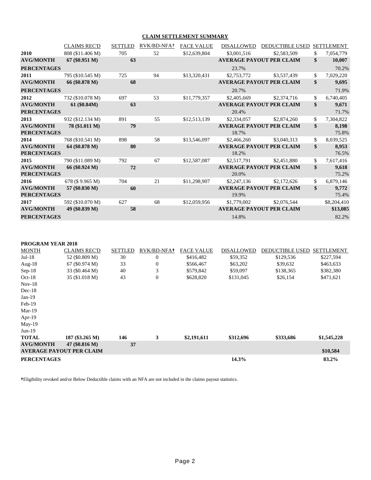#### **CLAIM SETTLEMENT SUMMARY**

|                                        | <b>CLAIMS REC'D</b> | <b>SETTLED</b> | RVK/BD-NFA+ | <b>FACE VALUE</b> | <b>DISALLOWED</b> | <b>DEDUCTIBLE USED</b>          | <b>SETTLEMENT</b>    |
|----------------------------------------|---------------------|----------------|-------------|-------------------|-------------------|---------------------------------|----------------------|
| 2010                                   | 808 (\$11.406 M)    | 705            | 52          | \$12,639,804      | \$3,001,516       | \$2,583,509                     | \$<br>7,054,779      |
| <b>AVG/MONTH</b>                       | $67 (\$0.951 M)$    | 63             |             |                   |                   | <b>AVERAGE PAYOUT PER CLAIM</b> | \$<br>10,007         |
| <b>PERCENTAGES</b>                     |                     |                |             |                   | 23.7%             |                                 | 70.2%                |
| 2011                                   | 795 (\$10.545 M)    | 725            | 94          | \$13,320,431      | \$2,753,772       | \$3,537,439                     | \$<br>7,029,220      |
| <b>AVG/MONTH</b>                       | 66 (\$0.878 M)      | 68             |             |                   |                   | <b>AVERAGE PAYOUT PER CLAIM</b> | \$<br>9,695          |
| <b>PERCENTAGES</b>                     |                     |                |             |                   | 20.7%             |                                 | 71.9%                |
| 2012                                   | 732 (\$10.078 M)    | 697            | 53          | \$11,779,357      | \$2,405,669       | \$2,374,716                     | \$<br>6,740,405      |
| <b>AVG/MONTH</b>                       | 61 (\$0.84M)        | 63             |             |                   |                   | <b>AVERAGE PAYOUT PER CLAIM</b> | \$<br>9,671          |
| <b>PERCENTAGES</b>                     |                     |                |             |                   | 20.4%             |                                 | 71.7%                |
| 2013                                   | 932 (\$12.134 M)    | 891            | 55          | \$12,513,139      | \$2,334,057       | \$2,874,260                     | \$<br>7,304,822      |
| <b>AVG/MONTH</b><br><b>PERCENTAGES</b> | 78 (\$1.011 M)      | 79             |             |                   | 18.7%             | <b>AVERAGE PAYOUT PER CLAIM</b> | \$<br>8,198<br>75.8% |
| 2014                                   | 768 (\$10.541 M)    | 898            | 58          | \$13,546,097      | \$2,466,260       | \$3,040,313                     | \$<br>8,039,525      |
| <b>AVG/MONTH</b><br><b>PERCENTAGES</b> | 64 (\$0.878 M)      | 80             |             |                   | 18.2%             | <b>AVERAGE PAYOUT PER CLAIM</b> | \$<br>8,953<br>76.5% |
| 2015                                   | 790 (\$11.089 M)    | 792            | 67          | \$12,587,087      | \$2,517,791       | \$2,451,880                     | \$<br>7,617,416      |
| <b>AVG/MONTH</b><br><b>PERCENTAGES</b> | 66 (\$0.924 M)      | 72             |             |                   | 20.0%             | <b>AVERAGE PAYOUT PER CLAIM</b> | \$<br>9,618<br>75.2% |
| 2016                                   | 678 (\$9.965 M)     | 704            | 21          | \$11,298,907      | \$2,247,136       | \$2,172,626                     | \$<br>6,879,146      |
| <b>AVG/MONTH</b>                       | 57 (\$0.830 M)      | 60             |             |                   |                   | <b>AVERAGE PAYOUT PER CLAIM</b> | \$<br>9,772          |
| <b>PERCENTAGES</b>                     |                     |                |             |                   | 19.9%             |                                 | 75.4%                |
| 2017                                   | 592 (\$10.070 M)    | 627            | 68          | \$12,059,956      | \$1,779,002       | \$2,076,544                     | \$8,204,410          |
| <b>AVG/MONTH</b>                       | 49 (\$0.839 M)      | 58             |             |                   |                   | <b>AVERAGE PAYOUT PER CLAIM</b> | \$13,085             |
| <b>PERCENTAGES</b>                     |                     |                |             |                   | 14.8%             |                                 | 82.2%                |

| <b>PROGRAM YEAR 2018</b> |  |  |
|--------------------------|--|--|
|--------------------------|--|--|

| <b>MONTH</b>       | <b>CLAIMS REC'D</b>             | <b>SETTLED</b> | RVK/BD-NFA+  | <b>FACE VALUE</b> | <b>DISALLOWED</b> | <b>DEDUCTIBLE USED</b> | <b>SETTLEMENT</b> |
|--------------------|---------------------------------|----------------|--------------|-------------------|-------------------|------------------------|-------------------|
| $Jul-18$           | 52 (\$0.809 M)                  | 30             | 0            | \$416,482         | \$59,352          | \$129,536              | \$227,594         |
| Aug- $18$          | $67 (\$0.974 M)$                | 33             | 0            | \$566,467         | \$63,202          | \$39,632               | \$463,633         |
| $Sep-18$           | 33 (\$0.464 M)                  | 40             | 3            | \$579,842         | \$59,097          | \$138,365              | \$382,380         |
| $Oct-18$           | 35 (\$1.018 M)                  | 43             | $\mathbf{0}$ | \$628,820         | \$131,045         | \$26,154               | \$471,621         |
| $Nov-18$           |                                 |                |              |                   |                   |                        |                   |
| $Dec-18$           |                                 |                |              |                   |                   |                        |                   |
| $Jan-19$           |                                 |                |              |                   |                   |                        |                   |
| $Feb-19$           |                                 |                |              |                   |                   |                        |                   |
| $Mar-19$           |                                 |                |              |                   |                   |                        |                   |
| Apr- $19$          |                                 |                |              |                   |                   |                        |                   |
| $May-19$           |                                 |                |              |                   |                   |                        |                   |
| $Jun-19$           |                                 |                |              |                   |                   |                        |                   |
| <b>TOTAL</b>       | 187 (\$3.265 M)                 | 146            | 3            | \$2,191,611       | \$312,696         | \$333,686              | \$1,545,228       |
| <b>AVG/MONTH</b>   | 47 (\$0.816 M)                  | 37             |              |                   |                   |                        |                   |
|                    | <b>AVERAGE PAYOUT PER CLAIM</b> |                |              |                   |                   |                        | \$10,584          |
| <b>PERCENTAGES</b> |                                 |                |              |                   | 14.3%             |                        | 83.2%             |

**†**Eligibility revoked and/or Below Deductible claims with an NFA are not included in the claims payout statistics.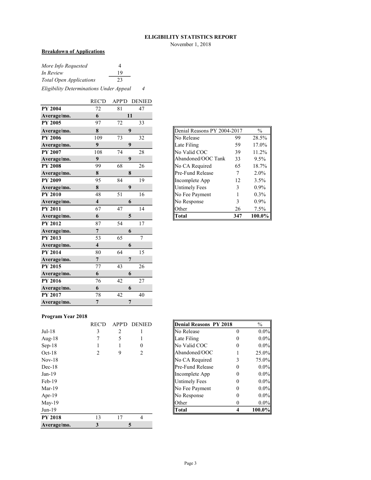#### **ELIGIBILITY STATISTICS REPORT**

November 1, 2018

#### **Breakdown of Applications**

| More Info Requested            |    |  |
|--------------------------------|----|--|
| In Review                      | 19 |  |
| <b>Total Open Applications</b> | 23 |  |
|                                |    |  |

*Eligibility Determinations Under Appeal 4*

|                | <b>REC'D</b>            | APP'D           | <b>DENIED</b>  |
|----------------|-------------------------|-----------------|----------------|
| <b>PY 2004</b> | 72                      | 81              | 47             |
| Average/mo.    | 6                       |                 | 11             |
| PY 2005        | 97                      | 72              | 33             |
| Average/mo.    | 8                       |                 | 9              |
| <b>PY 2006</b> | 109                     | 73              | 32             |
| Average/mo.    | 9                       |                 | 9              |
| PY 2007        | 108                     | 74              | 28             |
| Average/mo.    | 9                       |                 | 9              |
| <b>PY 2008</b> | 99                      | 68              | 26             |
| Average/mo.    | ${\bf 8}$               |                 | 8              |
| <b>PY 2009</b> | 95                      | 84              | 19             |
| Average/mo.    | ${\bf 8}$               |                 | 9              |
| <b>PY 2010</b> | 48                      | 51              | 16             |
| Average/mo.    | $\overline{\mathbf{4}}$ |                 | 6              |
| <b>PY 2011</b> | 67                      | 47              | 14             |
| Average/mo.    | 6                       |                 | 5              |
| <b>PY 2012</b> | 87                      | 54              | 17             |
| Average/mo.    | $\overline{7}$          |                 | 6              |
| <b>PY 2013</b> | 53                      | $\overline{65}$ | $\overline{7}$ |
| Average/mo.    | $\overline{\mathbf{4}}$ |                 | 6              |
| <b>PY 2014</b> | 80                      | 64              | 15             |
| Average/mo.    | $\overline{7}$          |                 | $\overline{7}$ |
| <b>PY 2015</b> | 77                      | 43              | 26             |
| Average/mo.    | 6                       |                 | 6              |
| <b>PY 2016</b> | 76                      | 42              | 27             |
| Average/mo.    | 6                       |                 | 6              |
| <b>PY 2017</b> | 78                      | 42              | 40             |
| Average/mo.    | $\overline{7}$          |                 | 7              |

| Denial Reasons PY 2004-2017 |     | $\frac{0}{0}$ |
|-----------------------------|-----|---------------|
| No Release                  | 99  | 28.5%         |
| Late Filing                 | 59  | 17.0%         |
| No Valid COC                | 39  | 11.2%         |
| Abandoned/OOC Tank          | 33  | 9.5%          |
| No CA Required              | 65  | 18.7%         |
| Pre-Fund Release            | 7   | 2.0%          |
| Incomplete App              | 12  | 3.5%          |
| <b>Untimely Fees</b>        | 3   | 0.9%          |
| No Fee Payment              | 1   | 0.3%          |
| No Response                 | 3   | $0.9\%$       |
| Other                       | 26  | 7.5%          |
| Fotal                       | 347 | 100.0%        |

#### **Program Year 2018**

|                | <b>REC'D</b>   | <b>APP'D</b> | <b>DENIED</b>  | Denial Reasons PY 2018 |          | $\frac{0}{0}$ |
|----------------|----------------|--------------|----------------|------------------------|----------|---------------|
| $Jul-18$       | 3              | 2            |                | ∥No Release            | 0        | $0.0\%$       |
| Aug- $18$      |                | 5            |                | Late Filing            | 0        | $0.0\%$       |
| $Sep-18$       |                |              | 0              | No Valid COC           | 0        | $0.0\%$       |
| $Oct-18$       | $\mathfrak{D}$ | 9            | $\mathfrak{D}$ | Abandoned/OOC          |          | 25.0%         |
| $Nov-18$       |                |              |                | No CA Required         | 3        | 75.0%         |
| $Dec-18$       |                |              |                | Pre-Fund Release       | 0        | $0.0\%$       |
| $Jan-19$       |                |              |                | Incomplete App         | 0        | $0.0\%$       |
| $Feb-19$       |                |              |                | Untimely Fees          | 0        | $0.0\%$       |
| $Mar-19$       |                |              |                | <b>No Fee Payment</b>  | 0        | $0.0\%$       |
| Apr- $19$      |                |              |                | No Response            | 0        | $0.0\%$       |
| $May-19$       |                |              |                | <b>Other</b>           | $\theta$ | $0.0\%$       |
| $Jun-19$       |                |              |                | Total                  | 4        | 100.0%        |
| <b>PY 2018</b> | 13             | 17           | $\overline{4}$ |                        |          |               |
| Average/mo.    | 3              |              | 5              |                        |          |               |

| REC'D | APP'D DENIED | Denial Reasons PY 2018 | $\frac{0}{0}$ |
|-------|--------------|------------------------|---------------|
|       |              | No Release             | $0.0\%$       |
|       |              | Late Filing            | $0.0\%$       |
|       |              | No Valid COC           | $0.0\%$       |
|       |              | Abandoned/OOC          | 25.0%         |
|       |              | No CA Required         | 75.0%         |
|       |              | llPre-Fund Release     | $0.0\%$       |
|       |              | Incomplete App         | $0.0\%$       |
|       |              | Untimely Fees          | $0.0\%$       |
|       |              | ∥No Fee Payment        | $0.0\%$       |
|       |              | No Response            | $0.0\%$       |
|       |              | Other                  | $0.0\%$       |
|       |              | Total                  | $100.0\%$     |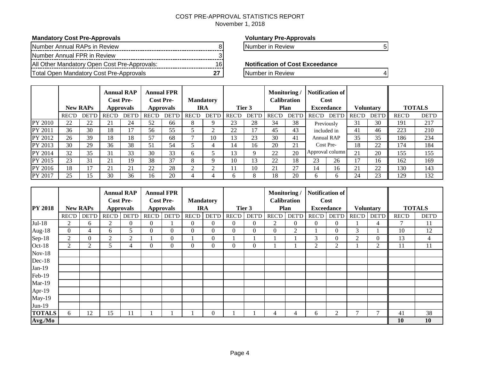## COST PRE-APPROVAL STATISTICS REPORT

November 1, 2018

#### **Mandatory Cost Pre-Approvals Voluntary Pre-Approvals**

| Number Annual RAPs in Review                 |    |
|----------------------------------------------|----|
| Number Annual FPR in Review                  |    |
| All Other Mandatory Open Cost Pre-Approvals: | 16 |
| Total Open Mandatory Cost Pre-Approvals      |    |

Number in Review 8 Number in Review 6 Number in Review 6 Number 1988

#### **Notification of Cost Exceedance**

**The Manufacture Mandatory Cost Pre-Approvals** 27 Number in Review 4

|         |              | <b>New RAPs</b> |              | <b>Annual RAP</b><br><b>Cost Pre-</b><br><b>Approvals</b> |              | <b>Annual FPR</b><br><b>Cost Pre-</b><br><b>Approvals</b> |              | <b>Mandatory</b><br>IRA |              | Tier 3       | Monitoring   | <b>Calibration</b><br>Plan |              | <b>Notification of</b><br>Cost<br><b>Exceedance</b> |              | <b>Voluntary</b> |              | <b>TOTALS</b> |
|---------|--------------|-----------------|--------------|-----------------------------------------------------------|--------------|-----------------------------------------------------------|--------------|-------------------------|--------------|--------------|--------------|----------------------------|--------------|-----------------------------------------------------|--------------|------------------|--------------|---------------|
|         | <b>REC'D</b> | <b>DET'D</b>    | <b>REC'D</b> | <b>DET'D</b>                                              | <b>REC'D</b> | <b>DET'D</b>                                              | <b>REC'D</b> | <b>DET'D</b>            | <b>REC'D</b> | <b>DET'D</b> | <b>REC'D</b> | <b>DET'D</b>               | <b>REC'D</b> | <b>DET'D</b>                                        | <b>REC'D</b> | <b>DET'D</b>     | <b>REC'D</b> | <b>DET'D</b>  |
| PY 2010 | 22           | 22              | 21           | 24                                                        | 52           | 66                                                        | 8            |                         | 23           | 28           | 34           | 38                         |              | Previously                                          | 31           | 30               | 191          | 217           |
| PY 2011 | 36           | 30              | 18           | 17                                                        | 56           | 55                                                        |              |                         | 22           | 17           | 45           | 43                         |              | included in                                         | 41           | 46               | 223          | 210           |
| PY 2012 | 26           | 39              | 18           | 18                                                        | 57           | 68                                                        |              | 10                      | 13           | 23           | 30           | 41                         |              | <b>Annual RAP</b>                                   | 35           | 35               | 186          | 234           |
| PY 2013 | 30           | 29              | 36           | 38                                                        | 51           | 54                                                        |              | 4                       | 14           | 16           | 20           | 21                         |              | Cost Pre-                                           | 18           | 22               | 174          | 184           |
| PY 2014 | 32           | 35              | 31           | 33                                                        | 30           | 33                                                        | 6            |                         | 13           | Q            | 22           | 20                         |              | Approval column                                     | 21           | 20               | 155          | 155           |
| PY 2015 | 23           | 31              | 21           | 19                                                        | 38           | 37                                                        | 8            |                         | 10           | 13           | 22           | 18                         | 23           | 26                                                  | 17           | 16               | 162          | 169           |
| PY 2016 | 18           | 17              | 21           | 21                                                        | 22           | 28                                                        |              |                         |              | 10           | 21           | 27                         | 14           | 16                                                  | 21           | 22               | 130          | 143           |
| PY 2017 | 25           | 15              | 30           | 36                                                        | 16           | 20                                                        | 4            | 4                       | h.           | 8            | 18           | 20                         | h.           | n                                                   | 24           | 23               | 129          | 132           |

|                |              |                 | <b>Cost Pre-</b> | <b>Annual RAP</b> |                | <b>Annual FPR</b><br><b>Cost Pre-</b> | <b>Mandatory</b> |                |                |                | Monitoring/  | <b>Calibration</b> |                | <b>Notification of</b><br>Cost |              |                  |              |                |
|----------------|--------------|-----------------|------------------|-------------------|----------------|---------------------------------------|------------------|----------------|----------------|----------------|--------------|--------------------|----------------|--------------------------------|--------------|------------------|--------------|----------------|
| <b>PY 2018</b> |              | <b>New RAPs</b> |                  | <b>Approvals</b>  |                | <b>Approvals</b>                      |                  | <b>IRA</b>     |                | Tier 3         |              | <b>Plan</b>        |                | <b>Exceedance</b>              |              | <b>Voluntary</b> |              | <b>TOTALS</b>  |
|                | <b>REC'D</b> | <b>DET'D</b>    | REC'D            | DET'D             | <b>REC'D</b>   | <b>DET'D</b>                          | <b>REC'D</b>     | <b>DET'D</b>   | <b>REC'D</b>   | <b>DET'D</b>   | <b>REC'D</b> | <b>DET'D</b>       | <b>REC'D</b>   | <b>DET'D</b>                   | <b>REC'D</b> | <b>DET'D</b>     | <b>REC'D</b> | <b>DET'D</b>   |
| $Jul-18$       | 2            | 6               | $\overline{2}$   | $\overline{0}$    | $\theta$       |                                       | $\overline{0}$   | $\Omega$       | $\Omega$       | $\overline{0}$ | 2            | $\overline{0}$     | $\overline{0}$ | $\overline{0}$                 |              | 4                | 7            | 11             |
| Aug-18         | $\Omega$     | 4               | 6                | 5                 | $\overline{0}$ | $\mathbf{0}$                          | $\overline{0}$   | $\Omega$       | $\overline{0}$ | $\overline{0}$ | $\mathbf{0}$ | $\overline{2}$     |                | $\theta$                       | 3            |                  | 10           | 12             |
| Sep-18         | 2            | $\overline{0}$  | $\overline{2}$   | $\overline{2}$    |                | $\mathbf{0}$                          |                  | $\overline{0}$ |                |                |              |                    | 3              | $\theta$                       | 2            | $\Omega$         | 13           | $\overline{4}$ |
| Oct-18         | 2            | 2               | 5                | 4                 | $\Omega$       | $\mathbf{0}$                          | $\Omega$         | $\Omega$       | $\Omega$       | $\overline{0}$ |              |                    | 2              | 2                              |              | 2                | 11           | 11             |
| $Nov-18$       |              |                 |                  |                   |                |                                       |                  |                |                |                |              |                    |                |                                |              |                  |              |                |
| Dec-18         |              |                 |                  |                   |                |                                       |                  |                |                |                |              |                    |                |                                |              |                  |              |                |
| $Jan-19$       |              |                 |                  |                   |                |                                       |                  |                |                |                |              |                    |                |                                |              |                  |              |                |
| Feb-19         |              |                 |                  |                   |                |                                       |                  |                |                |                |              |                    |                |                                |              |                  |              |                |
| $Mar-19$       |              |                 |                  |                   |                |                                       |                  |                |                |                |              |                    |                |                                |              |                  |              |                |
| Apr-19         |              |                 |                  |                   |                |                                       |                  |                |                |                |              |                    |                |                                |              |                  |              |                |
| May-19         |              |                 |                  |                   |                |                                       |                  |                |                |                |              |                    |                |                                |              |                  |              |                |
| Jun-19         |              |                 |                  |                   |                |                                       |                  |                |                |                |              |                    |                |                                |              |                  |              |                |
| <b>TOTALS</b>  | 6            | 12              | 15               | 11                |                |                                       |                  | $\Omega$       |                |                | 4            | 4                  | 6              | 2                              |              |                  | 41           | 38             |
| Avg./Mo        |              |                 |                  |                   |                |                                       |                  |                |                |                |              |                    |                |                                |              |                  | 10           | 10             |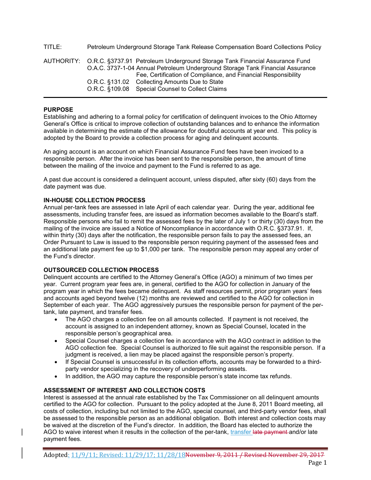TITLE: Petroleum Underground Storage Tank Release Compensation Board Collections Policy AUTHORITY: O.R.C. §3737.91 Petroleum Underground Storage Tank Financial Assurance Fund O.A.C. 3737-1-04 Annual Petroleum Underground Storage Tank Financial Assurance Fee, Certification of Compliance, and Financial Responsibility O.R.C. §131.02 Collecting Amounts Due to State O.R.C. §109.08 Special Counsel to Collect Claims

#### **PURPOSE**

Establishing and adhering to a formal policy for certification of delinquent invoices to the Ohio Attorney General's Office is critical to improve collection of outstanding balances and to enhance the information available in determining the estimate of the allowance for doubtful accounts at year end. This policy is adopted by the Board to provide a collection process for aging and delinquent accounts.

An aging account is an account on which Financial Assurance Fund fees have been invoiced to a responsible person. After the invoice has been sent to the responsible person, the amount of time between the mailing of the invoice and payment to the Fund is referred to as age.

A past due account is considered a delinquent account, unless disputed, after sixty (60) days from the date payment was due.

#### **IN-HOUSE COLLECTION PROCESS**

Annual per-tank fees are assessed in late April of each calendar year. During the year, additional fee assessments, including transfer fees, are issued as information becomes available to the Board's staff. Responsible persons who fail to remit the assessed fees by the later of July 1 or thirty (30) days from the mailing of the invoice are issued a Notice of Noncompliance in accordance with O.R.C. §3737.91. If, within thirty (30) days after the notification, the responsible person fails to pay the assessed fees, an Order Pursuant to Law is issued to the responsible person requiring payment of the assessed fees and an additional late payment fee up to \$1,000 per tank. The responsible person may appeal any order of the Fund's director.

#### **OUTSOURCED COLLECTION PROCESS**

Delinquent accounts are certified to the Attorney General's Office (AGO) a minimum of two times per year. Current program year fees are, in general, certified to the AGO for collection in January of the program year in which the fees became delinquent. As staff resources permit, prior program years' fees and accounts aged beyond twelve (12) months are reviewed and certified to the AGO for collection in September of each year. The AGO aggressively pursues the responsible person for payment of the pertank, late payment, and transfer fees.

- The AGO charges a collection fee on all amounts collected. If payment is not received, the account is assigned to an independent attorney, known as Special Counsel, located in the responsible person's geographical area.
- Special Counsel charges a collection fee in accordance with the AGO contract in addition to the AGO collection fee. Special Counsel is authorized to file suit against the responsible person. If a judgment is received, a lien may be placed against the responsible person's property.
- If Special Counsel is unsuccessful in its collection efforts, accounts may be forwarded to a thirdparty vendor specializing in the recovery of underperforming assets.
- In addition, the AGO may capture the responsible person's state income tax refunds.

#### **ASSESSMENT OF INTEREST AND COLLECTION COSTS**

Interest is assessed at the annual rate established by the Tax Commissioner on all delinquent amounts certified to the AGO for collection. Pursuant to the policy adopted at the June 8, 2011 Board meeting, all costs of collection, including but not limited to the AGO, special counsel, and third-party vendor fees, shall be assessed to the responsible person as an additional obligation. Both interest and collection costs may be waived at the discretion of the Fund's director. In addition, the Board has elected to authorize the AGO to waive interest when it results in the collection of the per-tank, transfer late payment and/or late payment fees.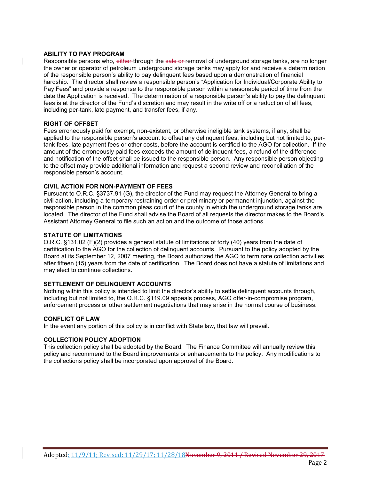#### **ABILITY TO PAY PROGRAM**

Responsible persons who, either through the sale or removal of underground storage tanks, are no longer the owner or operator of petroleum underground storage tanks may apply for and receive a determination of the responsible person's ability to pay delinquent fees based upon a demonstration of financial hardship. The director shall review a responsible person's "Application for Individual/Corporate Ability to Pay Fees" and provide a response to the responsible person within a reasonable period of time from the date the Application is received. The determination of a responsible person's ability to pay the delinquent fees is at the director of the Fund's discretion and may result in the write off or a reduction of all fees, including per-tank, late payment, and transfer fees, if any.

#### **RIGHT OF OFFSET**

Fees erroneously paid for exempt, non-existent, or otherwise ineligible tank systems, if any, shall be applied to the responsible person's account to offset any delinquent fees, including but not limited to, pertank fees, late payment fees or other costs, before the account is certified to the AGO for collection. If the amount of the erroneously paid fees exceeds the amount of delinquent fees, a refund of the difference and notification of the offset shall be issued to the responsible person. Any responsible person objecting to the offset may provide additional information and request a second review and reconciliation of the responsible person's account.

#### **CIVIL ACTION FOR NON-PAYMENT OF FEES**

Pursuant to O.R.C. §3737.91 (G), the director of the Fund may request the Attorney General to bring a civil action, including a temporary restraining order or preliminary or permanent injunction, against the responsible person in the common pleas court of the county in which the underground storage tanks are located. The director of the Fund shall advise the Board of all requests the director makes to the Board's Assistant Attorney General to file such an action and the outcome of those actions.

#### **STATUTE OF LIMITATIONS**

O.R.C. §131.02 (F)(2) provides a general statute of limitations of forty (40) years from the date of certification to the AGO for the collection of delinquent accounts. Pursuant to the policy adopted by the Board at its September 12, 2007 meeting, the Board authorized the AGO to terminate collection activities after fifteen (15) years from the date of certification. The Board does not have a statute of limitations and may elect to continue collections.

#### **SETTLEMENT OF DELINQUENT ACCOUNTS**

Nothing within this policy is intended to limit the director's ability to settle delinquent accounts through, including but not limited to, the O.R.C. §119.09 appeals process, AGO offer-in-compromise program, enforcement process or other settlement negotiations that may arise in the normal course of business.

#### **CONFLICT OF LAW**

In the event any portion of this policy is in conflict with State law, that law will prevail.

#### **COLLECTION POLICY ADOPTION**

This collection policy shall be adopted by the Board. The Finance Committee will annually review this policy and recommend to the Board improvements or enhancements to the policy. Any modifications to the collections policy shall be incorporated upon approval of the Board.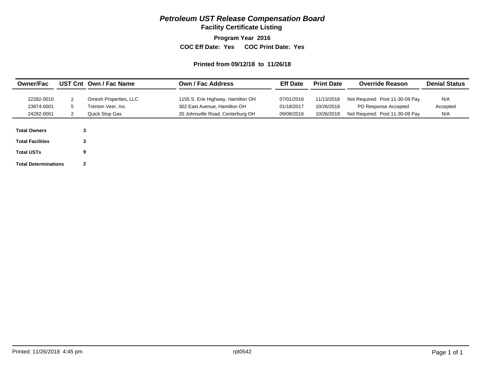## *Petroleum UST Release Compensation Board*

**Facility Certificate Listing**

**Program Year 2016**

**COC Eff Date: Yes COC Print Date: Yes** 

#### **Printed from 09/12/18 to 11/26/18**

| <b>Owner/Fac</b>                                                                                   |                             | UST Cnt Own / Fac Name | <b>Own / Fac Address</b>          | <b>Eff Date</b> | <b>Print Date</b> | <b>Override Reason</b>          | <b>Denial Status</b> |
|----------------------------------------------------------------------------------------------------|-----------------------------|------------------------|-----------------------------------|-----------------|-------------------|---------------------------------|----------------------|
| 22282-0010                                                                                         | 2                           | Omesh Properties, LLC  | 1155 S. Erie Highway, Hamilton OH | 07/01/2016      | 11/13/2018        | Not Required: Post 11-30-09 Pay | N/A                  |
| 23874-0001                                                                                         | 5                           | Trenton Veer. Inc.     | 302 East Avenue, Hamilton OH      | 01/18/2017      | 10/26/2018        | PD Response Accepted            | Accepted             |
| 24292-0001                                                                                         |                             | Quick Stop Gas         | 20 Johnsville Road, Centerburg OH | 09/08/2016      | 10/26/2018        | Not Required: Post 11-30-09 Pay | N/A                  |
| <b>Total Owners</b><br><b>Total Facilities</b><br><b>Total USTs</b><br><b>Total Determinations</b> | 3<br>3<br>9<br>$\mathbf{2}$ |                        |                                   |                 |                   |                                 |                      |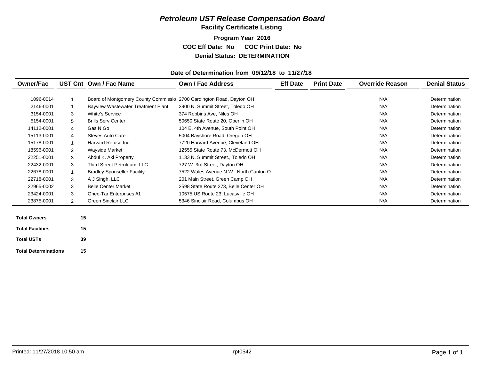#### *Petroleum UST Release Compensation Board*  **Facility Certificate Listing**

**Program Year 2016 COC Eff Date: No COC Print Date: No Denial Status: DETERMINATION**

#### **Date of Determination from 09/12/18 to 11/27/18**

| <b>Owner/Fac</b>        |    | UST Cnt Own / Fac Name                                               | Own / Fac Address                      | <b>Eff Date</b> | <b>Print Date</b> | <b>Override Reason</b> | <b>Denial Status</b> |
|-------------------------|----|----------------------------------------------------------------------|----------------------------------------|-----------------|-------------------|------------------------|----------------------|
|                         |    |                                                                      |                                        |                 |                   |                        |                      |
| 1096-0014               |    | Board of Montgomery County Commissio 2700 Cardington Road, Dayton OH |                                        |                 |                   | N/A                    | Determination        |
| 2146-0001               |    | <b>Bayview Wastewater Treatment Plant</b>                            | 3900 N. Summit Street, Toledo OH       |                 |                   | N/A                    | Determination        |
| 3154-0001               | 3  | <b>White's Service</b>                                               | 374 Robbins Ave, Niles OH              |                 |                   | N/A                    | Determination        |
| 5154-0001               | 5  | <b>Brills Serv Center</b>                                            | 50650 State Route 20, Oberlin OH       |                 |                   | N/A                    | Determination        |
| 14112-0001              | 4  | Gas N Go                                                             | 104 E. 4th Avenue, South Point OH      |                 |                   | N/A                    | Determination        |
| 15113-0001              | 4  | Steves Auto Care                                                     | 5004 Bayshore Road, Oregon OH          |                 |                   | N/A                    | Determination        |
| 15178-0001              |    | Harvard Refuse Inc.                                                  | 7720 Harvard Avenue, Cleveland OH      |                 |                   | N/A                    | Determination        |
| 18596-0001              | 2  | <b>Wayside Market</b>                                                | 12555 State Route 73, McDermott OH     |                 |                   | N/A                    | Determination        |
| 22251-0001              | 3  | Abdul K. Akl Property                                                | 1133 N. Summit Street., Toledo OH      |                 |                   | N/A                    | Determination        |
| 22432-0001              | 3  | Third Street Petroleum, LLC                                          | 727 W. 3rd Street, Dayton OH           |                 |                   | N/A                    | Determination        |
| 22678-0001              |    | <b>Bradley Sponseller Facility</b>                                   | 7522 Wales Avenue N.W., North Canton O |                 |                   | N/A                    | Determination        |
| 22718-0001              | 3  | A J Singh, LLC                                                       | 201 Main Street, Green Camp OH         |                 |                   | N/A                    | Determination        |
| 22965-0002              | 3  | <b>Belle Center Market</b>                                           | 2598 State Route 273, Belle Center OH  |                 |                   | N/A                    | Determination        |
| 23424-0001              | 3  | Ghee-Tar Enterprises #1                                              | 10575 US Route 23, Lucasville OH       |                 |                   | N/A                    | Determination        |
| 23875-0001              | 2  | Green Sinclair LLC                                                   | 5346 Sinclair Road, Columbus OH        |                 |                   | N/A                    | Determination        |
|                         |    |                                                                      |                                        |                 |                   |                        |                      |
| <b>Total Owners</b>     | 15 |                                                                      |                                        |                 |                   |                        |                      |
| <b>Total Facilities</b> | 15 |                                                                      |                                        |                 |                   |                        |                      |

**15**

**Total Determinations**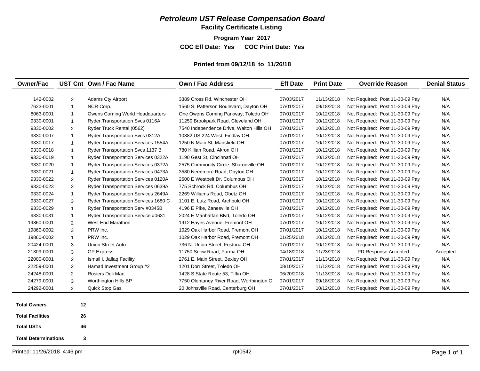## *Petroleum UST Release Compensation Board*

**Facility Certificate Listing**

**Program Year 2017**

**COC Eff Date: Yes COC Print Date: Yes** 

#### **Printed from 09/12/18 to 11/26/18**

| <b>Owner/Fac</b>        |                | UST Cnt Own / Fac Name                     | Own / Fac Address                        | <b>Eff Date</b> | <b>Print Date</b> | <b>Override Reason</b>          | <b>Denial Status</b> |
|-------------------------|----------------|--------------------------------------------|------------------------------------------|-----------------|-------------------|---------------------------------|----------------------|
| 142-0002                | $\overline{2}$ | <b>Adams Cty Airport</b>                   | 3389 Cross Rd, Winchester OH             | 07/03/2017      | 11/13/2018        | Not Required: Post 11-30-09 Pay | N/A                  |
| 7623-0001               | $\mathbf{1}$   | NCR Corp.                                  | 1560 S. Patterson Boulevard, Dayton OH   | 07/01/2017      | 09/18/2018        | Not Required: Post 11-30-09 Pay | N/A                  |
| 8063-0001               | $\mathbf{1}$   | Owens Corning World Headquarters           | One Owens Corning Parkway, Toledo OH     | 07/01/2017      | 10/12/2018        | Not Required: Post 11-30-09 Pay | N/A                  |
| 9330-0001               | $\mathbf{1}$   | Ryder Transportation Svcs 0116A            | 11250 Brookpark Road, Cleveland OH       | 07/01/2017      | 10/12/2018        | Not Required: Post 11-30-09 Pay | N/A                  |
| 9330-0002               | $\overline{2}$ | Ryder Truck Rental (0562)                  | 7540 Independence Drive, Walton Hills OH | 07/01/2017      | 10/12/2018        | Not Required: Post 11-30-09 Pay | N/A                  |
| 9330-0007               | 1              | Ryder Transportation Svcs 0312A            | 10382 US 224 West, Findlay OH            | 07/01/2017      | 10/12/2018        | Not Required: Post 11-30-09 Pay | N/A                  |
| 9330-0017               | -1             | Ryder Transportation Services 1554A        | 1250 N Main St, Mansfield OH             | 07/01/2017      | 10/12/2018        | Not Required: Post 11-30-09 Pay | N/A                  |
| 9330-0018               | $\mathbf{1}$   | Ryder Transportation Svcs 1137 B           | 780 Killian Road, Akron OH               | 07/01/2017      | 10/12/2018        | Not Required: Post 11-30-09 Pay | N/A                  |
| 9330-0019               | $\mathbf{1}$   | Ryder Transportation Services 0322A        | 1190 Gest St, Cincinnati OH              | 07/01/2017      | 10/12/2018        | Not Required: Post 11-30-09 Pay | N/A                  |
| 9330-0020               | -1             | <b>Ryder Transportation Services 0372A</b> | 2575 Commodity Circle, Sharonville OH    | 07/01/2017      | 10/12/2018        | Not Required: Post 11-30-09 Pay | N/A                  |
| 9330-0021               | $\mathbf{1}$   | Ryder Transportation Services 0473A        | 3580 Needmore Road, Dayton OH            | 07/01/2017      | 10/12/2018        | Not Required: Post 11-30-09 Pay | N/A                  |
| 9330-0022               | 2              | <b>Ryder Transportation Services 0120A</b> | 2600 E Westbelt Dr, Columbus OH          | 07/01/2017      | 10/12/2018        | Not Required: Post 11-30-09 Pay | N/A                  |
| 9330-0023               | 2              | <b>Ryder Transportation Services 0639A</b> | 775 Schrock Rd, Columbus OH              | 07/01/2017      | 10/12/2018        | Not Required: Post 11-30-09 Pay | N/A                  |
| 9330-0024               | $\mathbf{1}$   | Ryder Transportation Services 2649A        | 2269 Williams Road, Obetz OH             | 07/01/2017      | 10/12/2018        | Not Required: Post 11-30-09 Pay | N/A                  |
| 9330-0027               | 3              | Ryder Transportation Services 1680 C       | 1101 E. Lutz Road, Archbold OH           | 07/01/2017      | 10/12/2018        | Not Required: Post 11-30-09 Pay | N/A                  |
| 9330-0029               | -1             | Ryder Transportation Serv #0345B           | 4196 E Pike, Zanesville OH               | 07/01/2017      | 10/12/2018        | Not Required: Post 11-30-09 Pay | N/A                  |
| 9330-0031               | $\mathbf{1}$   | Ryder Transportation Service #0631         | 2024 E Manhattan Blvd, Toledo OH         | 07/01/2017      | 10/12/2018        | Not Required: Post 11-30-09 Pay | N/A                  |
| 19860-0001              | $\overline{2}$ | West End Marathon                          | 1912 Hayes Avenue, Fremont OH            | 07/01/2017      | 10/12/2018        | Not Required: Post 11-30-09 Pay | N/A                  |
| 19860-0002              | 3              | PRW Inc.                                   | 1029 Oak Harbor Road, Fremont OH         | 07/01/2017      | 10/12/2018        | Not Required: Post 11-30-09 Pay | N/A                  |
| 19860-0002              | $\mathbf{1}$   | PRW Inc.                                   | 1029 Oak Harbor Road, Fremont OH         | 01/25/2018      | 10/12/2018        | Not Required: Post 11-30-09 Pay | N/A                  |
| 20424-0001              | 3              | <b>Union Street Auto</b>                   | 736 N. Union Street, Fostoria OH         | 07/01/2017      | 10/12/2018        | Not Required: Post 11-30-09 Pay | N/A                  |
| 21309-0001              | 3              | <b>GP Express</b>                          | 11750 Snow Road, Parma OH                | 04/18/2018      | 11/23/2018        | PD Response Accepted            | Accepted             |
| 22000-0001              | $\overline{2}$ | Ismail I. Jallaq Facility                  | 2761 E. Main Street, Bexley OH           | 07/01/2017      | 11/13/2018        | Not Required: Post 11-30-09 Pay | N/A                  |
| 22259-0001              | $\overline{c}$ | Hamad Investment Group #2                  | 1201 Dorr Street, Toledo OH              | 08/10/2017      | 11/13/2018        | Not Required: Post 11-30-09 Pay | N/A                  |
| 24248-0001              | $\overline{2}$ | Rosiers Deli Mart                          | 1428 S State Route 53, Tiffin OH         | 06/20/2018      | 11/13/2018        | Not Required: Post 11-30-09 Pay | N/A                  |
| 24279-0001              | 3              | Worthington Hills BP                       | 7750 Olentangy River Road, Worthington O | 07/01/2017      | 09/18/2018        | Not Required: Post 11-30-09 Pay | N/A                  |
| 24292-0001              | 2              | Quick Stop Gas                             | 20 Johnsville Road, Centerburg OH        | 07/01/2017      | 10/12/2018        | Not Required: Post 11-30-09 Pay | N/A                  |
| <b>Total Owners</b>     | 12             |                                            |                                          |                 |                   |                                 |                      |
| <b>Total Facilities</b> | 26             |                                            |                                          |                 |                   |                                 |                      |
| <b>Total USTs</b>       | 46             |                                            |                                          |                 |                   |                                 |                      |

**Total Determinations 3**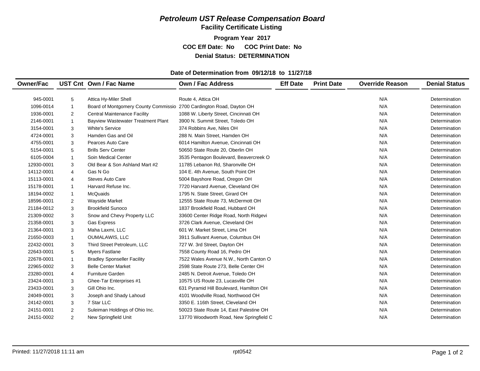#### *Petroleum UST Release Compensation Board*  **Facility Certificate Listing**

**Program Year 2017 COC Eff Date: No COC Print Date: No Denial Status: DETERMINATION**

#### **Date of Determination from 09/12/18 to 11/27/18**

| <b>Owner/Fac</b> |                | UST Cnt Own / Fac Name                                               | <b>Own / Fac Address</b>                | <b>Eff Date</b> | <b>Print Date</b> | <b>Override Reason</b> | <b>Denial Status</b> |
|------------------|----------------|----------------------------------------------------------------------|-----------------------------------------|-----------------|-------------------|------------------------|----------------------|
|                  |                |                                                                      |                                         |                 |                   |                        |                      |
| 945-0001         | 5              | Attica Hy-Miler Shell                                                | Route 4, Attica OH                      |                 |                   | N/A                    | Determination        |
| 1096-0014        | 1              | Board of Montgomery County Commissio 2700 Cardington Road, Dayton OH |                                         |                 |                   | N/A                    | Determination        |
| 1936-0001        | $\overline{2}$ | <b>Central Maintenance Facility</b>                                  | 1088 W. Liberty Street, Cincinnati OH   |                 |                   | N/A                    | Determination        |
| 2146-0001        | 1              | <b>Bayview Wastewater Treatment Plant</b>                            | 3900 N. Summit Street, Toledo OH        |                 |                   | N/A                    | Determination        |
| 3154-0001        | 3              | <b>White's Service</b>                                               | 374 Robbins Ave, Niles OH               |                 |                   | N/A                    | Determination        |
| 4724-0001        | 3              | Hamden Gas and Oil                                                   | 288 N. Main Street, Hamden OH           |                 |                   | N/A                    | Determination        |
| 4755-0001        | 3              | Pearces Auto Care                                                    | 6014 Hamilton Avenue, Cincinnati OH     |                 |                   | N/A                    | Determination        |
| 5154-0001        | 5              | <b>Brills Serv Center</b>                                            | 50650 State Route 20, Oberlin OH        |                 |                   | N/A                    | Determination        |
| 6105-0004        | 1              | Soin Medical Center                                                  | 3535 Pentagon Boulevard, Beavercreek O  |                 |                   | N/A                    | Determination        |
| 12930-0001       | 3              | Old Bear & Son Ashland Mart #2                                       | 11785 Lebanon Rd, Sharonville OH        |                 |                   | N/A                    | Determination        |
| 14112-0001       | 4              | Gas N Go                                                             | 104 E. 4th Avenue, South Point OH       |                 |                   | N/A                    | Determination        |
| 15113-0001       | 4              | <b>Steves Auto Care</b>                                              | 5004 Bayshore Road, Oregon OH           |                 |                   | N/A                    | Determination        |
| 15178-0001       | 1              | Harvard Refuse Inc.                                                  | 7720 Harvard Avenue, Cleveland OH       |                 |                   | N/A                    | Determination        |
| 18194-0002       | 1              | <b>McQuaids</b>                                                      | 1795 N. State Street, Girard OH         |                 |                   | N/A                    | Determination        |
| 18596-0001       | 2              | Wayside Market                                                       | 12555 State Route 73, McDermott OH      |                 |                   | N/A                    | Determination        |
| 21184-0012       | 3              | <b>Brookfield Sunoco</b>                                             | 1837 Brookfield Road, Hubbard OH        |                 |                   | N/A                    | Determination        |
| 21309-0002       | 3              | Snow and Chevy Property LLC                                          | 33600 Center Ridge Road, North Ridgevi  |                 |                   | N/A                    | Determination        |
| 21358-0001       | 3              | <b>Gas Express</b>                                                   | 3726 Clark Avenue, Cleveland OH         |                 |                   | N/A                    | Determination        |
| 21364-0001       | 3              | Maha Laxmi, LLC                                                      | 601 W. Market Street, Lima OH           |                 |                   | N/A                    | Determination        |
| 21650-0003       | 1              | <b>OUMALAWIS, LLC</b>                                                | 3911 Sullivant Avenue, Columbus OH      |                 |                   | N/A                    | Determination        |
| 22432-0001       | 3              | Third Street Petroleum, LLC                                          | 727 W. 3rd Street, Dayton OH            |                 |                   | N/A                    | Determination        |
| 22643-0001       | 5              | <b>Myers Fastlane</b>                                                | 7558 County Road 16, Pedro OH           |                 |                   | N/A                    | Determination        |
| 22678-0001       |                | <b>Bradley Sponseller Facility</b>                                   | 7522 Wales Avenue N.W., North Canton O  |                 |                   | N/A                    | Determination        |
| 22965-0002       | 3              | <b>Belle Center Market</b>                                           | 2598 State Route 273, Belle Center OH   |                 |                   | N/A                    | Determination        |
| 23280-0001       | 4              | <b>Furniture Garden</b>                                              | 2485 N. Detroit Avenue, Toledo OH       |                 |                   | N/A                    | Determination        |
| 23424-0001       | 3              | Ghee-Tar Enterprises #1                                              | 10575 US Route 23, Lucasville OH        |                 |                   | N/A                    | Determination        |
| 23433-0001       | 3              | Gill Ohio Inc.                                                       | 631 Pyramid Hill Boulevard, Hamilton OH |                 |                   | N/A                    | Determination        |
| 24049-0001       | 3              | Joseph and Shady Lahoud                                              | 4101 Woodville Road, Northwood OH       |                 |                   | N/A                    | Determination        |
| 24142-0001       | 3              | 7 Star LLC                                                           | 3350 E. 116th Street, Cleveland OH      |                 |                   | N/A                    | Determination        |
| 24151-0001       | $\overline{2}$ | Suleiman Holdings of Ohio Inc.                                       | 50023 State Route 14, East Palestine OH |                 |                   | N/A                    | Determination        |
| 24151-0002       | $\overline{2}$ | New Springfield Unit                                                 | 13770 Woodworth Road, New Springfield C |                 |                   | N/A                    | Determination        |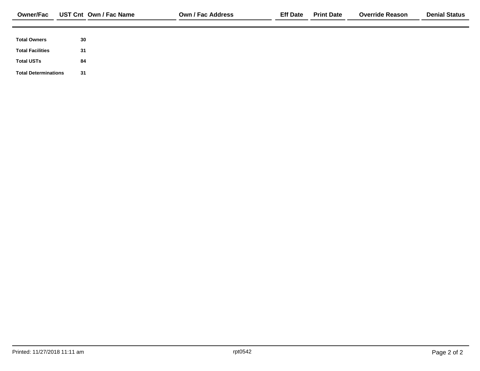| <b>Total Owners</b>         | 30 |
|-----------------------------|----|
| <b>Total Facilities</b>     | 31 |
|                             |    |
| <b>Total USTs</b>           | 84 |
| <b>Total Determinations</b> | 31 |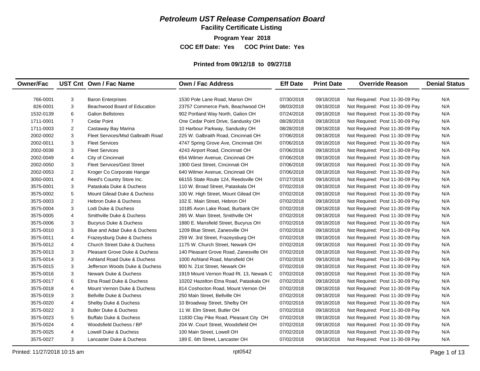### *Petroleum UST Release Compensation Board*

**Facility Certificate Listing**

**Program Year 2018 COC Eff Date: Yes COC Print Date: Yes** 

#### **Printed from 09/12/18 to 09/27/18**

| N/A<br>N/A<br>N/A<br>N/A<br>N/A<br>N/A<br>N/A                                                                                                                                                                                                                                                                                                                                                                                                                                                                                                                                                                                                                                                                                                                                                                                                                                                                                                                                 |
|-------------------------------------------------------------------------------------------------------------------------------------------------------------------------------------------------------------------------------------------------------------------------------------------------------------------------------------------------------------------------------------------------------------------------------------------------------------------------------------------------------------------------------------------------------------------------------------------------------------------------------------------------------------------------------------------------------------------------------------------------------------------------------------------------------------------------------------------------------------------------------------------------------------------------------------------------------------------------------|
|                                                                                                                                                                                                                                                                                                                                                                                                                                                                                                                                                                                                                                                                                                                                                                                                                                                                                                                                                                               |
|                                                                                                                                                                                                                                                                                                                                                                                                                                                                                                                                                                                                                                                                                                                                                                                                                                                                                                                                                                               |
|                                                                                                                                                                                                                                                                                                                                                                                                                                                                                                                                                                                                                                                                                                                                                                                                                                                                                                                                                                               |
|                                                                                                                                                                                                                                                                                                                                                                                                                                                                                                                                                                                                                                                                                                                                                                                                                                                                                                                                                                               |
|                                                                                                                                                                                                                                                                                                                                                                                                                                                                                                                                                                                                                                                                                                                                                                                                                                                                                                                                                                               |
|                                                                                                                                                                                                                                                                                                                                                                                                                                                                                                                                                                                                                                                                                                                                                                                                                                                                                                                                                                               |
|                                                                                                                                                                                                                                                                                                                                                                                                                                                                                                                                                                                                                                                                                                                                                                                                                                                                                                                                                                               |
|                                                                                                                                                                                                                                                                                                                                                                                                                                                                                                                                                                                                                                                                                                                                                                                                                                                                                                                                                                               |
| N/A                                                                                                                                                                                                                                                                                                                                                                                                                                                                                                                                                                                                                                                                                                                                                                                                                                                                                                                                                                           |
| N/A                                                                                                                                                                                                                                                                                                                                                                                                                                                                                                                                                                                                                                                                                                                                                                                                                                                                                                                                                                           |
| N/A                                                                                                                                                                                                                                                                                                                                                                                                                                                                                                                                                                                                                                                                                                                                                                                                                                                                                                                                                                           |
| N/A                                                                                                                                                                                                                                                                                                                                                                                                                                                                                                                                                                                                                                                                                                                                                                                                                                                                                                                                                                           |
| N/A                                                                                                                                                                                                                                                                                                                                                                                                                                                                                                                                                                                                                                                                                                                                                                                                                                                                                                                                                                           |
| N/A                                                                                                                                                                                                                                                                                                                                                                                                                                                                                                                                                                                                                                                                                                                                                                                                                                                                                                                                                                           |
| N/A                                                                                                                                                                                                                                                                                                                                                                                                                                                                                                                                                                                                                                                                                                                                                                                                                                                                                                                                                                           |
| N/A                                                                                                                                                                                                                                                                                                                                                                                                                                                                                                                                                                                                                                                                                                                                                                                                                                                                                                                                                                           |
| N/A                                                                                                                                                                                                                                                                                                                                                                                                                                                                                                                                                                                                                                                                                                                                                                                                                                                                                                                                                                           |
| N/A                                                                                                                                                                                                                                                                                                                                                                                                                                                                                                                                                                                                                                                                                                                                                                                                                                                                                                                                                                           |
| N/A                                                                                                                                                                                                                                                                                                                                                                                                                                                                                                                                                                                                                                                                                                                                                                                                                                                                                                                                                                           |
| N/A                                                                                                                                                                                                                                                                                                                                                                                                                                                                                                                                                                                                                                                                                                                                                                                                                                                                                                                                                                           |
| N/A                                                                                                                                                                                                                                                                                                                                                                                                                                                                                                                                                                                                                                                                                                                                                                                                                                                                                                                                                                           |
| N/A                                                                                                                                                                                                                                                                                                                                                                                                                                                                                                                                                                                                                                                                                                                                                                                                                                                                                                                                                                           |
| N/A                                                                                                                                                                                                                                                                                                                                                                                                                                                                                                                                                                                                                                                                                                                                                                                                                                                                                                                                                                           |
| N/A                                                                                                                                                                                                                                                                                                                                                                                                                                                                                                                                                                                                                                                                                                                                                                                                                                                                                                                                                                           |
| N/A                                                                                                                                                                                                                                                                                                                                                                                                                                                                                                                                                                                                                                                                                                                                                                                                                                                                                                                                                                           |
| N/A                                                                                                                                                                                                                                                                                                                                                                                                                                                                                                                                                                                                                                                                                                                                                                                                                                                                                                                                                                           |
| N/A                                                                                                                                                                                                                                                                                                                                                                                                                                                                                                                                                                                                                                                                                                                                                                                                                                                                                                                                                                           |
| N/A                                                                                                                                                                                                                                                                                                                                                                                                                                                                                                                                                                                                                                                                                                                                                                                                                                                                                                                                                                           |
| N/A                                                                                                                                                                                                                                                                                                                                                                                                                                                                                                                                                                                                                                                                                                                                                                                                                                                                                                                                                                           |
| N/A                                                                                                                                                                                                                                                                                                                                                                                                                                                                                                                                                                                                                                                                                                                                                                                                                                                                                                                                                                           |
| N/A                                                                                                                                                                                                                                                                                                                                                                                                                                                                                                                                                                                                                                                                                                                                                                                                                                                                                                                                                                           |
| N/A                                                                                                                                                                                                                                                                                                                                                                                                                                                                                                                                                                                                                                                                                                                                                                                                                                                                                                                                                                           |
| N/A                                                                                                                                                                                                                                                                                                                                                                                                                                                                                                                                                                                                                                                                                                                                                                                                                                                                                                                                                                           |
| N/A                                                                                                                                                                                                                                                                                                                                                                                                                                                                                                                                                                                                                                                                                                                                                                                                                                                                                                                                                                           |
| N/A                                                                                                                                                                                                                                                                                                                                                                                                                                                                                                                                                                                                                                                                                                                                                                                                                                                                                                                                                                           |
| Not Required: Post 11-30-09 Pay<br>Not Required: Post 11-30-09 Pay<br>Not Required: Post 11-30-09 Pay<br>Not Required: Post 11-30-09 Pay<br>Not Required: Post 11-30-09 Pay<br>Not Required: Post 11-30-09 Pay<br>Not Required: Post 11-30-09 Pay<br>Not Required: Post 11-30-09 Pay<br>Not Required: Post 11-30-09 Pay<br>Not Required: Post 11-30-09 Pay<br>Not Required: Post 11-30-09 Pay<br>Not Required: Post 11-30-09 Pay<br>Not Required: Post 11-30-09 Pay<br>Not Required: Post 11-30-09 Pay<br>Not Required: Post 11-30-09 Pay<br>Not Required: Post 11-30-09 Pay<br>Not Required: Post 11-30-09 Pay<br>Not Required: Post 11-30-09 Pay<br>Not Required: Post 11-30-09 Pay<br>Not Required: Post 11-30-09 Pay<br>Not Required: Post 11-30-09 Pay<br>Not Required: Post 11-30-09 Pay<br>Not Required: Post 11-30-09 Pay<br>Not Required: Post 11-30-09 Pay<br>Not Required: Post 11-30-09 Pay<br>Not Required: Post 11-30-09 Pay<br>Not Required: Post 11-30-09 Pay |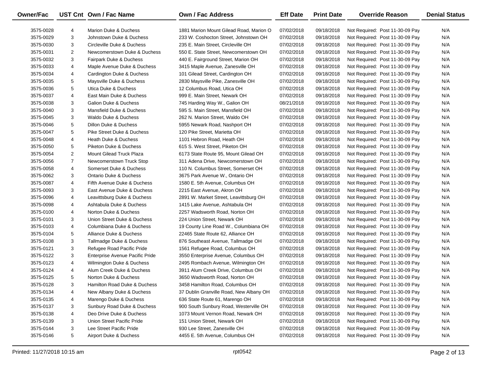| <b>Owner/Fac</b> |                | UST Cnt Own / Fac Name            | Own / Fac Address                       | <b>Eff Date</b> | <b>Print Date</b> | <b>Override Reason</b>          | <b>Denial Status</b> |
|------------------|----------------|-----------------------------------|-----------------------------------------|-----------------|-------------------|---------------------------------|----------------------|
| 3575-0028        | 4              | Marion Duke & Duchess             | 1881 Marion Mount Gilead Road, Marion O | 07/02/2018      | 09/18/2018        | Not Required: Post 11-30-09 Pay | N/A                  |
| 3575-0029        | 3              | Johnstown Duke & Duchess          | 233 W. Coshocton Street, Johnstown OH   | 07/02/2018      | 09/18/2018        | Not Required: Post 11-30-09 Pay | N/A                  |
| 3575-0030        | 3              | Circleville Duke & Duchess        | 235 E. Main Street, Circleville OH      | 07/02/2018      | 09/18/2018        | Not Required: Post 11-30-09 Pay | N/A                  |
| 3575-0031        | $\overline{2}$ | Newcomerstown Duke & Duchess      | 550 E. State Street, Newcomerstown OH   | 07/02/2018      | 09/18/2018        | Not Required: Post 11-30-09 Pay | N/A                  |
| 3575-0032        | 3              | Fairpark Duke & Duchess           | 440 E. Fairground Street, Marion OH     | 07/02/2018      | 09/18/2018        | Not Required: Post 11-30-09 Pay | N/A                  |
| 3575-0033        | 4              | Maple Avenue Duke & Duchess       | 3415 Maple Avenue, Zanesville OH        | 07/02/2018      | 09/18/2018        | Not Required: Post 11-30-09 Pay | N/A                  |
| 3575-0034        | 4              | Cardington Duke & Duchess         | 101 Gilead Street, Cardington OH        | 07/02/2018      | 09/18/2018        | Not Required: Post 11-30-09 Pay | N/A                  |
| 3575-0035        | 5              | Maysville Duke & Duchess          | 2830 Maysville Pike, Zanesville OH      | 07/02/2018      | 09/18/2018        | Not Required: Post 11-30-09 Pay | N/A                  |
| 3575-0036        | 5              | Utica Duke & Duchess              | 12 Columbus Road, Utica OH              | 07/02/2018      | 09/18/2018        | Not Required: Post 11-30-09 Pay | N/A                  |
| 3575-0037        | 4              | East Main Duke & Duchess          | 999 E. Main Street, Newark OH           | 07/02/2018      | 09/18/2018        | Not Required: Post 11-30-09 Pay | N/A                  |
| 3575-0038        | 3              | Galion Duke & Duchess             | 745 Harding Way W., Galion OH           | 08/21/2018      | 09/18/2018        | Not Required: Post 11-30-09 Pay | N/A                  |
| 3575-0040        | 3              | Mansfield Duke & Duchess          | 595 S. Main Street, Mansfield OH        | 07/02/2018      | 09/18/2018        | Not Required: Post 11-30-09 Pay | N/A                  |
| 3575-0045        | 3              | <b>Waldo Duke &amp; Duchess</b>   | 262 N. Marion Street, Waldo OH          | 07/02/2018      | 09/18/2018        | Not Required: Post 11-30-09 Pay | N/A                  |
| 3575-0046        | 5              | Dillon Duke & Duchess             | 5955 Newark Road, Nashport OH           | 07/02/2018      | 09/18/2018        | Not Required: Post 11-30-09 Pay | N/A                  |
| 3575-0047        | 5              | Pike Street Duke & Duchess        | 120 Pike Street, Marietta OH            | 07/02/2018      | 09/18/2018        | Not Required: Post 11-30-09 Pay | N/A                  |
| 3575-0048        | 4              | Heath Duke & Duchess              | 1101 Hebron Road, Heath OH              | 07/02/2018      | 09/18/2018        | Not Required: Post 11-30-09 Pay | N/A                  |
| 3575-0050        | 5              | Piketon Duke & Duchess            | 615 S. West Street, Piketon OH          | 07/02/2018      | 09/18/2018        | Not Required: Post 11-30-09 Pay | N/A                  |
| 3575-0054        | $\overline{2}$ | <b>Mount Gilead Truck Plaza</b>   | 6173 State Route 95, Mount Gilead OH    | 07/02/2018      | 09/18/2018        | Not Required: Post 11-30-09 Pay | N/A                  |
| 3575-0056        | $\overline{7}$ | Newcomerstown Truck Stop          | 311 Adena Drive, Newcomerstown OH       | 07/02/2018      | 09/18/2018        | Not Required: Post 11-30-09 Pay | N/A                  |
| 3575-0058        | 4              | Somerset Duke & Duchess           | 110 N. Columbus Street, Somerset OH     | 07/02/2018      | 09/18/2018        | Not Required: Post 11-30-09 Pay | N/A                  |
| 3575-0062        | 3              | <b>Ontario Duke &amp; Duchess</b> | 3675 Park Avenue W., Ontario OH         | 07/02/2018      | 09/18/2018        | Not Required: Post 11-30-09 Pay | N/A                  |
| 3575-0087        | 4              | Fifth Avenue Duke & Duchess       | 1580 E. 5th Avenue, Columbus OH         | 07/02/2018      | 09/18/2018        | Not Required: Post 11-30-09 Pay | N/A                  |
| 3575-0093        | 3              | East Avenue Duke & Duchess        | 2215 East Avenue, Akron OH              | 07/02/2018      | 09/18/2018        | Not Required: Post 11-30-09 Pay | N/A                  |
| 3575-0096        | 4              | Leavittsburg Duke & Duchess       | 2891 W. Market Street, Leavittsburg OH  | 07/02/2018      | 09/18/2018        | Not Required: Post 11-30-09 Pay | N/A                  |
| 3575-0098        | 4              | Ashtabula Duke & Duchess          | 1415 Lake Avenue, Ashtabula OH          | 07/02/2018      | 09/18/2018        | Not Required: Post 11-30-09 Pay | N/A                  |
| 3575-0100        | 4              | Norton Duke & Duchess             | 2257 Wadsworth Road, Norton OH          | 07/02/2018      | 09/18/2018        | Not Required: Post 11-30-09 Pay | N/A                  |
| 3575-0101        | 3              | Union Street Duke & Duchess       | 224 Union Street, Newark OH             | 07/02/2018      | 09/18/2018        | Not Required: Post 11-30-09 Pay | N/A                  |
| 3575-0103        | 4              | Columbiana Duke & Duchess         | 19 County Line Road W., Columbiana OH   | 07/02/2018      | 09/18/2018        | Not Required: Post 11-30-09 Pay | N/A                  |
| 3575-0104        | 5              | Alliance Duke & Duchess           | 22465 State Route 62, Alliance OH       | 07/02/2018      | 09/18/2018        | Not Required: Post 11-30-09 Pay | N/A                  |
| 3575-0108        | 3              | Tallmadge Duke & Duchess          | 876 Southeast Avenue, Tallmadge OH      | 07/02/2018      | 09/18/2018        | Not Required: Post 11-30-09 Pay | N/A                  |
| 3575-0121        | 3              | Refugee Road Pacific Pride        | 1561 Refugee Road, Columbus OH          | 07/02/2018      | 09/18/2018        | Not Required: Post 11-30-09 Pay | N/A                  |
| 3575-0122        | 3              | Enterprise Avenue Pacific Pride   | 3550 Enterprise Avenue, Columbus OH     | 07/02/2018      | 09/18/2018        | Not Required: Post 11-30-09 Pay | N/A                  |
| 3575-0123        | 4              | Wilmington Duke & Duchess         | 2495 Rombach Avenue, Wilmington OH      | 07/02/2018      | 09/18/2018        | Not Required: Post 11-30-09 Pay | N/A                  |
| 3575-0124        | 4              | Alum Creek Duke & Duchess         | 3911 Alum Creek Drive, Columbus OH      | 07/02/2018      | 09/18/2018        | Not Required: Post 11-30-09 Pay | N/A                  |
| 3575-0125        | 5              | Norton Duke & Duchess             | 3650 Wadsworth Road, Norton OH          | 07/02/2018      | 09/18/2018        | Not Required: Post 11-30-09 Pay | N/A                  |
| 3575-0128        | 3              | Hamilton Road Duke & Duchess      | 3458 Hamilton Road, Columbus OH         | 07/02/2018      | 09/18/2018        | Not Required: Post 11-30-09 Pay | N/A                  |
| 3575-0134        | 4              | New Albany Duke & Duchess         | 37 Dublin Granville Road, New Albany OH | 07/02/2018      | 09/18/2018        | Not Required: Post 11-30-09 Pay | N/A                  |
| 3575-0135        | 4              | Marengo Duke & Duchess            | 636 State Route 61, Marengo OH          | 07/02/2018      | 09/18/2018        | Not Required: Post 11-30-09 Pay | N/A                  |
| 3575-0137        | 3              | Sunbury Road Duke & Duchess       | 900 South Sunbury Road, Westerville OH  | 07/02/2018      | 09/18/2018        | Not Required: Post 11-30-09 Pay | N/A                  |
| 3575-0138        | 4              | Deo Drive Duke & Duchess          | 1073 Mount Vernon Road, Newark OH       | 07/02/2018      | 09/18/2018        | Not Required: Post 11-30-09 Pay | N/A                  |
| 3575-0139        | 3              | Union Street Pacific Pride        | 151 Union Street, Newark OH             | 07/02/2018      | 09/18/2018        | Not Required: Post 11-30-09 Pay | N/A                  |
| 3575-0144        | 3              | Lee Street Pacific Pride          | 930 Lee Street, Zanesville OH           | 07/02/2018      | 09/18/2018        | Not Required: Post 11-30-09 Pay | N/A                  |
| 3575-0146        | 5              | Airport Duke & Duchess            | 4455 E. 5th Avenue, Columbus OH         | 07/02/2018      | 09/18/2018        | Not Required: Post 11-30-09 Pay | N/A                  |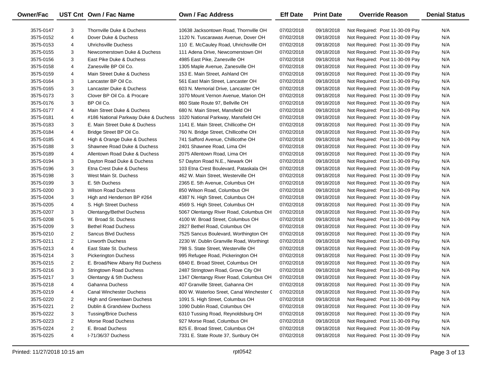| Owner/Fac |                | UST Cnt Own / Fac Name               | Own / Fac Address                         | <b>Eff Date</b> | <b>Print Date</b> | <b>Override Reason</b>          | <b>Denial Status</b> |
|-----------|----------------|--------------------------------------|-------------------------------------------|-----------------|-------------------|---------------------------------|----------------------|
| 3575-0147 | 3              | Thornville Duke & Duchess            | 10638 Jacksontown Road. Thornville OH     | 07/02/2018      | 09/18/2018        | Not Required: Post 11-30-09 Pay | N/A                  |
| 3575-0152 | 4              | Dover Duke & Duchess                 | 1120 N. Tuscarawas Avenue, Dover OH       | 07/02/2018      | 09/18/2018        | Not Required: Post 11-30-09 Pay | N/A                  |
| 3575-0153 | 4              | Uhrichsville Duchess                 | 110 E. McCauley Road, Uhrichsville OH     | 07/02/2018      | 09/18/2018        | Not Required: Post 11-30-09 Pay | N/A                  |
| 3575-0155 | 3              | Newcomerstown Duke & Duchess         | 111 Adena Drive, Newcomerstown OH         | 07/02/2018      | 09/18/2018        | Not Required: Post 11-30-09 Pay | N/A                  |
| 3575-0156 | 3              | East Pike Duke & Duchess             | 4985 East Pike, Zanesville OH             | 07/02/2018      | 09/18/2018        | Not Required: Post 11-30-09 Pay | N/A                  |
| 3575-0158 | 4              | Zanesville BP Oil Co.                | 1305 Maple Avenue, Zanesville OH          | 07/02/2018      | 09/18/2018        | Not Required: Post 11-30-09 Pay | N/A                  |
| 3575-0159 | 4              | Main Street Duke & Duchess           | 153 E. Main Street, Ashland OH            | 07/02/2018      | 09/18/2018        | Not Required: Post 11-30-09 Pay | N/A                  |
| 3575-0164 | 3              | Lancaster BP Oil Co.                 | 561 East Main Street, Lancaster OH        | 07/02/2018      | 09/18/2018        | Not Required: Post 11-30-09 Pay | N/A                  |
| 3575-0165 | 3              | Lancaster Duke & Duchess             | 603 N. Memorial Drive, Lancaster OH       | 07/02/2018      | 09/18/2018        | Not Required: Post 11-30-09 Pay | N/A                  |
| 3575-0173 | 3              | Clover BP Oil Co. & Procare          | 1070 Mount Vernon Avenue, Marion OH       | 07/02/2018      | 09/18/2018        | Not Required: Post 11-30-09 Pay | N/A                  |
| 3575-0176 | 3              | BP Oil Co.                           | 860 State Route 97, Bellville OH          | 07/02/2018      | 09/18/2018        | Not Required: Post 11-30-09 Pay | N/A                  |
| 3575-0177 | 4              | Main Street Duke & Duchess           | 680 N. Main Street, Mansfield OH          | 07/02/2018      | 09/18/2018        | Not Required: Post 11-30-09 Pay | N/A                  |
| 3575-0181 | 4              | #186 National Parkway Duke & Duchess | 1020 National Parkway, Mansfield OH       | 07/02/2018      | 09/18/2018        | Not Required: Post 11-30-09 Pay | N/A                  |
| 3575-0183 | 3              | E. Main Street Duke & Duchess        | 1141 E. Main Street, Chillicothe OH       | 07/02/2018      | 09/18/2018        | Not Required: Post 11-30-09 Pay | N/A                  |
| 3575-0184 | 4              | Bridge Street BP Oil Co.             | 760 N. Bridge Street, Chillicothe OH      | 07/02/2018      | 09/18/2018        | Not Required: Post 11-30-09 Pay | N/A                  |
| 3575-0185 | 4              | High & Orange Duke & Duchess         | 741 Safford Avenue, Chillicothe OH        | 07/02/2018      | 09/18/2018        | Not Required: Post 11-30-09 Pay | N/A                  |
| 3575-0188 | 3              | Shawnee Road Duke & Duchess          | 2401 Shawnee Road, Lima OH                | 07/02/2018      | 09/18/2018        | Not Required: Post 11-30-09 Pay | N/A                  |
| 3575-0189 | 4              | Allentown Road Duke & Duchess        | 2075 Allentown Road, Lima OH              | 07/02/2018      | 09/18/2018        | Not Required: Post 11-30-09 Pay | N/A                  |
| 3575-0194 | 3              | Dayton Road Duke & Duchess           | 57 Dayton Road N.E., Newark OH            | 07/02/2018      | 09/18/2018        | Not Required: Post 11-30-09 Pay | N/A                  |
| 3575-0196 | 3              | Etna Crest Duke & Duchess            | 103 Etna Crest Boulevard, Pataskala OH    | 07/02/2018      | 09/18/2018        | Not Required: Post 11-30-09 Pay | N/A                  |
| 3575-0198 | 3              | West Main St. Duchess                | 462 W. Main Street, Westerville OH        | 07/02/2018      | 09/18/2018        | Not Required: Post 11-30-09 Pay | N/A                  |
| 3575-0199 | 3              | E. 5th Duchess                       | 2365 E. 5th Avenue, Columbus OH           | 07/02/2018      | 09/18/2018        | Not Required: Post 11-30-09 Pay | N/A                  |
| 3575-0200 | 3              | <b>Wilson Road Duchess</b>           | 850 Wilson Road, Columbus OH              | 07/02/2018      | 09/18/2018        | Not Required: Post 11-30-09 Pay | N/A                  |
| 3575-0204 | 3              | High and Henderson BP #264           | 4387 N. High Street, Columbus OH          | 07/02/2018      | 09/18/2018        | Not Required: Post 11-30-09 Pay | N/A                  |
| 3575-0205 | 4              | S. High Street Duchess               | 4569 S. High Street, Columbus OH          | 07/02/2018      | 09/18/2018        | Not Required: Post 11-30-09 Pay | N/A                  |
| 3575-0207 | 3              | Olentangy/Bethel Duchess             | 5067 Olentangy River Road, Columbus OH    | 07/02/2018      | 09/18/2018        | Not Required: Post 11-30-09 Pay | N/A                  |
| 3575-0208 | 5              | W. Broad St. Duchess                 | 4100 W. Broad Street, Columbus OH         | 07/02/2018      | 09/18/2018        | Not Required: Post 11-30-09 Pay | N/A                  |
| 3575-0209 | 3              | <b>Bethel Road Duchess</b>           | 2827 Bethel Road, Columbus OH             | 07/02/2018      | 09/18/2018        | Not Required: Post 11-30-09 Pay | N/A                  |
| 3575-0210 | $\overline{2}$ | Sancus Blvd Duchess                  | 7525 Sancus Boulevard, Worthington OH     | 07/02/2018      | 09/18/2018        | Not Required: Post 11-30-09 Pay | N/A                  |
| 3575-0211 | $\overline{2}$ | <b>Linworth Duchess</b>              | 2230 W. Dublin Granville Road, Worthingt  | 07/02/2018      | 09/18/2018        | Not Required: Post 11-30-09 Pay | N/A                  |
| 3575-0213 | 4              | East State St. Duchess               | 798 S. State Street, Westerville OH       | 07/02/2018      | 09/18/2018        | Not Required: Post 11-30-09 Pay | N/A                  |
| 3575-0214 | 3              | <b>Pickerington Duchess</b>          | 995 Refugee Road, Pickerington OH         | 07/02/2018      | 09/18/2018        | Not Required: Post 11-30-09 Pay | N/A                  |
| 3575-0215 | $\overline{2}$ | E. Broad/New Albany Rd Duchess       | 6840 E. Broad Street, Columbus OH         | 07/02/2018      | 09/18/2018        | Not Required: Post 11-30-09 Pay | N/A                  |
| 3575-0216 | 3              | <b>Stringtown Road Duchess</b>       | 2487 Stringtown Road, Grove City OH       | 07/02/2018      | 09/18/2018        | Not Required: Post 11-30-09 Pay | N/A                  |
| 3575-0217 | 3              | Olentangy & 5th Duchess              | 1347 Olentangy River Road, Columbus OH    | 07/02/2018      | 09/18/2018        | Not Required: Post 11-30-09 Pay | N/A                  |
| 3575-0218 | 4              | Gahanna Duchess                      | 407 Granville Street, Gahanna OH          | 07/02/2018      | 09/18/2018        | Not Required: Post 11-30-09 Pay | N/A                  |
| 3575-0219 | 4              | <b>Canal Winchester Duchess</b>      | 800 W. Waterloo Sreet, Canal Winchester C | 07/02/2018      | 09/18/2018        | Not Required: Post 11-30-09 Pay | N/A                  |
| 3575-0220 | 2              | High and Greenlawn Duchess           | 1091 S. High Street, Columbus OH          | 07/02/2018      | 09/18/2018        | Not Required: Post 11-30-09 Pay | N/A                  |
| 3575-0221 | 2              | Dublin & Grandview Duchess           | 1090 Dublin Road, Columbus OH             | 07/02/2018      | 09/18/2018        | Not Required: Post 11-30-09 Pay | N/A                  |
| 3575-0222 | 3              | <b>Tussing/Brice Duchess</b>         | 6310 Tussing Road, Reynoldsburg OH        | 07/02/2018      | 09/18/2018        | Not Required: Post 11-30-09 Pay | N/A                  |
| 3575-0223 | 2              | Morse Road Duchess                   | 927 Morse Road, Columbus OH               | 07/02/2018      | 09/18/2018        | Not Required: Post 11-30-09 Pay | N/A                  |
| 3575-0224 | 2              | E. Broad Duchess                     | 825 E. Broad Street, Columbus OH          | 07/02/2018      | 09/18/2018        | Not Required: Post 11-30-09 Pay | N/A                  |
| 3575-0225 | 4              | I-71/36/37 Duchess                   | 7331 E. State Route 37, Sunbury OH        | 07/02/2018      | 09/18/2018        | Not Required: Post 11-30-09 Pay | N/A                  |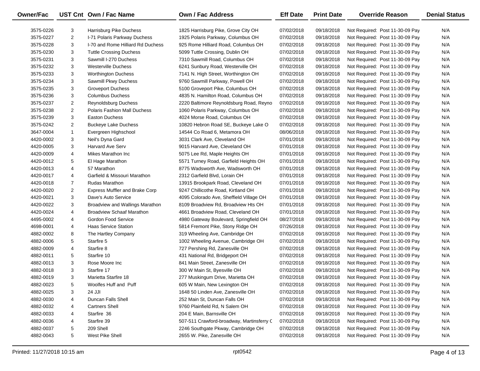| <b>Owner/Fac</b> |                | UST Cnt Own / Fac Name                | <b>Own / Fac Address</b>                  | <b>Eff Date</b> | <b>Print Date</b> | <b>Override Reason</b>          | <b>Denial Status</b> |
|------------------|----------------|---------------------------------------|-------------------------------------------|-----------------|-------------------|---------------------------------|----------------------|
| 3575-0226        | 3              | Harrisburg Pike Duchess               | 1825 Harrisburg Pike, Grove City OH       | 07/02/2018      | 09/18/2018        | Not Required: Post 11-30-09 Pay | N/A                  |
| 3575-0227        | $\overline{2}$ | I-71 Polaris Parkway Duchess          | 1925 Polaris Parkway, Columbus OH         | 07/02/2018      | 09/18/2018        | Not Required: Post 11-30-09 Pay | N/A                  |
| 3575-0228        | 3              | I-70 and Rome Hilliard Rd Duchess     | 925 Rome Hilliard Road, Columbus OH       | 07/02/2018      | 09/18/2018        | Not Required: Post 11-30-09 Pay | N/A                  |
| 3575-0230        | 3              | <b>Tuttle Crossing Duchess</b>        | 5099 Tuttle Crossing, Dublin OH           | 07/02/2018      | 09/18/2018        | Not Required: Post 11-30-09 Pay | N/A                  |
| 3575-0231        | 3              | Sawmill I-270 Duchess                 | 7310 Sawmill Road, Columbus OH            | 07/02/2018      | 09/18/2018        | Not Required: Post 11-30-09 Pay | N/A                  |
| 3575-0232        | 3              | <b>Westerville Duchess</b>            | 6241 Sunbury Road, Westerville OH         | 07/02/2018      | 09/18/2018        | Not Required: Post 11-30-09 Pay | N/A                  |
| 3575-0233        | 3              | <b>Worthington Duchess</b>            | 7141 N. High Street, Worthington OH       | 07/02/2018      | 09/18/2018        | Not Required: Post 11-30-09 Pay | N/A                  |
| 3575-0234        | 3              | Sawmill Pkwy Duchess                  | 9760 Sawmill Parkway, Powell OH           | 07/02/2018      | 09/18/2018        | Not Required: Post 11-30-09 Pay | N/A                  |
| 3575-0235        | 3              | <b>Groveport Duchess</b>              | 5100 Groveport Pike, Columbus OH          | 07/02/2018      | 09/18/2018        | Not Required: Post 11-30-09 Pay | N/A                  |
| 3575-0236        | 3              | <b>Columbus Duchess</b>               | 4835 N. Hamilton Road, Columbus OH        | 07/02/2018      | 09/18/2018        | Not Required: Post 11-30-09 Pay | N/A                  |
| 3575-0237        | 2              | Reynoldsburg Duchess                  | 2220 Baltimore Reynoldsburg Road, Reyno   | 07/02/2018      | 09/18/2018        | Not Required: Post 11-30-09 Pay | N/A                  |
| 3575-0238        | $\overline{2}$ | <b>Polaris Fashion Mall Duchess</b>   | 1060 Polaris Parkway, Columbus OH         | 07/02/2018      | 09/18/2018        | Not Required: Post 11-30-09 Pay | N/A                  |
| 3575-0239        | 3              | <b>Easton Duchess</b>                 | 4024 Morse Road, Columbus OH              | 07/02/2018      | 09/18/2018        | Not Required: Post 11-30-09 Pay | N/A                  |
| 3575-0242        | $\overline{2}$ | <b>Buckeye Lake Duchess</b>           | 10820 Hebron Road SE, Buckeye Lake O      | 07/02/2018      | 09/18/2018        | Not Required: Post 11-30-09 Pay | N/A                  |
| 3647-0004        | $\mathbf{1}$   | Evergreen Highschool                  | 14544 Co Road 6, Metamora OH              | 08/06/2018      | 09/18/2018        | Not Required: Post 11-30-09 Pay | N/A                  |
| 4420-0002        | 3              | Neil's Dyna Gard                      | 3031 Clark Ave, Cleveland OH              | 07/01/2018      | 09/18/2018        | Not Required: Post 11-30-09 Pay | N/A                  |
| 4420-0005        | 3              | <b>Harvard Ave Serv</b>               | 9015 Harvard Ave, Cleveland OH            | 07/01/2018      | 09/18/2018        | Not Required: Post 11-30-09 Pay | N/A                  |
| 4420-0009        | 4              | Mikes Marathon Inc                    | 5075 Lee Rd, Maple Heights OH             | 07/01/2018      | 09/18/2018        | Not Required: Post 11-30-09 Pay | N/A                  |
| 4420-0012        | 5              | El Hage Marathon                      | 5571 Turney Road, Garfield Heights OH     | 07/01/2018      | 09/18/2018        | Not Required: Post 11-30-09 Pay | N/A                  |
| 4420-0013        | 4              | 57 Marathon                           | 8775 Wadsworth Ave, Wadsworth OH          | 07/01/2018      | 09/18/2018        | Not Required: Post 11-30-09 Pay | N/A                  |
| 4420-0017        | 4              | Garfield & Missouri Marathon          | 2312 Garfield Blvd, Lorain OH             | 07/01/2018      | 09/18/2018        | Not Required: Post 11-30-09 Pay | N/A                  |
| 4420-0018        | $\overline{7}$ | <b>Rudas Marathon</b>                 | 13915 Brookpark Road, Cleveland OH        | 07/01/2018      | 09/18/2018        | Not Required: Post 11-30-09 Pay | N/A                  |
| 4420-0020        | $\overline{2}$ | <b>Express Muffler and Brake Corp</b> | 9247 Chillicothe Road, Kirtland OH        | 07/01/2018      | 09/18/2018        | Not Required: Post 11-30-09 Pay | N/A                  |
| 4420-0021        | 3              | Dave's Auto Service                   | 4095 Colorado Ave, Sheffield Village OH   | 07/01/2018      | 09/18/2018        | Not Required: Post 11-30-09 Pay | N/A                  |
| 4420-0022        | 3              | Broadview and Wallings Marathon       | 8109 Broadview Rd, Broadview Hts OH       | 07/01/2018      | 09/18/2018        | Not Required: Post 11-30-09 Pay | N/A                  |
| 4420-0024        | 4              | <b>Broadview Schaaf Marathon</b>      | 4661 Broadview Road, Cleveland OH         | 07/01/2018      | 09/18/2018        | Not Required: Post 11-30-09 Pay | N/A                  |
| 4495-0002        | 4              | Gordon Food Service                   | 4980 Gateway Boulevard, Springfield OH    | 08/27/2018      | 09/18/2018        | Not Required: Post 11-30-09 Pay | N/A                  |
| 4698-0001        | 4              | <b>Haas Service Station</b>           | 5814 Fremont Pike, Stony Ridge OH         | 07/26/2018      | 09/18/2018        | Not Required: Post 11-30-09 Pay | N/A                  |
| 4882-0002        | 8              | The Hartley Company                   | 319 Wheeling Ave, Cambridge OH            | 07/02/2018      | 09/18/2018        | Not Required: Post 11-30-09 Pay | N/A                  |
| 4882-0006        | 5              | Starfire 5                            | 1002 Wheeling Avenue, Cambridge OH        | 07/02/2018      | 09/18/2018        | Not Required: Post 11-30-09 Pay | N/A                  |
| 4882-0009        | 4              | Starfire 8                            | 727 Pershing Rd, Zanesville OH            | 07/02/2018      | 09/18/2018        | Not Required: Post 11-30-09 Pay | N/A                  |
| 4882-0011        | 5              | Starfire 10                           | 431 National Rd, Bridgeport OH            | 07/02/2018      | 09/18/2018        | Not Required: Post 11-30-09 Pay | N/A                  |
| 4882-0013        | 3              | Rose Moore Inc                        | 841 Main Street, Zanesville OH            | 07/02/2018      | 09/18/2018        | Not Required: Post 11-30-09 Pay | N/A                  |
| 4882-0018        | 3              | Starfire 17                           | 300 W Main St, Byesville OH               | 07/02/2018      | 09/18/2018        | Not Required: Post 11-30-09 Pay | N/A                  |
| 4882-0019        | 3              | <b>Marietta Starfire 18</b>           | 277 Muskingum Drive, Marietta OH          | 07/02/2018      | 09/18/2018        | Not Required: Post 11-30-09 Pay | N/A                  |
| 4882-0023        | 5              | Woolfes Huff and Puff                 | 605 W Main, New Lexington OH              | 07/02/2018      | 09/18/2018        | Not Required: Post 11-30-09 Pay | N/A                  |
| 4882-0025        | 3              | 24 JJI                                | 1648 50 Linden Ave, Zanesville OH         | 07/02/2018      | 09/18/2018        | Not Required: Post 11-30-09 Pay | N/A                  |
| 4882-0030        | 4              | <b>Duncan Falls Shell</b>             | 252 Main St, Duncan Falls OH              | 07/02/2018      | 09/18/2018        | Not Required: Post 11-30-09 Pay | N/A                  |
| 4882-0032        | 4              | <b>Cartners Shell</b>                 | 9760 Plainfield Rd, N Salem OH            | 07/02/2018      | 09/18/2018        | Not Required: Post 11-30-09 Pay | N/A                  |
| 4882-0033        | 4              | Starfire 36                           | 204 E Main, Barnsville OH                 | 07/02/2018      | 09/18/2018        | Not Required: Post 11-30-09 Pay | N/A                  |
| 4882-0036        | 4              | Starfire 39                           | 507-511 Crawford-broadway, Martinsferry C | 07/02/2018      | 09/18/2018        | Not Required: Post 11-30-09 Pay | N/A                  |
| 4882-0037        | 5              | 209 Shell                             | 2246 Southgate Pkway, Cambridge OH        | 07/02/2018      | 09/18/2018        | Not Required: Post 11-30-09 Pay | N/A                  |
| 4882-0043        | 5              | West Pike Shell                       | 2655 W. Pike, Zanesville OH               | 07/02/2018      | 09/18/2018        | Not Required: Post 11-30-09 Pay | N/A                  |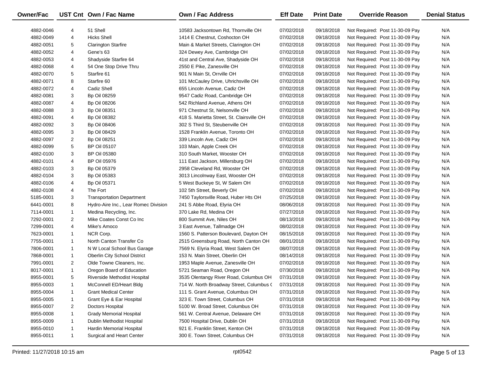| Owner/Fac |                | UST Cnt Own / Fac Name               | <b>Own / Fac Address</b>                   | <b>Eff Date</b> | <b>Print Date</b> | <b>Override Reason</b>          | <b>Denial Status</b> |
|-----------|----------------|--------------------------------------|--------------------------------------------|-----------------|-------------------|---------------------------------|----------------------|
| 4882-0046 | 4              | 51 Shell                             | 10583 Jacksontown Rd, Thornville OH        | 07/02/2018      | 09/18/2018        | Not Required: Post 11-30-09 Pay | N/A                  |
| 4882-0049 | 4              | <b>Hicks Shell</b>                   | 1414 E Chestnut, Coshocton OH              | 07/02/2018      | 09/18/2018        | Not Required: Post 11-30-09 Pay | N/A                  |
| 4882-0051 | 5              | <b>Clarington Starfire</b>           | Main & Market Streets, Clarington OH       | 07/02/2018      | 09/18/2018        | Not Required: Post 11-30-09 Pay | N/A                  |
| 4882-0052 | 4              | Gene's 63                            | 324 Dewey Ave, Cambridge OH                | 07/02/2018      | 09/18/2018        | Not Required: Post 11-30-09 Pay | N/A                  |
| 4882-0053 | 4              | Shadyside Starfire 64                | 41st and Central Ave, Shadyside OH         | 07/02/2018      | 09/18/2018        | Not Required: Post 11-30-09 Pay | N/A                  |
| 4882-0068 | 4              | 54 One Stop Drive Thru               | 2550 E Pike, Zanesville OH                 | 07/02/2018      | 09/18/2018        | Not Required: Post 11-30-09 Pay | N/A                  |
| 4882-0070 | 5              | Starfire 61                          | 901 N Main St, Orrville OH                 | 07/02/2018      | 09/18/2018        | Not Required: Post 11-30-09 Pay | N/A                  |
| 4882-0071 | 8              | Starfire 60                          | 101 McCauley Drive, Uhrichsville OH        | 07/02/2018      | 09/18/2018        | Not Required: Post 11-30-09 Pay | N/A                  |
| 4882-0072 | 4              | Cadiz Shell                          | 655 Lincoln Avenue, Cadiz OH               | 07/02/2018      | 09/18/2018        | Not Required: Post 11-30-09 Pay | N/A                  |
| 4882-0081 | 3              | <b>Bp Oil 08259</b>                  | 9547 Cadiz Road, Cambridge OH              | 07/02/2018      | 09/18/2018        | Not Required: Post 11-30-09 Pay | N/A                  |
| 4882-0087 | 4              | <b>Bp Oil 08206</b>                  | 542 Richland Avenue, Athens OH             | 07/02/2018      | 09/18/2018        | Not Required: Post 11-30-09 Pay | N/A                  |
| 4882-0088 | 3              | Bp Oil 08351                         | 971 Chestnut St, Nelsonville OH            | 07/02/2018      | 09/18/2018        | Not Required: Post 11-30-09 Pay | N/A                  |
| 4882-0091 | 4              | <b>Bp Oil 08382</b>                  | 418 S. Marietta Street, St. Clairsville OH | 07/02/2018      | 09/18/2018        | Not Required: Post 11-30-09 Pay | N/A                  |
| 4882-0092 | 3              | <b>Bp Oil 08406</b>                  | 302 S Third St, Steubenville OH            | 07/02/2018      | 09/18/2018        | Not Required: Post 11-30-09 Pay | N/A                  |
| 4882-0095 | 3              | <b>Bp Oil 08429</b>                  | 1528 Franklin Avenue, Toronto OH           | 07/02/2018      | 09/18/2018        | Not Required: Post 11-30-09 Pay | N/A                  |
| 4882-0097 | $\overline{2}$ | <b>Bp Oil 08251</b>                  | 339 Lincoln Ave, Cadiz OH                  | 07/02/2018      | 09/18/2018        | Not Required: Post 11-30-09 Pay | N/A                  |
| 4882-0099 | 5              | <b>BP Oil 05107</b>                  | 103 Main, Apple Creek OH                   | 07/02/2018      | 09/18/2018        | Not Required: Post 11-30-09 Pay | N/A                  |
| 4882-0100 | 3              | <b>BP Oil 05380</b>                  | 310 South Market, Wooster OH               | 07/02/2018      | 09/18/2018        | Not Required: Post 11-30-09 Pay | N/A                  |
| 4882-0101 | 4              | <b>BP Oil 05976</b>                  | 111 East Jackson, Millersburg OH           | 07/02/2018      | 09/18/2018        | Not Required: Post 11-30-09 Pay | N/A                  |
| 4882-0103 | 3              | Bp Oil 05379                         | 2958 Cleveland Rd, Wooster OH              | 07/02/2018      | 09/18/2018        | Not Required: Post 11-30-09 Pay | N/A                  |
| 4882-0104 | 3              | Bp Oil 05383                         | 3013 Lincolnway East, Wooster OH           | 07/02/2018      | 09/18/2018        | Not Required: Post 11-30-09 Pay | N/A                  |
| 4882-0106 | 4              | Bp Oil 05371                         | 5 West Buckeye St, W Salem OH              | 07/02/2018      | 09/18/2018        | Not Required: Post 11-30-09 Pay | N/A                  |
| 4882-0108 | 4              | The Fort                             | 102 5th Street, Beverly OH                 | 07/02/2018      | 09/18/2018        | Not Required: Post 11-30-09 Pay | N/A                  |
| 5185-0001 | 3              | <b>Transportation Department</b>     | 7450 Taylorsville Road, Huber Hts OH       | 07/25/2018      | 09/18/2018        | Not Required: Post 11-30-09 Pay | N/A                  |
| 6441-0001 | 8              | Hydro-Aire Inc., Lear Romec Division | 241 S Abbe Road, Elyria OH                 | 08/06/2018      | 09/18/2018        | Not Required: Post 11-30-09 Pay | N/A                  |
| 7114-0001 | $\mathbf{1}$   | Medina Recycling, Inc.               | 370 Lake Rd, Medina OH                     | 07/27/2018      | 09/18/2018        | Not Required: Post 11-30-09 Pay | N/A                  |
| 7292-0001 | $\overline{2}$ | Mike Coates Const Co Inc             | 800 Summit Ave, Niles OH                   | 08/13/2018      | 09/18/2018        | Not Required: Post 11-30-09 Pay | N/A                  |
| 7299-0001 | 4              | Mike's Amoco                         | 3 East Avenue, Tallmadge OH                | 08/02/2018      | 09/18/2018        | Not Required: Post 11-30-09 Pay | N/A                  |
| 7623-0001 | $\mathbf{1}$   | NCR Corp.                            | 1560 S. Patterson Boulevard, Dayton OH     | 08/15/2018      | 09/18/2018        | Not Required: Post 11-30-09 Pay | N/A                  |
| 7755-0001 | $\mathbf{1}$   | North Canton Transfer Co             | 2515 Greensburg Road, North Canton OH      | 08/01/2018      | 09/18/2018        | Not Required: Post 11-30-09 Pay | N/A                  |
| 7806-0001 | $\mathbf{1}$   | N W Local School Bus Garage          | 7569 N. Elyria Road, West Salem OH         | 08/07/2018      | 09/18/2018        | Not Required: Post 11-30-09 Pay | N/A                  |
| 7868-0001 | $\mathbf{1}$   | Oberlin City School District         | 153 N. Main Street, Oberlin OH             | 08/14/2018      | 09/18/2018        | Not Required: Post 11-30-09 Pay | N/A                  |
| 7991-0001 | 2              | Olde Towne Cleaners, Inc.            | 1953 Maple Avenue, Zanesville OH           | 07/02/2018      | 09/18/2018        | Not Required: Post 11-30-09 Pay | N/A                  |
| 8017-0001 | $\mathbf{1}$   | Oregon Board of Education            | 5721 Seaman Road, Oregon OH                | 07/30/2018      | 09/18/2018        | Not Required: Post 11-30-09 Pay | N/A                  |
| 8955-0001 | 5              | Riverside Methodist Hospital         | 3535 Olentangy River Road, Columbus OH     | 07/31/2018      | 09/18/2018        | Not Required: Post 11-30-09 Pay | N/A                  |
| 8955-0003 | 1              | McConnell ED/Heart Bldg              | 714 W. North Broadway Street, Columbus (   | 07/31/2018      | 09/18/2018        | Not Required: Post 11-30-09 Pay | N/A                  |
| 8955-0004 | $\mathbf{1}$   | <b>Grant Medical Center</b>          | 111 S. Grant Avenue, Columbus OH           | 07/31/2018      | 09/18/2018        | Not Required: Post 11-30-09 Pay | N/A                  |
| 8955-0005 | $\mathbf{1}$   | Grant Eye & Ear Hospital             | 323 E. Town Street, Columbus OH            | 07/31/2018      | 09/18/2018        | Not Required: Post 11-30-09 Pay | N/A                  |
| 8955-0007 | 2              | Doctors Hospital                     | 5100 W. Broad Street, Columbus OH          | 07/31/2018      | 09/18/2018        | Not Required: Post 11-30-09 Pay | N/A                  |
| 8955-0008 | $\mathbf{1}$   | <b>Grady Memorial Hospital</b>       | 561 W. Central Avenue, Delaware OH         | 07/31/2018      | 09/18/2018        | Not Required: Post 11-30-09 Pay | N/A                  |
| 8955-0009 | $\mathbf{1}$   | Dublin Methodist Hospital            | 7500 Hospital Drive, Dublin OH             | 07/31/2018      | 09/18/2018        | Not Required: Post 11-30-09 Pay | N/A                  |
| 8955-0010 | $\mathbf{1}$   | Hardin Memorial Hospital             | 921 E. Franklin Street, Kenton OH          | 07/31/2018      | 09/18/2018        | Not Required: Post 11-30-09 Pay | N/A                  |
| 8955-0011 | $\mathbf{1}$   | Surgical and Heart Center            | 300 E. Town Street, Columbus OH            | 07/31/2018      | 09/18/2018        | Not Required: Post 11-30-09 Pay | N/A                  |

—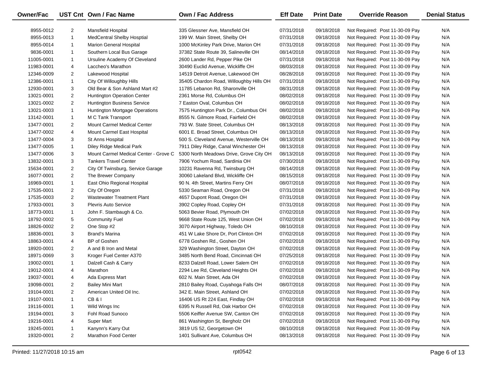| Owner/Fac  |                | UST Cnt Own / Fac Name                | Own / Fac Address                       | <b>Eff Date</b> | <b>Print Date</b> | <b>Override Reason</b>          | <b>Denial Status</b> |
|------------|----------------|---------------------------------------|-----------------------------------------|-----------------|-------------------|---------------------------------|----------------------|
| 8955-0012  | $\overline{2}$ | Mansfield Hospital                    | 335 Glessner Ave, Mansfield OH          | 07/31/2018      | 09/18/2018        | Not Required: Post 11-30-09 Pay | N/A                  |
| 8955-0013  | $\mathbf{1}$   | <b>MedCentral Shelby Hosptial</b>     | 199 W. Main Street, Shelby OH           | 07/31/2018      | 09/18/2018        | Not Required: Post 11-30-09 Pay | N/A                  |
| 8955-0014  | $\mathbf{1}$   | <b>Marion General Hospital</b>        | 1000 McKinley Park Drive, Marion OH     | 07/31/2018      | 09/18/2018        | Not Required: Post 11-30-09 Pay | N/A                  |
| 9836-0001  | $\mathbf{1}$   | Southern Local Bus Garage             | 37382 State Route 39, Salineville OH    | 08/14/2018      | 09/18/2018        | Not Required: Post 11-30-09 Pay | N/A                  |
| 11005-0001 | $\mathbf{1}$   | Ursuline Academy Of Cleveland         | 2600 Lander Rd, Pepper Pike OH          | 07/31/2018      | 09/18/2018        | Not Required: Post 11-30-09 Pay | N/A                  |
| 11983-0001 | 4              | Laccheo's Marathon                    | 30490 Euclid Avenue, Wickliffe OH       | 08/03/2018      | 09/18/2018        | Not Required: Post 11-30-09 Pay | N/A                  |
| 12346-0009 | $\overline{2}$ | Lakewood Hospital                     | 14519 Detroit Avenue, Lakewood OH       | 08/28/2018      | 09/18/2018        | Not Required: Post 11-30-09 Pay | N/A                  |
| 12386-0001 | $\mathbf{1}$   | City Of Willoughby Hills              | 35405 Chardon Road, Willoughby Hills OH | 07/31/2018      | 09/18/2018        | Not Required: Post 11-30-09 Pay | N/A                  |
| 12930-0001 | 3              | Old Bear & Son Ashland Mart #2        | 11785 Lebanon Rd, Sharonville OH        | 08/31/2018      | 09/18/2018        | Not Required: Post 11-30-09 Pay | N/A                  |
| 13021-0001 | $\overline{2}$ | <b>Huntington Operation Center</b>    | 2361 Morse Rd, Columbus OH              | 08/02/2018      | 09/18/2018        | Not Required: Post 11-30-09 Pay | N/A                  |
| 13021-0002 | $\overline{2}$ | Huntington Business Service           | 7 Easton Oval, Columbus OH              | 08/02/2018      | 09/18/2018        | Not Required: Post 11-30-09 Pay | N/A                  |
| 13021-0003 | $\mathbf{1}$   | Huntington Mortgage Operations        | 7575 Huntington Park Dr., Columbus OH   | 08/02/2018      | 09/18/2018        | Not Required: Post 11-30-09 Pay | N/A                  |
| 13142-0001 | $\mathbf{1}$   | M C Tank Transport                    | 8555 N. Gilmore Road, Fairfield OH      | 08/02/2018      | 09/18/2018        | Not Required: Post 11-30-09 Pay | N/A                  |
| 13477-0001 | $\overline{2}$ | Mount Carmel Medical Center           | 793 W. State Street, Columbus OH        | 08/13/2018      | 09/18/2018        | Not Required: Post 11-30-09 Pay | N/A                  |
| 13477-0002 | 4              | Mount Carmel East Hospital            | 6001 E. Broad Street, Columbus OH       | 08/13/2018      | 09/18/2018        | Not Required: Post 11-30-09 Pay | N/A                  |
| 13477-0004 | 3              | St Anns Hospital                      | 500 S. Cleveland Avenue, Westerville OH | 08/13/2018      | 09/18/2018        | Not Required: Post 11-30-09 Pay | N/A                  |
| 13477-0005 | $\mathbf{1}$   | Diley Ridge Medical Park              | 7911 Diley Ridge, Canal Winchester OH   | 08/13/2018      | 09/18/2018        | Not Required: Post 11-30-09 Pay | N/A                  |
| 13477-0006 | 3              | Mount Carmel Medical Center - Grove C | 5300 North Meadows Drive, Grove City OH | 08/13/2018      | 09/18/2018        | Not Required: Post 11-30-09 Pay | N/A                  |
| 13832-0001 | 3              | <b>Tankers Travel Center</b>          | 7906 Yochum Road, Sardinia OH           | 07/30/2018      | 09/18/2018        | Not Required: Post 11-30-09 Pay | N/A                  |
| 15634-0001 | $\overline{2}$ | City Of Twinsburg, Service Garage     | 10231 Ravenna Rd, Twinsburg OH          | 08/14/2018      | 09/18/2018        | Not Required: Post 11-30-09 Pay | N/A                  |
| 16077-0001 | $\overline{2}$ | The Brewer Company                    | 30060 Lakeland Blvd, Wickliffe OH       | 08/15/2018      | 09/18/2018        | Not Required: Post 11-30-09 Pay | N/A                  |
| 16969-0001 | $\mathbf{1}$   | East Ohio Regional Hospital           | 90 N. 4th Street, Martins Ferry OH      | 08/07/2018      | 09/18/2018        | Not Required: Post 11-30-09 Pay | N/A                  |
| 17535-0001 | $\overline{2}$ | City Of Oregon                        | 5330 Seaman Road, Oregon OH             | 07/31/2018      | 09/18/2018        | Not Required: Post 11-30-09 Pay | N/A                  |
| 17535-0003 | $\overline{2}$ | <b>Wastewater Treatment Plant</b>     | 4657 Dupont Road, Oregon OH             | 07/31/2018      | 09/18/2018        | Not Required: Post 11-30-09 Pay | N/A                  |
| 17933-0001 | 3              | <b>Plevris Auto Service</b>           | 3902 Copley Road, Copley OH             | 07/31/2018      | 09/18/2018        | Not Required: Post 11-30-09 Pay | N/A                  |
| 18773-0001 | $\mathbf{1}$   | John F. Stambaugh & Co.               | 5063 Bevier Road, Plymouth OH           | 07/02/2018      | 09/18/2018        | Not Required: Post 11-30-09 Pay | N/A                  |
| 18792-0002 | 5              | <b>Community Fuel</b>                 | 9668 State Route 125, West Union OH     | 07/02/2018      | 09/18/2018        | Not Required: Post 11-30-09 Pay | N/A                  |
| 18826-0002 | $\overline{2}$ | One Stop #2                           | 3070 Airport Highway, Toledo OH         | 08/10/2018      | 09/18/2018        | Not Required: Post 11-30-09 Pay | N/A                  |
| 18836-0001 | 3              | Brand's Marina                        | 451 W Lake Shore Dr, Port Clinton OH    | 07/02/2018      | 09/18/2018        | Not Required: Post 11-30-09 Pay | N/A                  |
| 18863-0001 | 4              | <b>BP</b> of Goshen                   | 6778 Goshen Rd., Goshen OH              | 07/02/2018      | 09/18/2018        | Not Required: Post 11-30-09 Pay | N/A                  |
| 18920-0001 | $\overline{2}$ | A and B Iron and Metal                | 329 Washington Street, Dayton OH        | 07/02/2018      | 09/18/2018        | Not Required: Post 11-30-09 Pay | N/A                  |
| 18971-0069 | 3              | Kroger Fuel Center A370               | 3485 North Bend Road, Cincinnati OH     | 07/25/2018      | 09/18/2018        | Not Required: Post 11-30-09 Pay | N/A                  |
| 19002-0001 | $\mathbf{1}$   | Dalzell Cash & Carry                  | 8233 Dalzell Road, Lower Salem OH       | 07/02/2018      | 09/18/2018        | Not Required: Post 11-30-09 Pay | N/A                  |
| 19012-0001 | 4              | Marathon                              | 2294 Lee Rd, Cleveland Heights OH       | 07/02/2018      | 09/18/2018        | Not Required: Post 11-30-09 Pay | N/A                  |
| 19037-0001 | 4              | Ada Express Mart                      | 602 N. Main Street, Ada OH              | 07/02/2018      | 09/18/2018        | Not Required: Post 11-30-09 Pay | N/A                  |
| 19098-0001 | $\overline{2}$ | <b>Bailey Mini Mart</b>               | 2810 Bailey Road, Cuyahoga Falls OH     | 08/07/2018      | 09/18/2018        | Not Required: Post 11-30-09 Pay | N/A                  |
| 19104-0001 | $\overline{2}$ | American United Oil Inc.              | 342 E. Main Street, Ashland OH          | 07/02/2018      | 09/18/2018        | Not Required: Post 11-30-09 Pay | N/A                  |
| 19107-0001 | 1              | <b>CB&amp;I</b>                       | 16406 US Rt 224 East, Findlay OH        | 07/02/2018      | 09/18/2018        | Not Required: Post 11-30-09 Pay | N/A                  |
| 19116-0001 | 1              | Wild Wings Inc                        | 6395 N Russell Rd, Oak Harbor OH        | 07/02/2018      | 09/18/2018        | Not Required: Post 11-30-09 Pay | N/A                  |
| 19194-0001 | 3              | Fohl Road Sunoco                      | 5506 Keiffer Avenue SW, Canton OH       | 07/02/2018      | 09/18/2018        | Not Required: Post 11-30-09 Pay | N/A                  |
| 19216-0001 | 4              | Super Mart                            | 861 Washington St, Bergholz OH          | 07/02/2018      | 09/18/2018        | Not Required: Post 11-30-09 Pay | N/A                  |
| 19245-0001 | $\mathbf{1}$   | Kanynn's Karry Out                    | 3819 US 52, Georgetown OH               | 08/10/2018      | 09/18/2018        | Not Required: Post 11-30-09 Pay | N/A                  |
| 19320-0001 | $\overline{2}$ | Marathon Food Center                  | 1401 Sullivant Ave, Columbus OH         | 08/13/2018      | 09/18/2018        | Not Required: Post 11-30-09 Pay | N/A                  |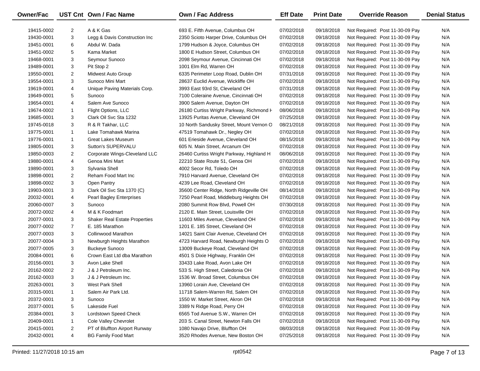| <b>Owner/Fac</b> |                         | UST Cnt Own / Fac Name               | <b>Own / Fac Address</b>                 | <b>Eff Date</b> | <b>Print Date</b> | <b>Override Reason</b>          | <b>Denial Status</b> |
|------------------|-------------------------|--------------------------------------|------------------------------------------|-----------------|-------------------|---------------------------------|----------------------|
| 19415-0002       | $\overline{2}$          | A & K Gas                            | 693 E. Fifth Avenue, Columbus OH         | 07/02/2018      | 09/18/2018        | Not Required: Post 11-30-09 Pay | N/A                  |
| 19430-0001       | 3                       | Legg & Davis Construction Inc        | 2350 Scioto Harper Drive, Columbus OH    | 07/02/2018      | 09/18/2018        | Not Required: Post 11-30-09 Pay | N/A                  |
| 19451-0001       | 6                       | Abdul W. Dada                        | 1799 Hudson & Joyce, Columbus OH         | 07/02/2018      | 09/18/2018        | Not Required: Post 11-30-09 Pay | N/A                  |
| 19451-0002       | 5                       | Kama Market                          | 1800 E Hudson Street, Columbus OH        | 07/02/2018      | 09/18/2018        | Not Required: Post 11-30-09 Pay | N/A                  |
| 19468-0001       | 3                       | Seymour Sunoco                       | 2098 Seymour Avenue, Cincinnati OH       | 07/02/2018      | 09/18/2018        | Not Required: Post 11-30-09 Pay | N/A                  |
| 19489-0001       | 3                       | Pit Stop 2                           | 1001 Elm Rd, Warren OH                   | 07/02/2018      | 09/18/2018        | Not Required: Post 11-30-09 Pay | N/A                  |
| 19550-0001       | $\overline{2}$          | Midwest Auto Group                   | 6335 Perimeter Loop Road, Dublin OH      | 07/31/2018      | 09/18/2018        | Not Required: Post 11-30-09 Pay | N/A                  |
| 19554-0001       | 3                       | Sunoco Mini Mart                     | 28637 Euclid Avenue, Wickliffe OH        | 07/02/2018      | 09/18/2018        | Not Required: Post 11-30-09 Pay | N/A                  |
| 19619-0001       | 4                       | Unique Paving Materials Corp.        | 3993 East 93rd St, Cleveland OH          | 07/31/2018      | 09/18/2018        | Not Required: Post 11-30-09 Pay | N/A                  |
| 19649-0001       | 5                       | Sunoco                               | 7100 Coleraine Avenue, Cincinnati OH     | 07/02/2018      | 09/18/2018        | Not Required: Post 11-30-09 Pay | N/A                  |
| 19654-0001       | 4                       | Salem Ave Sunoco                     | 3900 Salem Avenue, Dayton OH             | 07/02/2018      | 09/18/2018        | Not Required: Post 11-30-09 Pay | N/A                  |
| 19674-0002       | $\mathbf{1}$            | Flight Options, LLC                  | 26180 Curtiss Wright Parkway, Richmond H | 08/06/2018      | 09/18/2018        | Not Required: Post 11-30-09 Pay | N/A                  |
| 19685-0001       | 3                       | Clark Oil Svc Sta 1232               | 13925 Puritas Avenue, Cleveland OH       | 07/25/2018      | 09/18/2018        | Not Required: Post 11-30-09 Pay | N/A                  |
| 19745-0018       | 3                       | R & R Takhar, LLC                    | 10 North Sandusky Street, Mount Vernon O | 08/21/2018      | 09/18/2018        | Not Required: Post 11-30-09 Pay | N/A                  |
| 19775-0001       | $\mathbf{1}$            | Lake Tomahawk Marina                 | 47519 Tomahawk Dr., Negley OH            | 07/02/2018      | 09/18/2018        | Not Required: Post 11-30-09 Pay | N/A                  |
| 19776-0001       | $\mathbf{1}$            | <b>Great Lakes Museum</b>            | 601 Erieside Avenue, Cleveland OH        | 08/15/2018      | 09/18/2018        | Not Required: Post 11-30-09 Pay | N/A                  |
| 19805-0001       | 3                       | Sutton's SUPERVALU                   | 605 N. Main Street, Arcanum OH           | 07/02/2018      | 09/18/2018        | Not Required: Post 11-30-09 Pay | N/A                  |
| 19850-0003       | $\overline{2}$          | Corporate Wings-Cleveland LLC        | 26460 Curtiss Wright Parkway, Highland H | 08/06/2018      | 09/18/2018        | Not Required: Post 11-30-09 Pay | N/A                  |
| 19880-0001       | 4                       | Genoa Mini Mart                      | 22210 State Route 51, Genoa OH           | 07/02/2018      | 09/18/2018        | Not Required: Post 11-30-09 Pay | N/A                  |
| 19890-0001       | 3                       | Sylvania Shell                       | 4002 Secor Rd, Toledo OH                 | 07/02/2018      | 09/18/2018        | Not Required: Post 11-30-09 Pay | N/A                  |
| 19898-0001       | $\overline{2}$          | Reham Food Mart Inc                  | 7910 Harvard Avenue, Cleveland OH        | 07/02/2018      | 09/18/2018        | Not Required: Post 11-30-09 Pay | N/A                  |
| 19898-0002       | 3                       | Open Pantry                          | 4239 Lee Road, Cleveland OH              | 07/02/2018      | 09/18/2018        | Not Required: Post 11-30-09 Pay | N/A                  |
| 19903-0001       | 3                       | Clark Oil Svc Sta 1370 (C)           | 35600 Center Ridge, North Ridgeville OH  | 08/14/2018      | 09/18/2018        | Not Required: Post 11-30-09 Pay | N/A                  |
| 20032-0001       | 4                       | Pearl Bagley Enterprises             | 7250 Pearl Road, Middleburg Heights OH   | 07/02/2018      | 09/18/2018        | Not Required: Post 11-30-09 Pay | N/A                  |
| 20060-0007       | 3                       | Sunoco                               | 2080 Summit Row Blvd, Powell OH          | 07/30/2018      | 09/18/2018        | Not Required: Post 11-30-09 Pay | N/A                  |
| 20072-0002       | 4                       | M & K Foodmart                       | 2120 E. Main Street, Louisville OH       | 07/02/2018      | 09/18/2018        | Not Required: Post 11-30-09 Pay | N/A                  |
| 20077-0001       | 3                       | <b>Shaker Real Estate Properties</b> | 11603 Miles Avenue, Cleveland OH         | 07/02/2018      | 09/18/2018        | Not Required: Post 11-30-09 Pay | N/A                  |
| 20077-0002       | $\overline{7}$          | E. 185 Marathon                      | 1201 E. 185 Street, Cleveland OH         | 07/02/2018      | 09/18/2018        | Not Required: Post 11-30-09 Pay | N/A                  |
| 20077-0003       | 3                       | <b>Collinwood Marathon</b>           | 14021 Saint Clair Avenue, Cleveland OH   | 07/02/2018      | 09/18/2018        | Not Required: Post 11-30-09 Pay | N/A                  |
| 20077-0004       | 3                       | Newburgh Heights Marathon            | 4723 Harvard Road, Newburgh Heights O    | 07/02/2018      | 09/18/2018        | Not Required: Post 11-30-09 Pay | N/A                  |
| 20077-0005       | 3                       | <b>Buckeye Sunoco</b>                | 13009 Buckeye Road, Cleveland OH         | 07/02/2018      | 09/18/2018        | Not Required: Post 11-30-09 Pay | N/A                  |
| 20084-0001       | 6                       | Crown East Ltd dba Marathon          | 4501 S Dixie Highway, Franklin OH        | 07/02/2018      | 09/18/2018        | Not Required: Post 11-30-09 Pay | N/A                  |
| 20156-0001       | 3                       | Avon Lake Shell                      | 33433 Lake Road, Avon Lake OH            | 07/02/2018      | 09/18/2018        | Not Required: Post 11-30-09 Pay | N/A                  |
| 20162-0002       | $\overline{\mathbf{c}}$ | J & J Petroleum Inc.                 | 533 S. High Street, Caledonia OH         | 07/02/2018      | 09/18/2018        | Not Required: Post 11-30-09 Pay | N/A                  |
| 20162-0003       | 3                       | J & J Petroleum Inc.                 | 1536 W. Broad Street, Columbus OH        | 07/02/2018      | 09/18/2018        | Not Required: Post 11-30-09 Pay | N/A                  |
| 20263-0001       | 3                       | West Park Shell                      | 13960 Lorain Ave, Cleveland OH           | 07/02/2018      | 09/18/2018        | Not Required: Post 11-30-09 Pay | N/A                  |
| 20315-0001       | $\mathbf{1}$            | Salem Air Park Ltd.                  | 11718 Salem-Warren Rd, Salem OH          | 07/02/2018      | 09/18/2018        | Not Required: Post 11-30-09 Pay | N/A                  |
| 20372-0001       | 3                       | Sunoco                               | 1550 W. Market Street, Akron OH          | 07/02/2018      | 09/18/2018        | Not Required: Post 11-30-09 Pay | N/A                  |
| 20377-0001       | 5                       | Lakeside Fuel                        | 3389 N Ridge Road, Perry OH              | 07/02/2018      | 09/18/2018        | Not Required: Post 11-30-09 Pay | N/A                  |
| 20384-0001       | 3                       | Lordstown Speed Check                | 6565 Tod Avenue S.W., Warren OH          | 07/02/2018      | 09/18/2018        | Not Required: Post 11-30-09 Pay | N/A                  |
| 20409-0001       | $\mathbf{1}$            | Cole Valley Chevrolet                | 203 S. Canal Street, Newton Falls OH     | 07/02/2018      | 09/18/2018        | Not Required: Post 11-30-09 Pay | N/A                  |
| 20415-0001       | $\overline{2}$          | PT of Bluffton Airport Runway        | 1080 Navajo Drive, Bluffton OH           | 08/03/2018      | 09/18/2018        | Not Required: Post 11-30-09 Pay | N/A                  |
| 20432-0001       | 4                       | <b>BG Family Food Mart</b>           | 3520 Rhodes Avenue, New Boston OH        | 07/25/2018      | 09/18/2018        | Not Required: Post 11-30-09 Pay | N/A                  |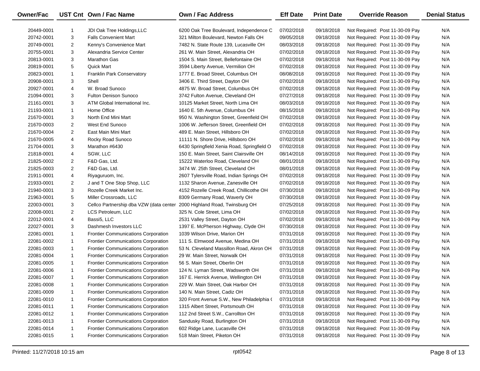| <b>Owner/Fac</b> |                | UST Cnt Own / Fac Name                     | Own / Fac Address                          | <b>Eff Date</b> | <b>Print Date</b> | <b>Override Reason</b>          | <b>Denial Status</b> |
|------------------|----------------|--------------------------------------------|--------------------------------------------|-----------------|-------------------|---------------------------------|----------------------|
| 20449-0001       | 1              | JDI Oak Tree Holdings, LLC                 | 6200 Oak Tree Boulevard, Independence C    | 07/02/2018      | 09/18/2018        | Not Required: Post 11-30-09 Pay | N/A                  |
| 20742-0001       | 3              | <b>Falls Convenient Mart</b>               | 321 Milton Boulevard, Newton Falls OH      | 09/05/2018      | 09/18/2018        | Not Required: Post 11-30-09 Pay | N/A                  |
| 20749-0001       | $\overline{2}$ | Kenny's Convenience Mart                   | 7482 N. State Route 139, Lucasville OH     | 08/03/2018      | 09/18/2018        | Not Required: Post 11-30-09 Pay | N/A                  |
| 20755-0001       | 3              | Alexandria Service Center                  | 261 W. Main Street, Alexandria OH          | 07/02/2018      | 09/18/2018        | Not Required: Post 11-30-09 Pay | N/A                  |
| 20813-0001       | 3              | <b>Marathon Gas</b>                        | 1504 S. Main Street, Bellefontaine OH      | 07/02/2018      | 09/18/2018        | Not Required: Post 11-30-09 Pay | N/A                  |
| 20819-0001       | 5              | <b>Quick Mart</b>                          | 3594 Liberty Avenue, Vermilion OH          | 07/02/2018      | 09/18/2018        | Not Required: Post 11-30-09 Pay | N/A                  |
| 20823-0001       | $\mathbf{1}$   | Franklin Park Conservatory                 | 1777 E. Broad Street, Columbus OH          | 08/08/2018      | 09/18/2018        | Not Required: Post 11-30-09 Pay | N/A                  |
| 20908-0001       | 3              | Shell                                      | 3406 E. Third Street, Dayton OH            | 07/02/2018      | 09/18/2018        | Not Required: Post 11-30-09 Pay | N/A                  |
| 20927-0001       | 4              | W. Broad Sunoco                            | 4875 W. Broad Street, Columbus OH          | 07/02/2018      | 09/18/2018        | Not Required: Post 11-30-09 Pay | N/A                  |
| 21094-0001       | 3              | <b>Fulton Denison Sunoco</b>               | 3742 Fulton Avenue, Cleveland OH           | 07/27/2018      | 09/18/2018        | Not Required: Post 11-30-09 Pay | N/A                  |
| 21161-0001       | 3              | ATM Global International Inc.              | 10125 Market Street, North Lima OH         | 08/03/2018      | 09/18/2018        | Not Required: Post 11-30-09 Pay | N/A                  |
| 21193-0001       | $\mathbf{1}$   | Home Office                                | 1640 E. 5th Avenue, Columbus OH            | 08/15/2018      | 09/18/2018        | Not Required: Post 11-30-09 Pay | N/A                  |
| 21670-0001       | 3              | North End Mini Mart                        | 950 N. Washington Street, Greenfield OH    | 07/02/2018      | 09/18/2018        | Not Required: Post 11-30-09 Pay | N/A                  |
| 21670-0003       | $\overline{2}$ | West End Sunoco                            | 1006 W. Jefferson Street, Greenfield OH    | 07/02/2018      | 09/18/2018        | Not Required: Post 11-30-09 Pay | N/A                  |
| 21670-0004       | $\overline{2}$ | East Main Mini Mart                        | 489 E. Main Street, Hillsboro OH           | 07/02/2018      | 09/18/2018        | Not Required: Post 11-30-09 Pay | N/A                  |
| 21670-0005       | 4              | Rocky Road Sunoco                          | 11111 N. Shore Drive, Hillsboro OH         | 07/02/2018      | 09/18/2018        | Not Required: Post 11-30-09 Pay | N/A                  |
| 21704-0001       | 3              | Marathon #6430                             | 6430 Springfield Xenia Road, Springfield O | 07/02/2018      | 09/18/2018        | Not Required: Post 11-30-09 Pay | N/A                  |
| 21818-0001       | 4              | SGW, LLC                                   | 150 E. Main Street, Saint Clairsville OH   | 08/14/2018      | 09/18/2018        | Not Required: Post 11-30-09 Pay | N/A                  |
| 21825-0002       | $\overline{2}$ | F&D Gas, Ltd.                              | 15222 Waterloo Road, Cleveland OH          | 08/01/2018      | 09/18/2018        | Not Required: Post 11-30-09 Pay | N/A                  |
| 21825-0003       | $\overline{2}$ | F&D Gas, Ltd.                              | 3474 W. 25th Street, Cleveland OH          | 08/01/2018      | 09/18/2018        | Not Required: Post 11-30-09 Pay | N/A                  |
| 21911-0001       | 4              | Riyaguruom, Inc.                           | 2607 Tylersville Road, Indian Springs OH   | 07/02/2018      | 09/18/2018        | Not Required: Post 11-30-09 Pay | N/A                  |
| 21933-0001       | $\overline{2}$ | J and T One Stop Shop, LLC                 | 1132 Sharon Avenue, Zanesville OH          | 07/02/2018      | 09/18/2018        | Not Required: Post 11-30-09 Pay | N/A                  |
| 21940-0001       | 3              | Rozelle Creek Market Inc.                  | 4152 Rozelle Creek Road, Chillicothe OH    | 07/30/2018      | 09/18/2018        | Not Required: Post 11-30-09 Pay | N/A                  |
| 21963-0001       | 5              | Miller Crossroads, LLC                     | 8309 Germany Road, Waverly OH              | 07/30/2018      | 09/18/2018        | Not Required: Post 11-30-09 Pay | N/A                  |
| 22003-0001       | 3              | Cellco Partnership dba VZW (data center    | 2000 Highland Road, Twinsburg OH           | 07/25/2018      | 09/18/2018        | Not Required: Post 11-30-09 Pay | N/A                  |
| 22008-0001       | $\overline{2}$ | LCS Petroleum, LLC                         | 325 N. Cole Street, Lima OH                | 07/02/2018      | 09/18/2018        | Not Required: Post 11-30-09 Pay | N/A                  |
| 22012-0001       | 4              | Bassi5, LLC                                | 2531 Valley Street, Dayton OH              | 07/02/2018      | 09/18/2018        | Not Required: Post 11-30-09 Pay | N/A                  |
| 22027-0001       | 3              | Dashmesh Investors LLC                     | 1397 E. McPherson Highway, Clyde OH        | 07/30/2018      | 09/18/2018        | Not Required: Post 11-30-09 Pay | N/A                  |
| 22081-0001       | $\mathbf{1}$   | <b>Frontier Communications Corporation</b> | 1039 Wilson Drive, Marion OH               | 07/31/2018      | 09/18/2018        | Not Required: Post 11-30-09 Pay | N/A                  |
| 22081-0002       | $\mathbf{1}$   | <b>Frontier Communications Corporation</b> | 111 S. Elmwood Avenue, Medina OH           | 07/31/2018      | 09/18/2018        | Not Required: Post 11-30-09 Pay | N/A                  |
| 22081-0003       | $\mathbf{1}$   | <b>Frontier Communications Corporation</b> | 53 N. Cleveland Massillon Road, Akron OH   | 07/31/2018      | 09/18/2018        | Not Required: Post 11-30-09 Pay | N/A                  |
| 22081-0004       | $\mathbf{1}$   | Frontier Communications Corporation        | 29 W. Main Street, Norwalk OH              | 07/31/2018      | 09/18/2018        | Not Required: Post 11-30-09 Pay | N/A                  |
| 22081-0005       | $\mathbf{1}$   | Frontier Communications Corporation        | 56 S. Main Street, Oberlin OH              | 07/31/2018      | 09/18/2018        | Not Required: Post 11-30-09 Pay | N/A                  |
| 22081-0006       | $\mathbf{1}$   | <b>Frontier Communications Corporation</b> | 124 N. Lyman Street, Wadsworth OH          | 07/31/2018      | 09/18/2018        | Not Required: Post 11-30-09 Pay | N/A                  |
| 22081-0007       | $\mathbf{1}$   | <b>Frontier Communications Corporation</b> | 167 E. Herrick Avenue, Wellington OH       | 07/31/2018      | 09/18/2018        | Not Required: Post 11-30-09 Pay | N/A                  |
| 22081-0008       | 1              | <b>Frontier Communications Corporation</b> | 229 W. Main Street, Oak Harbor OH          | 07/31/2018      | 09/18/2018        | Not Required: Post 11-30-09 Pay | N/A                  |
| 22081-0009       | -1             | <b>Frontier Communications Corporation</b> | 140 N. Main Street, Cadiz OH               | 07/31/2018      | 09/18/2018        | Not Required: Post 11-30-09 Pay | N/A                  |
| 22081-0010       | 1              | <b>Frontier Communications Corporation</b> | 320 Front Avenue S.W., New Philadelphia (  | 07/31/2018      | 09/18/2018        | Not Required: Post 11-30-09 Pay | N/A                  |
| 22081-0011       | 1              | Frontier Communications Corporation        | 1315 Albert Street, Portsmouth OH          | 07/31/2018      | 09/18/2018        | Not Required: Post 11-30-09 Pay | N/A                  |
| 22081-0012       | 1              | Frontier Communications Corporation        | 112 2nd Street S.W., Carrollton OH         | 07/31/2018      | 09/18/2018        | Not Required: Post 11-30-09 Pay | N/A                  |
| 22081-0013       | 1              | <b>Frontier Communications Corporation</b> | Sandusky Road, Burlington OH               | 07/31/2018      | 09/18/2018        | Not Required: Post 11-30-09 Pay | N/A                  |
| 22081-0014       | -1             | Frontier Communications Corporation        | 602 Ridge Lane, Lucasville OH              | 07/31/2018      | 09/18/2018        | Not Required: Post 11-30-09 Pay | N/A                  |
| 22081-0015       | $\mathbf{1}$   | <b>Frontier Communications Corporation</b> | 518 Main Street, Piketon OH                | 07/31/2018      | 09/18/2018        | Not Required: Post 11-30-09 Pay | N/A                  |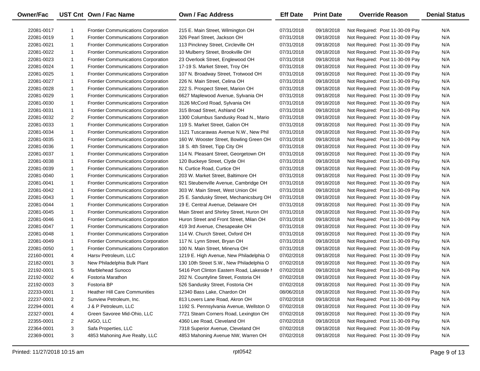| Owner/Fac  |                | UST Cnt Own / Fac Name                     | <b>Own / Fac Address</b>                   | <b>Eff Date</b> | <b>Print Date</b> | <b>Override Reason</b>          | <b>Denial Status</b> |
|------------|----------------|--------------------------------------------|--------------------------------------------|-----------------|-------------------|---------------------------------|----------------------|
| 22081-0017 | 1              | <b>Frontier Communications Corporation</b> | 215 E. Main Street, Wilmington OH          | 07/31/2018      | 09/18/2018        | Not Required: Post 11-30-09 Pay | N/A                  |
| 22081-0019 | $\mathbf{1}$   | <b>Frontier Communications Corporation</b> | 326 Pearl Street, Jackson OH               | 07/31/2018      | 09/18/2018        | Not Required: Post 11-30-09 Pay | N/A                  |
| 22081-0021 | $\mathbf{1}$   | <b>Frontier Communications Corporation</b> | 113 Pinckney Street, Circleville OH        | 07/31/2018      | 09/18/2018        | Not Required: Post 11-30-09 Pay | N/A                  |
| 22081-0022 | $\mathbf{1}$   | <b>Frontier Communications Corporation</b> | 10 Mulberry Street, Brookville OH          | 07/31/2018      | 09/18/2018        | Not Required: Post 11-30-09 Pay | N/A                  |
| 22081-0023 | $\mathbf{1}$   | <b>Frontier Communications Corporation</b> | 23 Overlook Street, Englewood OH           | 07/31/2018      | 09/18/2018        | Not Required: Post 11-30-09 Pay | N/A                  |
| 22081-0024 | $\mathbf{1}$   | <b>Frontier Communications Corporation</b> | 17-19 S. Market Street, Troy OH            | 07/31/2018      | 09/18/2018        | Not Required: Post 11-30-09 Pay | N/A                  |
| 22081-0025 | $\mathbf{1}$   | <b>Frontier Communications Corporation</b> | 107 N. Broadway Street, Trotwood OH        | 07/31/2018      | 09/18/2018        | Not Required: Post 11-30-09 Pay | N/A                  |
| 22081-0027 | $\mathbf{1}$   | <b>Frontier Communications Corporation</b> | 226 N. Main Street, Celina OH              | 07/31/2018      | 09/18/2018        | Not Required: Post 11-30-09 Pay | N/A                  |
| 22081-0028 | $\mathbf{1}$   | <b>Frontier Communications Corporation</b> | 222 S. Prospect Street, Marion OH          | 07/31/2018      | 09/18/2018        | Not Required: Post 11-30-09 Pay | N/A                  |
| 22081-0029 | $\mathbf{1}$   | <b>Frontier Communications Corporation</b> | 6627 Maplewood Avenue, Sylvania OH         | 07/31/2018      | 09/18/2018        | Not Required: Post 11-30-09 Pay | N/A                  |
| 22081-0030 | $\mathbf{1}$   | <b>Frontier Communications Corporation</b> | 3126 McCord Road, Sylvania OH              | 07/31/2018      | 09/18/2018        | Not Required: Post 11-30-09 Pay | N/A                  |
| 22081-0031 | $\mathbf{1}$   | <b>Frontier Communications Corporation</b> | 315 Broad Street, Ashland OH               | 07/31/2018      | 09/18/2018        | Not Required: Post 11-30-09 Pay | N/A                  |
| 22081-0032 | $\overline{2}$ | <b>Frontier Communications Corporation</b> | 1300 Columbus Sandusky Road N., Mario      | 07/31/2018      | 09/18/2018        | Not Required: Post 11-30-09 Pay | N/A                  |
| 22081-0033 | $\mathbf{1}$   | <b>Frontier Communications Corporation</b> | 119 S. Market Street, Galion OH            | 07/31/2018      | 09/18/2018        | Not Required: Post 11-30-09 Pay | N/A                  |
| 22081-0034 | $\mathbf{1}$   | <b>Frontier Communications Corporation</b> | 1121 Tuscarawas Avenue N.W., New Phil      | 07/31/2018      | 09/18/2018        | Not Required: Post 11-30-09 Pay | N/A                  |
| 22081-0035 | $\mathbf{1}$   | <b>Frontier Communications Corporation</b> | 160 W. Wooster Street, Bowling Green OH    | 07/31/2018      | 09/18/2018        | Not Required: Post 11-30-09 Pay | N/A                  |
| 22081-0036 | $\mathbf{1}$   | <b>Frontier Communications Corporation</b> | 18 S. 4th Street, Tipp City OH             | 07/31/2018      | 09/18/2018        | Not Required: Post 11-30-09 Pay | N/A                  |
| 22081-0037 | $\mathbf{1}$   | <b>Frontier Communications Corporation</b> | 114 N. Pleasant Street, Georgetown OH      | 07/31/2018      | 09/18/2018        | Not Required: Post 11-30-09 Pay | N/A                  |
| 22081-0038 | $\mathbf{1}$   | <b>Frontier Communications Corporation</b> | 120 Buckeye Street, Clyde OH               | 07/31/2018      | 09/18/2018        | Not Required: Post 11-30-09 Pay | N/A                  |
| 22081-0039 | $\mathbf{1}$   | <b>Frontier Communications Corporation</b> | N. Curtice Road, Curtice OH                | 07/31/2018      | 09/18/2018        | Not Required: Post 11-30-09 Pay | N/A                  |
| 22081-0040 | $\mathbf{1}$   | <b>Frontier Communications Corporation</b> | 203 W. Market Street, Baltimore OH         | 07/31/2018      | 09/18/2018        | Not Required: Post 11-30-09 Pay | N/A                  |
| 22081-0041 | $\mathbf{1}$   | <b>Frontier Communications Corporation</b> | 921 Steubenville Avenue, Cambridge OH      | 07/31/2018      | 09/18/2018        | Not Required: Post 11-30-09 Pay | N/A                  |
| 22081-0042 | $\mathbf{1}$   | <b>Frontier Communications Corporation</b> | 303 W. Main Street, West Union OH          | 07/31/2018      | 09/18/2018        | Not Required: Post 11-30-09 Pay | N/A                  |
| 22081-0043 | $\mathbf{1}$   | <b>Frontier Communications Corporation</b> | 25 E. Sandusky Street, Mechanicsburg OH    | 07/31/2018      | 09/18/2018        | Not Required: Post 11-30-09 Pay | N/A                  |
| 22081-0044 | $\mathbf{1}$   | <b>Frontier Communications Corporation</b> | 19 E. Central Avenue, Delaware OH          | 07/31/2018      | 09/18/2018        | Not Required: Post 11-30-09 Pay | N/A                  |
| 22081-0045 | $\mathbf{1}$   | <b>Frontier Communications Corporation</b> | Main Street and Shirley Street, Huron OH   | 07/31/2018      | 09/18/2018        | Not Required: Post 11-30-09 Pay | N/A                  |
| 22081-0046 | $\mathbf{1}$   | <b>Frontier Communications Corporation</b> | Huron Street and Front Street, Milan OH    | 07/31/2018      | 09/18/2018        | Not Required: Post 11-30-09 Pay | N/A                  |
| 22081-0047 | $\mathbf{1}$   | <b>Frontier Communications Corporation</b> | 419 3rd Avenue, Chesapeake OH              | 07/31/2018      | 09/18/2018        | Not Required: Post 11-30-09 Pay | N/A                  |
| 22081-0048 | $\mathbf{1}$   | <b>Frontier Communications Corporation</b> | 114 W. Church Street, Oxford OH            | 07/31/2018      | 09/18/2018        | Not Required: Post 11-30-09 Pay | N/A                  |
| 22081-0049 | $\mathbf{1}$   | <b>Frontier Communications Corporation</b> | 117 N. Lynn Street, Bryan OH               | 07/31/2018      | 09/18/2018        | Not Required: Post 11-30-09 Pay | N/A                  |
| 22081-0050 | $\mathbf{1}$   | <b>Frontier Communications Corporation</b> | 100 N. Main Street, Minerva OH             | 07/31/2018      | 09/18/2018        | Not Required: Post 11-30-09 Pay | N/A                  |
| 22160-0001 | 4              | Harsy Petroleum, LLC                       | 1219 E. High Avenue, New Philadelphia O    | 07/02/2018      | 09/18/2018        | Not Required: Post 11-30-09 Pay | N/A                  |
| 22182-0001 | 3              | New Philadelphia Bulk Plant                | 130 10th Street S.W., New Philadelphia O   | 07/02/2018      | 09/18/2018        | Not Required: Post 11-30-09 Pay | N/A                  |
| 22192-0001 | 5              | Marblehead Sunoco                          | 5416 Port Clinton Eastern Road, Lakeside I | 07/02/2018      | 09/18/2018        | Not Required: Post 11-30-09 Pay | N/A                  |
| 22192-0002 | $\overline{4}$ | Fostoria Marathon                          | 202 N. Countyline Street, Fostoria OH      | 07/02/2018      | 09/18/2018        | Not Required: Post 11-30-09 Pay | N/A                  |
| 22192-0003 | 3              | Fostoria BP                                | 526 Sandusky Street, Fostoria OH           | 07/02/2018      | 09/18/2018        | Not Required: Post 11-30-09 Pay | N/A                  |
| 22233-0001 | 1              | <b>Heather Hill Care Communities</b>       | 12340 Bass Lake, Chardon OH                | 08/06/2018      | 09/18/2018        | Not Required: Post 11-30-09 Pay | N/A                  |
| 22237-0001 | $\overline{2}$ | Sunview Petroleum, Inc.                    | 813 Lovers Lane Road, Akron OH             | 07/02/2018      | 09/18/2018        | Not Required: Post 11-30-09 Pay | N/A                  |
| 22294-0001 | 4              | J & P Petroleum, LLC                       | 1192 S. Pennsylvania Avenue, Wellston O    | 07/02/2018      | 09/18/2018        | Not Required: Post 11-30-09 Pay | N/A                  |
| 22327-0001 | 4              | Green Savoree Mid-Ohio, LLC                | 7721 Steam Corners Road, Lexington OH      | 07/02/2018      | 09/18/2018        | Not Required: Post 11-30-09 Pay | N/A                  |
| 22355-0001 | $\overline{2}$ | AIGO, LLC                                  | 4360 Lee Road, Cleveland OH                | 07/02/2018      | 09/18/2018        | Not Required: Post 11-30-09 Pay | N/A                  |
| 22364-0001 | 3              | Safa Properties, LLC                       | 7318 Superior Avenue, Cleveland OH         | 07/02/2018      | 09/18/2018        | Not Required: Post 11-30-09 Pay | N/A                  |
| 22369-0001 | 3              | 4853 Mahoning Ave Realty, LLC              | 4853 Mahoning Avenue NW, Warren OH         | 07/02/2018      | 09/18/2018        | Not Required: Post 11-30-09 Pay | N/A                  |

—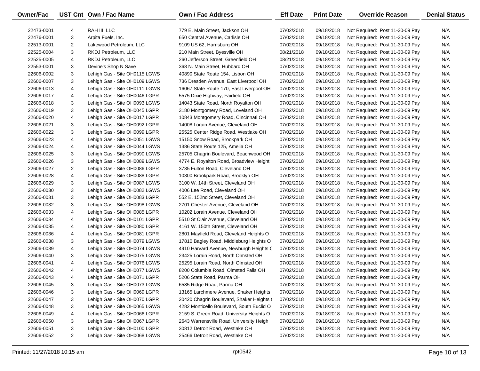| Owner/Fac  |                | UST Cnt Own / Fac Name        | Own / Fac Address                         | <b>Eff Date</b> | <b>Print Date</b> | <b>Override Reason</b>          | <b>Denial Status</b> |
|------------|----------------|-------------------------------|-------------------------------------------|-----------------|-------------------|---------------------------------|----------------------|
| 22473-0001 | 4              | RAH III, LLC                  | 779 E. Main Street, Jackson OH            | 07/02/2018      | 09/18/2018        | Not Required: Post 11-30-09 Pay | N/A                  |
| 22476-0001 | 3              | Arpita Fuels, Inc.            | 650 Central Avenue, Carlisle OH           | 07/02/2018      | 09/18/2018        | Not Required: Post 11-30-09 Pay | N/A                  |
| 22513-0001 | $\overline{2}$ | Lakewood Petroleum, LLC       | 9109 US 62, Harrisburg OH                 | 07/02/2018      | 09/18/2018        | Not Required: Post 11-30-09 Pay | N/A                  |
| 22525-0004 | 3              | RKDJ Petroleum, LLC           | 210 Main Street, Byesville OH             | 08/21/2018      | 09/18/2018        | Not Required: Post 11-30-09 Pay | N/A                  |
| 22525-0005 | 4              | RKDJ Petroleum, LLC           | 260 Jefferson Street, Greenfield OH       | 08/21/2018      | 09/18/2018        | Not Required: Post 11-30-09 Pay | N/A                  |
| 22553-0001 | 3              | Devine's Shop N Save          | 368 N. Main Street, Hubbard OH            | 07/02/2018      | 09/18/2018        | Not Required: Post 11-30-09 Pay | N/A                  |
| 22606-0002 | 3              | Lehigh Gas - Site OH0115 LGWS | 40890 State Route 154, Lisbon OH          | 07/02/2018      | 09/18/2018        | Not Required: Post 11-30-09 Pay | N/A                  |
| 22606-0007 | 3              | Lehigh Gas - Site OH0109 LGWS | 736 Dresden Avenue, East Liverpool OH     | 07/02/2018      | 09/18/2018        | Not Required: Post 11-30-09 Pay | N/A                  |
| 22606-0013 | 4              | Lehigh Gas - Site OH0111 LGWS | 16067 State Route 170, East Liverpool OH  | 07/02/2018      | 09/18/2018        | Not Required: Post 11-30-09 Pay | N/A                  |
| 22606-0017 | 4              | Lehigh Gas - Site OH0046 LGPR | 5575 Dixie Highway, Fairfield OH          | 07/02/2018      | 09/18/2018        | Not Required: Post 11-30-09 Pay | N/A                  |
| 22606-0018 | 3              | Lehigh Gas - Site OH0093 LGWS | 14043 State Road, North Royalton OH       | 07/02/2018      | 09/18/2018        | Not Required: Post 11-30-09 Pay | N/A                  |
| 22606-0019 | 3              | Lehigh Gas - Site OH0045 LGPR | 3180 Montgomery Road, Loveland OH         | 07/02/2018      | 09/18/2018        | Not Required: Post 11-30-09 Pay | N/A                  |
| 22606-0020 | 4              | Lehigh Gas - Site OH0017 LGPR | 10843 Montgomery Road, Cincinnati OH      | 07/02/2018      | 09/18/2018        | Not Required: Post 11-30-09 Pay | N/A                  |
| 22606-0021 | 3              | Lehigh Gas - Site OH0092 LGPR | 14008 Lorain Avenue, Cleveland OH         | 07/02/2018      | 09/18/2018        | Not Required: Post 11-30-09 Pay | N/A                  |
| 22606-0022 | 3              | Lehigh Gas - Site OH0099 LGPR | 25525 Center Ridge Road, Westlake OH      | 07/02/2018      | 09/18/2018        | Not Required: Post 11-30-09 Pay | N/A                  |
| 22606-0023 | 4              | Lehigh Gas - Site OH0051 LGWS | 15150 Snow Road, Brookpark OH             | 07/02/2018      | 09/18/2018        | Not Required: Post 11-30-09 Pay | N/A                  |
| 22606-0024 | 4              | Lehigh Gas - Site OH0044 LGWS | 1386 State Route 125, Amelia OH           | 07/02/2018      | 09/18/2018        | Not Required: Post 11-30-09 Pay | N/A                  |
| 22606-0025 | 3              | Lehigh Gas - Site OH0090 LGWS | 25705 Chagrin Boulevard, Beachwood OH     | 07/02/2018      | 09/18/2018        | Not Required: Post 11-30-09 Pay | N/A                  |
| 22606-0026 | 3              | Lehigh Gas - Site OH0089 LGWS | 4774 E. Royalton Road, Broadview Height   | 07/02/2018      | 09/18/2018        | Not Required: Post 11-30-09 Pay | N/A                  |
| 22606-0027 | $\overline{2}$ | Lehigh Gas - Site OH0086 LGPR | 3735 Fulton Road, Cleveland OH            | 07/02/2018      | 09/18/2018        | Not Required: Post 11-30-09 Pay | N/A                  |
| 22606-0028 | 4              | Lehigh Gas - Site OH0088 LGPR | 10300 Brookpark Road, Brooklyn OH         | 07/02/2018      | 09/18/2018        | Not Required: Post 11-30-09 Pay | N/A                  |
| 22606-0029 | 3              | Lehigh Gas - Site OH0087 LGWS | 3100 W. 14th Street, Cleveland OH         | 07/02/2018      | 09/18/2018        | Not Required: Post 11-30-09 Pay | N/A                  |
| 22606-0030 | 3              | Lehigh Gas - Site OH0082 LGWS | 4006 Lee Road, Cleveland OH               | 07/02/2018      | 09/18/2018        | Not Required: Post 11-30-09 Pay | N/A                  |
| 22606-0031 | 3              | Lehigh Gas - Site OH0083 LGPR | 552 E. 152nd Street, Cleveland OH         | 07/02/2018      | 09/18/2018        | Not Required: Post 11-30-09 Pay | N/A                  |
| 22606-0032 | 3              | Lehigh Gas - Site OH0098 LGWS | 2701 Chester Avenue, Cleveland OH         | 07/02/2018      | 09/18/2018        | Not Required: Post 11-30-09 Pay | N/A                  |
| 22606-0033 | 4              | Lehigh Gas - Site OH0085 LGPR | 10202 Lorain Avenue, Cleveland OH         | 07/02/2018      | 09/18/2018        | Not Required: Post 11-30-09 Pay | N/A                  |
| 22606-0034 | 4              | Lehigh Gas - Site OH0101 LGPR | 5510 St Clair Avenue, Cleveland OH        | 07/02/2018      | 09/18/2018        | Not Required: Post 11-30-09 Pay | N/A                  |
| 22606-0035 | 4              | Lehigh Gas - Site OH0080 LGPR | 4161 W. 150th Street, Cleveland OH        | 07/02/2018      | 09/18/2018        | Not Required: Post 11-30-09 Pay | N/A                  |
| 22606-0036 | 4              | Lehigh Gas - Site OH0081 LGPR | 2801 Mayfield Road, Cleveland Heights O   | 07/02/2018      | 09/18/2018        | Not Required: Post 11-30-09 Pay | N/A                  |
| 22606-0038 | 3              | Lehigh Gas - Site OH0079 LGWS | 17810 Bagley Road, Middleburg Heights O   | 07/02/2018      | 09/18/2018        | Not Required: Post 11-30-09 Pay | N/A                  |
| 22606-0039 | 4              | Lehigh Gas - Site OH0074 LGWS | 4910 Harvard Avenue, Newburgh Heights C   | 07/02/2018      | 09/18/2018        | Not Required: Post 11-30-09 Pay | N/A                  |
| 22606-0040 | 3              | Lehigh Gas - Site OH0075 LGWS | 23425 Lorain Road, North Olmsted OH       | 07/02/2018      | 09/18/2018        | Not Required: Post 11-30-09 Pay | N/A                  |
| 22606-0041 | 4              | Lehigh Gas - Site OH0076 LGWS | 25295 Lorain Road, North Olmsted OH       | 07/02/2018      | 09/18/2018        | Not Required: Post 11-30-09 Pay | N/A                  |
| 22606-0042 | 4              | Lehigh Gas - Site OH0077 LGWS | 8200 Columbia Road, Olmsted Falls OH      | 07/02/2018      | 09/18/2018        | Not Required: Post 11-30-09 Pay | N/A                  |
| 22606-0043 | 4              | Lehigh Gas - Site OH0071 LGPR | 5206 State Road, Parma OH                 | 07/02/2018      | 09/18/2018        | Not Required: Post 11-30-09 Pay | N/A                  |
| 22606-0045 | 3              | Lehigh Gas - Site OH0073 LGWS | 6585 Ridge Road, Parma OH                 | 07/02/2018      | 09/18/2018        | Not Required: Post 11-30-09 Pay | N/A                  |
| 22606-0046 | 3              | Lehigh Gas - Site OH0069 LGPR | 13165 Larchmere Avenue, Shaker Heights    | 07/02/2018      | 09/18/2018        | Not Required: Post 11-30-09 Pay | N/A                  |
| 22606-0047 | 3              | Lehigh Gas - Site OH0070 LGPR | 20420 Chagrin Boulevard, Shaker Heights ( | 07/02/2018      | 09/18/2018        | Not Required: Post 11-30-09 Pay | N/A                  |
| 22606-0048 | 3              | Lehigh Gas - Site OH0065 LGWS | 4282 Monticello Boulevard, South Euclid O | 07/02/2018      | 09/18/2018        | Not Required: Post 11-30-09 Pay | N/A                  |
| 22606-0049 | 4              | Lehigh Gas - Site OH0066 LGPR | 2159 S. Green Road, University Heights O  | 07/02/2018      | 09/18/2018        | Not Required: Post 11-30-09 Pay | N/A                  |
| 22606-0050 | 3              | Lehigh Gas - Site OH0067 LGPR | 2643 Warrensville Road, University Heigh  | 07/02/2018      | 09/18/2018        | Not Required: Post 11-30-09 Pay | N/A                  |
| 22606-0051 | 3              | Lehigh Gas - Site OH0100 LGPR | 30812 Detroit Road, Westlake OH           | 07/02/2018      | 09/18/2018        | Not Required: Post 11-30-09 Pay | N/A                  |
| 22606-0052 | $\overline{2}$ | Lehigh Gas - Site OH0068 LGWS | 25466 Detroit Road, Westlake OH           | 07/02/2018      | 09/18/2018        | Not Required: Post 11-30-09 Pay | N/A                  |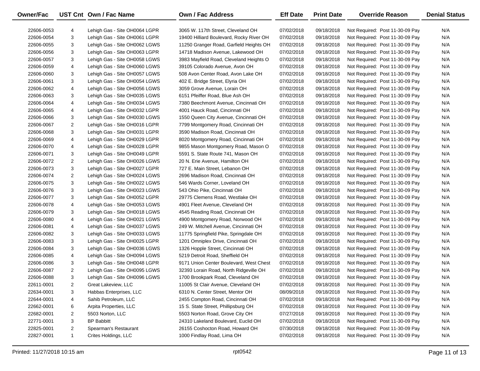| Owner/Fac  |                | UST Cnt Own / Fac Name        | <b>Own / Fac Address</b>                 | <b>Eff Date</b> | <b>Print Date</b> | <b>Override Reason</b>          | <b>Denial Status</b> |
|------------|----------------|-------------------------------|------------------------------------------|-----------------|-------------------|---------------------------------|----------------------|
| 22606-0053 | 4              | Lehigh Gas - Site OH0064 LGPR | 3065 W. 117th Street, Cleveland OH       | 07/02/2018      | 09/18/2018        | Not Required: Post 11-30-09 Pay | N/A                  |
| 22606-0054 | 3              | Lehigh Gas - Site OH0061 LGPR | 19400 Hilliard Boulevard, Rocky River OH | 07/02/2018      | 09/18/2018        | Not Required: Post 11-30-09 Pay | N/A                  |
| 22606-0055 | 3              | Lehigh Gas - Site OH0062 LGWS | 11250 Granger Road, Garfield Heights OH  | 07/02/2018      | 09/18/2018        | Not Required: Post 11-30-09 Pay | N/A                  |
| 22606-0056 | 3              | Lehigh Gas - Site OH0063 LGPR | 14718 Madison Avenue, Lakewood OH        | 07/02/2018      | 09/18/2018        | Not Required: Post 11-30-09 Pay | N/A                  |
| 22606-0057 | 3              | Lehigh Gas - Site OH0058 LGWS | 3983 Mayfield Road, Cleveland Heights O  | 07/02/2018      | 09/18/2018        | Not Required: Post 11-30-09 Pay | N/A                  |
| 22606-0059 | 4              | Lehigh Gas - Site OH0060 LGWS | 39105 Colorado Avenue, Avon OH           | 07/02/2018      | 09/18/2018        | Not Required: Post 11-30-09 Pay | N/A                  |
| 22606-0060 | 3              | Lehigh Gas - Site OH0057 LGWS | 508 Avon Center Road, Avon Lake OH       | 07/02/2018      | 09/18/2018        | Not Required: Post 11-30-09 Pay | N/A                  |
| 22606-0061 | 3              | Lehigh Gas - Site OH0054 LGWS | 402 E. Bridge Street, Elyria OH          | 07/02/2018      | 09/18/2018        | Not Required: Post 11-30-09 Pay | N/A                  |
| 22606-0062 | 4              | Lehigh Gas - Site OH0056 LGWS | 3059 Grove Avenue, Lorain OH             | 07/02/2018      | 09/18/2018        | Not Required: Post 11-30-09 Pay | N/A                  |
| 22606-0063 | 3              | Lehigh Gas - Site OH0035 LGWS | 6151 Pfeiffer Road, Blue Ash OH          | 07/02/2018      | 09/18/2018        | Not Required: Post 11-30-09 Pay | N/A                  |
| 22606-0064 | 4              | Lehigh Gas - Site OH0034 LGWS | 7380 Beechmont Avenue, Cincinnati OH     | 07/02/2018      | 09/18/2018        | Not Required: Post 11-30-09 Pay | N/A                  |
| 22606-0065 | 4              | Lehigh Gas - Site OH0032 LGPR | 4001 Hauck Road, Cincinnati OH           | 07/02/2018      | 09/18/2018        | Not Required: Post 11-30-09 Pay | N/A                  |
| 22606-0066 | 3              | Lehigh Gas - Site OH0030 LGWS | 1550 Queen City Avenue, Cincinnati OH    | 07/02/2018      | 09/18/2018        | Not Required: Post 11-30-09 Pay | N/A                  |
| 22606-0067 | $\overline{2}$ | Lehigh Gas - Site OH0016 LGPR | 7799 Montgomery Road, Cincinnati OH      | 07/02/2018      | 09/18/2018        | Not Required: Post 11-30-09 Pay | N/A                  |
| 22606-0068 | 3              | Lehigh Gas - Site OH0031 LGPR | 3590 Madison Road, Cincinnati OH         | 07/02/2018      | 09/18/2018        | Not Required: Post 11-30-09 Pay | N/A                  |
| 22606-0069 | 4              | Lehigh Gas - Site OH0029 LGPR | 8020 Montgomery Road, Cincinnati OH      | 07/02/2018      | 09/18/2018        | Not Required: Post 11-30-09 Pay | N/A                  |
| 22606-0070 | 4              | Lehigh Gas - Site OH0028 LGPR | 9855 Mason Montgomery Road, Mason O      | 07/02/2018      | 09/18/2018        | Not Required: Post 11-30-09 Pay | N/A                  |
| 22606-0071 | 3              | Lehigh Gas - Site OH0049 LGPR | 5591 S. State Route 741, Mason OH        | 07/02/2018      | 09/18/2018        | Not Required: Post 11-30-09 Pay | N/A                  |
| 22606-0072 | $\overline{2}$ | Lehigh Gas - Site OH0026 LGWS | 20 N. Erie Avenue, Hamilton OH           | 07/02/2018      | 09/18/2018        | Not Required: Post 11-30-09 Pay | N/A                  |
| 22606-0073 | 3              | Lehigh Gas - Site OH0027 LGPR | 727 E. Main Street, Lebanon OH           | 07/02/2018      | 09/18/2018        | Not Required: Post 11-30-09 Pay | N/A                  |
| 22606-0074 | $\overline{2}$ | Lehigh Gas - Site OH0024 LGWS | 2696 Madison Road, Cincinnati OH         | 07/02/2018      | 09/18/2018        | Not Required: Post 11-30-09 Pay | N/A                  |
| 22606-0075 | 3              | Lehigh Gas - Site OH0022 LGWS | 546 Wards Corner, Loveland OH            | 07/02/2018      | 09/18/2018        | Not Required: Post 11-30-09 Pay | N/A                  |
| 22606-0076 | 3              | Lehigh Gas - Site OH0023 LGWS | 543 Ohio Pike, Cincinnati OH             | 07/02/2018      | 09/18/2018        | Not Required: Post 11-30-09 Pay | N/A                  |
| 22606-0077 | 3              | Lehigh Gas - Site OH0052 LGPR | 29775 Clemens Road, Westlake OH          | 07/02/2018      | 09/18/2018        | Not Required: Post 11-30-09 Pay | N/A                  |
| 22606-0078 | 4              | Lehigh Gas - Site OH0053 LGWS | 4901 Fleet Avenue, Cleveland OH          | 07/02/2018      | 09/18/2018        | Not Required: Post 11-30-09 Pay | N/A                  |
| 22606-0079 | 3              | Lehigh Gas - Site OH0018 LGWS | 4545 Reading Road, Cincinnati OH         | 07/02/2018      | 09/18/2018        | Not Required: Post 11-30-09 Pay | N/A                  |
| 22606-0080 | 4              | Lehigh Gas - Site OH0021 LGWS | 4900 Montgomery Road, Norwood OH         | 07/02/2018      | 09/18/2018        | Not Required: Post 11-30-09 Pay | N/A                  |
| 22606-0081 | 4              | Lehigh Gas - Site OH0037 LGWS | 249 W. Mitchell Avenue, Cincinnati OH    | 07/02/2018      | 09/18/2018        | Not Required: Post 11-30-09 Pay | N/A                  |
| 22606-0082 | 3              | Lehigh Gas - Site OH0033 LGWS | 11775 Springfield Pike, Springdale OH    | 07/02/2018      | 09/18/2018        | Not Required: Post 11-30-09 Pay | N/A                  |
| 22606-0083 | 3              | Lehigh Gas - Site OH0025 LGPR | 1201 Omniplex Drive, Cincinnati OH       | 07/02/2018      | 09/18/2018        | Not Required: Post 11-30-09 Pay | N/A                  |
| 22606-0084 | 3              | Lehigh Gas - Site OH0036 LGWS | 1326 Hopple Street, Cincinnati OH        | 07/02/2018      | 09/18/2018        | Not Required: Post 11-30-09 Pay | N/A                  |
| 22606-0085 | 4              | Lehigh Gas - Site OH0094 LGWS | 5219 Detroit Road, Sheffield OH          | 07/02/2018      | 09/18/2018        | Not Required: Post 11-30-09 Pay | N/A                  |
| 22606-0086 | 3              | Lehigh Gas - Site OH0048 LGPR | 9171 Union Center Boulevard, West Chest  | 07/02/2018      | 09/18/2018        | Not Required: Post 11-30-09 Pay | N/A                  |
| 22606-0087 | $\overline{2}$ | Lehigh Gas - Site OH0095 LGWS | 32393 Lorain Road, North Ridgeville OH   | 07/02/2018      | 09/18/2018        | Not Required: Post 11-30-09 Pay | N/A                  |
| 22606-0088 | 3              | Lehigh Gas - Site OH0096 LGWS | 1700 Brookpark Road, Cleveland OH        | 07/02/2018      | 09/18/2018        | Not Required: Post 11-30-09 Pay | N/A                  |
| 22611-0001 | 2              | Great Lakeview, LLC           | 11005 St Clair Avenue, Cleveland OH      | 07/02/2018      | 09/18/2018        | Not Required: Post 11-30-09 Pay | N/A                  |
| 22634-0001 | 3              | Habbas Enterprises, LLC       | 6310 N. Center Street, Mentor OH         | 08/09/2018      | 09/18/2018        | Not Required: Post 11-30-09 Pay | N/A                  |
| 22644-0001 | 4              | Sahib Petroleum, LLC          | 2455 Compton Road, Cincinnati OH         | 07/02/2018      | 09/18/2018        | Not Required: Post 11-30-09 Pay | N/A                  |
| 22662-0001 | 6              | Arpita Properties, LLC        | 15 S. State Street, Phillipsburg OH      | 07/02/2018      | 09/18/2018        | Not Required: Post 11-30-09 Pay | N/A                  |
| 22682-0001 | 2              | 5503 Norton, LLC              | 5503 Norton Road, Grove City OH          | 07/27/2018      | 09/18/2018        | Not Required: Post 11-30-09 Pay | N/A                  |
| 22771-0001 | 3              | <b>BP Babbitt</b>             | 24310 Lakeland Boulevard, Euclid OH      | 07/02/2018      | 09/18/2018        | Not Required: Post 11-30-09 Pay | N/A                  |
| 22825-0001 | 2              | Spearman's Restaurant         | 26155 Coshocton Road, Howard OH          | 07/30/2018      | 09/18/2018        | Not Required: Post 11-30-09 Pay | N/A                  |
| 22827-0001 | 1              | Crites Holdings, LLC          | 1000 Findlay Road, Lima OH               | 07/02/2018      | 09/18/2018        | Not Required: Post 11-30-09 Pay | N/A                  |

 $\overline{\phantom{0}}$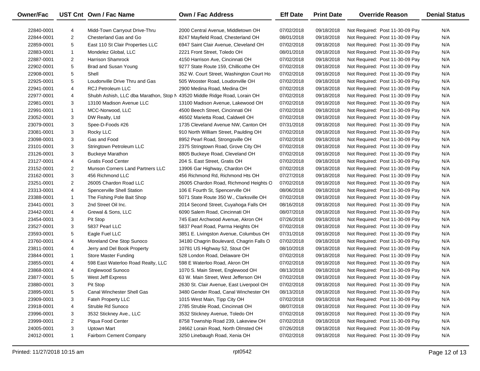| <b>Owner/Fac</b> |                | UST Cnt Own / Fac Name                  | <b>Own / Fac Address</b>                 | <b>Eff Date</b> | <b>Print Date</b> | <b>Override Reason</b>          | <b>Denial Status</b> |
|------------------|----------------|-----------------------------------------|------------------------------------------|-----------------|-------------------|---------------------------------|----------------------|
| 22840-0001       | 4              | Midd-Town Carryout Drive-Thru           | 2000 Central Avenue, Middletown OH       | 07/02/2018      | 09/18/2018        | Not Required: Post 11-30-09 Pay | N/A                  |
| 22844-0001       | $\overline{2}$ | Chesterland Gas and Go                  | 8247 Mayfield Road, Chesterland OH       | 08/01/2018      | 09/18/2018        | Not Required: Post 11-30-09 Pay | N/A                  |
| 22859-0001       | 5              | East 110 St Clair Properties LLC        | 6947 Saint Clair Avenue, Cleveland OH    | 07/02/2018      | 09/18/2018        | Not Required: Post 11-30-09 Pay | N/A                  |
| 22883-0001       | $\mathbf{1}$   | Mondelez Global, LLC                    | 2221 Front Street, Toledo OH             | 08/01/2018      | 09/18/2018        | Not Required: Post 11-30-09 Pay | N/A                  |
| 22887-0001       | $\overline{2}$ | <b>Harrison Shamrock</b>                | 4150 Harrison Ave, Cincinnati OH         | 07/02/2018      | 09/18/2018        | Not Required: Post 11-30-09 Pay | N/A                  |
| 22902-0001       | 5              | Brad and Susan Young                    | 9277 State Route 159, Chillicothe OH     | 07/02/2018      | 09/18/2018        | Not Required: Post 11-30-09 Pay | N/A                  |
| 22908-0001       | 5              | Shell                                   | 352 W. Court Street, Washington Court Ho | 07/02/2018      | 09/18/2018        | Not Required: Post 11-30-09 Pay | N/A                  |
| 22925-0001       | 5              | Loudonville Drive Thru and Gas          | 505 Wooster Road, Loudonville OH         | 07/02/2018      | 09/18/2018        | Not Required: Post 11-30-09 Pay | N/A                  |
| 22941-0001       | 4              | <b>RCJ Petroleum LLC</b>                | 2900 Medina Road, Medina OH              | 07/02/2018      | 09/18/2018        | Not Required: Post 11-30-09 Pay | N/A                  |
| 22977-0001       | 4              | Shubh Ashish, LLC dba Marathon, Stop N  | 43520 Middle Ridge Road, Lorain OH       | 07/02/2018      | 09/18/2018        | Not Required: Post 11-30-09 Pay | N/A                  |
| 22981-0001       | 3              | 13100 Madison Avenue LLC                | 13100 Madison Avenue, Lakewood OH        | 07/02/2018      | 09/18/2018        | Not Required: Post 11-30-09 Pay | N/A                  |
| 22991-0001       | $\mathbf{1}$   | MCC-Norwood, LLC                        | 4500 Beech Street, Cincinnati OH         | 07/02/2018      | 09/18/2018        | Not Required: Post 11-30-09 Pay | N/A                  |
| 23052-0001       | 3              | DW Realty, Ltd                          | 46502 Marietta Road, Caldwell OH         | 07/02/2018      | 09/18/2018        | Not Required: Post 11-30-09 Pay | N/A                  |
| 23079-0001       | 3              | Spee-D-Foods #26                        | 1735 Cleveland Avenue NW, Canton OH      | 07/31/2018      | 09/18/2018        | Not Required: Post 11-30-09 Pay | N/A                  |
| 23081-0001       | 3              | Rocky LLC                               | 910 North William Street, Paulding OH    | 07/02/2018      | 09/18/2018        | Not Required: Post 11-30-09 Pay | N/A                  |
| 23098-0001       | 3              | Gas and Food                            | 8952 Pearl Road, Strongsville OH         | 07/02/2018      | 09/18/2018        | Not Required: Post 11-30-09 Pay | N/A                  |
| 23101-0001       | 3              | Stringtown Petroleum LLC                | 2375 Stringtown Road, Grove City OH      | 07/02/2018      | 09/18/2018        | Not Required: Post 11-30-09 Pay | N/A                  |
| 23126-0001       | 3              | <b>Buckeye Marathon</b>                 | 8805 Buckeye Road, Cleveland OH          | 07/02/2018      | 09/18/2018        | Not Required: Post 11-30-09 Pay | N/A                  |
| 23127-0001       | 4              | <b>Gratis Food Center</b>               | 204 S. East Street, Gratis OH            | 07/02/2018      | 09/18/2018        | Not Required: Post 11-30-09 Pay | N/A                  |
| 23152-0001       | $\overline{2}$ | <b>Munson Corners Land Partners LLC</b> | 13906 Gar Highway, Chardon OH            | 07/02/2018      | 09/18/2018        | Not Required: Post 11-30-09 Pay | N/A                  |
| 23162-0001       | 3              | 456 Richmond LLC                        | 456 Richmond Rd, Richmond Hts OH         | 07/27/2018      | 09/18/2018        | Not Required: Post 11-30-09 Pay | N/A                  |
| 23251-0001       | $\overline{2}$ | 26005 Chardon Road LLC                  | 26005 Chardon Road, Richmond Heights O   | 07/02/2018      | 09/18/2018        | Not Required: Post 11-30-09 Pay | N/A                  |
| 23313-0001       | 4              | Spencerville Shell Station              | 106 E Fourth St, Spencerville OH         | 08/06/2018      | 09/18/2018        | Not Required: Post 11-30-09 Pay | N/A                  |
| 23388-0001       | $\mathbf{1}$   | The Fishing Pole Bait Shop              | 5071 State Route 350 W., Clarksville OH  | 07/02/2018      | 09/18/2018        | Not Required: Post 11-30-09 Pay | N/A                  |
| 23441-0001       | 3              | 2nd Street Oil Inc.                     | 2014 Second Street, Cuyahoga Falls OH    | 08/16/2018      | 09/18/2018        | Not Required: Post 11-30-09 Pay | N/A                  |
| 23442-0001       | 4              | Grewal & Sons, LLC                      | 6090 Salem Road, Cincinnati OH           | 08/07/2018      | 09/18/2018        | Not Required: Post 11-30-09 Pay | N/A                  |
| 23454-0001       | 3              | Pit Stop                                | 745 East Archwood Avenue, Akron OH       | 07/26/2018      | 09/18/2018        | Not Required: Post 11-30-09 Pay | N/A                  |
| 23527-0001       | 3              | 5837 Pearl LLC                          | 5837 Pearl Road, Parma Heights OH        | 07/02/2018      | 09/18/2018        | Not Required: Post 11-30-09 Pay | N/A                  |
| 23593-0001       | 5              | Eagle Fuel LLC                          | 3851 E. Livingston Avenue, Columbus OH   | 07/31/2018      | 09/18/2018        | Not Required: Post 11-30-09 Pay | N/A                  |
| 23760-0001       | 4              | Moreland One Stop Sunoco                | 34180 Chagrin Boulevard, Chagrin Falls O | 07/02/2018      | 09/18/2018        | Not Required: Post 11-30-09 Pay | N/A                  |
| 23811-0001       | 4              | Jerry and Del Book Property             | 10781 US Highway 52, Stout OH            | 08/10/2018      | 09/18/2018        | Not Required: Post 11-30-09 Pay | N/A                  |
| 23844-0001       | $\mathbf{1}$   | Store Master Funding                    | 528 London Road, Delaware OH             | 07/02/2018      | 09/18/2018        | Not Required: Post 11-30-09 Pay | N/A                  |
| 23855-0001       | 4              | 598 East Waterloo Road Realty, LLC      | 598 E Waterloo Road, Akron OH            | 07/02/2018      | 09/18/2018        | Not Required: Post 11-30-09 Pay | N/A                  |
| 23868-0001       | 4              | Englewood Sunoco                        | 1070 S. Main Street, Englewood OH        | 08/13/2018      | 09/18/2018        | Not Required: Post 11-30-09 Pay | N/A                  |
| 23877-0001       | 5              | West Jeff Express                       | 63 W. Main Street, West Jefferson OH     | 07/02/2018      | 09/18/2018        | Not Required: Post 11-30-09 Pay | N/A                  |
| 23880-0001       | 3              | Pit Stop                                | 2630 St. Clair Avenue, East Liverpool OH | 07/02/2018      | 09/18/2018        | Not Required: Post 11-30-09 Pay | N/A                  |
| 23895-0001       | 5              | Canal Winchester Shell Gas              | 3480 Gender Road, Canal Winchester OH    | 08/13/2018      | 09/18/2018        | Not Required: Post 11-30-09 Pay | N/A                  |
| 23909-0001       | 3              | Fateh Property LLC                      | 1015 West Main, Tipp City OH             | 07/02/2018      | 09/18/2018        | Not Required: Post 11-30-09 Pay | N/A                  |
| 23918-0001       | 4              | Struble Rd Sunoco                       | 2785 Struble Road, Cincinnati OH         | 08/07/2018      | 09/18/2018        | Not Required: Post 11-30-09 Pay | N/A                  |
| 23996-0001       | 3              | 3532 Stickney Ave., LLC                 | 3532 Stickney Avenue, Toledo OH          | 07/02/2018      | 09/18/2018        | Not Required: Post 11-30-09 Pay | N/A                  |
| 23999-0001       | $\overline{2}$ | Piqua Food Center                       | 8758 Township Road 239, Lakeview OH      | 07/02/2018      | 09/18/2018        | Not Required: Post 11-30-09 Pay | N/A                  |
| 24005-0001       | 3              | <b>Uptown Mart</b>                      | 24662 Lorain Road, North Olmsted OH      | 07/26/2018      | 09/18/2018        | Not Required: Post 11-30-09 Pay | N/A                  |
| 24012-0001       | $\mathbf{1}$   | Fairborn Cement Company                 | 3250 Linebaugh Road, Xenia OH            | 07/02/2018      | 09/18/2018        | Not Required: Post 11-30-09 Pay | N/A                  |